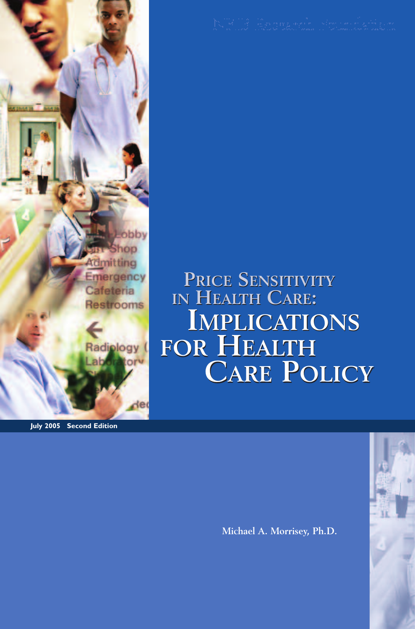

**July 2005 Second Edition**

**PRICE SENSITIVITY IN HEALTH CARE: IMPLICATIONS IMPLICATIONS FOR HEALTH FOR HEALTH CARE POLICY CARE POLICYPRICE SENSITIVITY IN HEALTH CARE:**

**Michael A. Morrisey, Ph.D.**

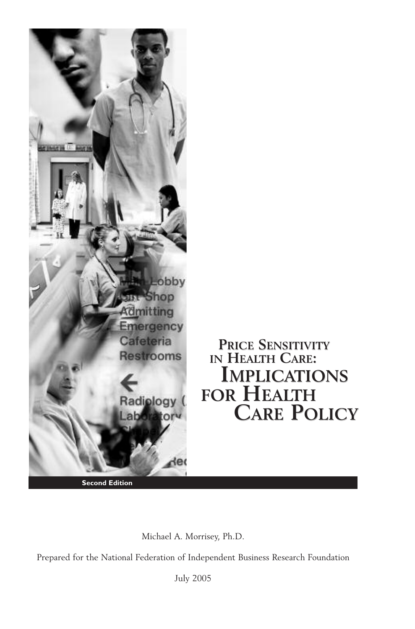

Michael A. Morrisey, Ph.D.

Prepared for the National Federation of Independent Business Research Foundation

July 2005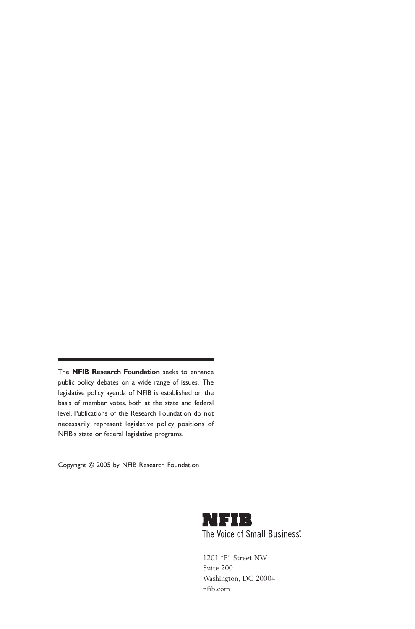The **NFIB Research Foundation** seeks to enhance public policy debates on a wide range of issues. The legislative policy agenda of NFIB is established on the basis of member votes, both at the state and federal level. Publications of the Research Foundation do not necessarily represent legislative policy positions of NFIB's state or federal legislative programs.

Copyright © 2005 by NFIB Research Foundation



1201 "F" Street NW Suite 200 Washington, DC 20004 nfib.com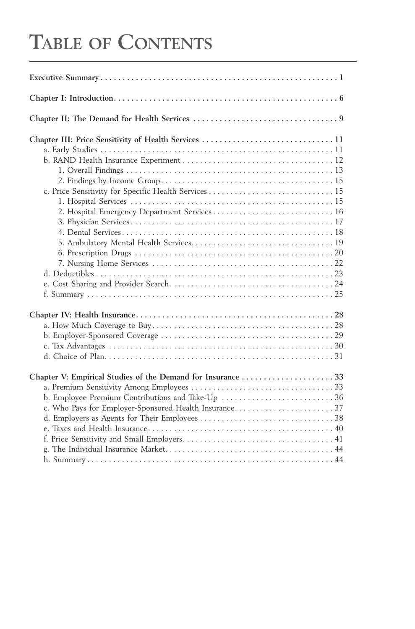# **TABLE OF CONTENTS**

| Chapter III: Price Sensitivity of Health Services  11<br>2. Hospital Emergency Department Services 16 |
|-------------------------------------------------------------------------------------------------------|
| Chapter V: Empirical Studies of the Demand for Insurance  33                                          |
| b. Employee Premium Contributions and Take-Up  36                                                     |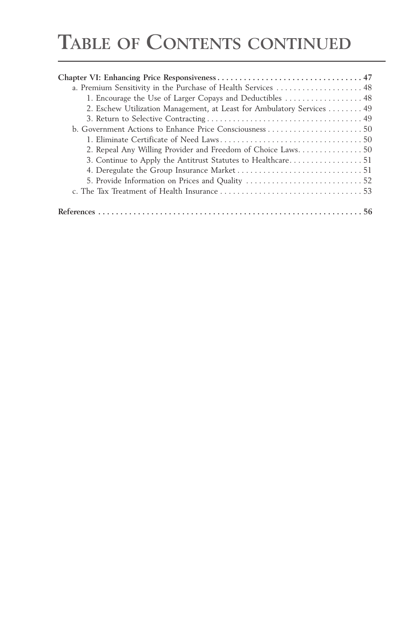# **TABLE OF CONTENTS CONTINUED**

| a. Premium Sensitivity in the Purchase of Health Services  48         |  |
|-----------------------------------------------------------------------|--|
| 1. Encourage the Use of Larger Copays and Deductibles  48             |  |
| 2. Eschew Utilization Management, at Least for Ambulatory Services 49 |  |
|                                                                       |  |
|                                                                       |  |
|                                                                       |  |
|                                                                       |  |
|                                                                       |  |
|                                                                       |  |
|                                                                       |  |
|                                                                       |  |
|                                                                       |  |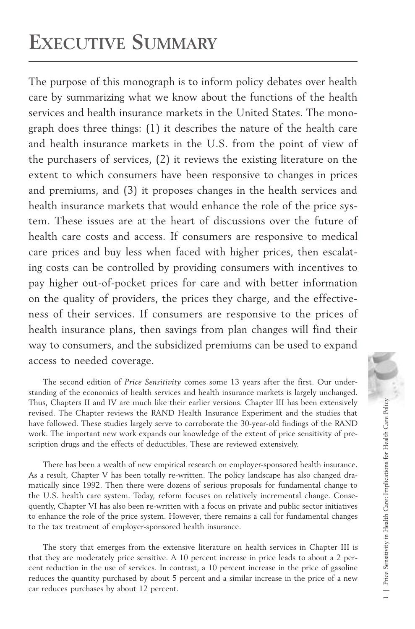# **EXECUTIVE SUMMARY**

The purpose of this monograph is to inform policy debates over health care by summarizing what we know about the functions of the health services and health insurance markets in the United States. The monograph does three things: (1) it describes the nature of the health care and health insurance markets in the U.S. from the point of view of the purchasers of services, (2) it reviews the existing literature on the extent to which consumers have been responsive to changes in prices and premiums, and (3) it proposes changes in the health services and health insurance markets that would enhance the role of the price system. These issues are at the heart of discussions over the future of health care costs and access. If consumers are responsive to medical care prices and buy less when faced with higher prices, then escalating costs can be controlled by providing consumers with incentives to pay higher out-of-pocket prices for care and with better information on the quality of providers, the prices they charge, and the effectiveness of their services. If consumers are responsive to the prices of health insurance plans, then savings from plan changes will find their way to consumers, and the subsidized premiums can be used to expand access to needed coverage.

The second edition of *Price Sensitivity* comes some 13 years after the first. Our understanding of the economics of health services and health insurance markets is largely unchanged. Thus, Chapters II and IV are much like their earlier versions. Chapter III has been extensively revised. The Chapter reviews the RAND Health Insurance Experiment and the studies that have followed. These studies largely serve to corroborate the 30-year-old findings of the RAND work. The important new work expands our knowledge of the extent of price sensitivity of prescription drugs and the effects of deductibles. These are reviewed extensively.

There has been a wealth of new empirical research on employer-sponsored health insurance. As a result, Chapter V has been totally re-written. The policy landscape has also changed dramatically since 1992. Then there were dozens of serious proposals for fundamental change to the U.S. health care system. Today, reform focuses on relatively incremental change. Consequently, Chapter VI has also been re-written with a focus on private and public sector initiatives to enhance the role of the price system. However, there remains a call for fundamental changes to the tax treatment of employer-sponsored health insurance.

The story that emerges from the extensive literature on health services in Chapter III is that they are moderately price sensitive. A 10 percent increase in price leads to about a 2 percent reduction in the use of services. In contrast, a 10 percent increase in the price of gasoline reduces the quantity purchased by about 5 percent and a similar increase in the price of a new car reduces purchases by about 12 percent.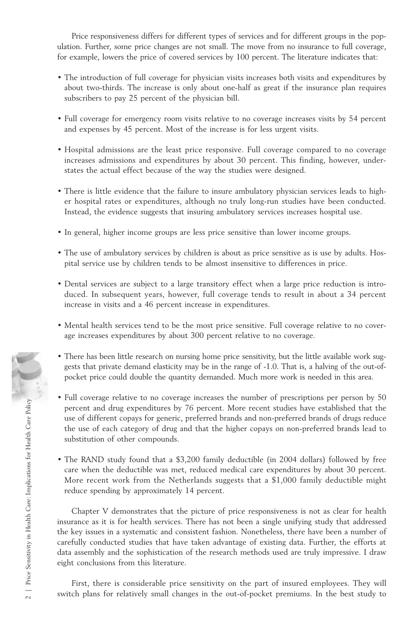Price responsiveness differs for different types of services and for different groups in the population. Further, some price changes are not small. The move from no insurance to full coverage, for example, lowers the price of covered services by 100 percent. The literature indicates that:

- The introduction of full coverage for physician visits increases both visits and expenditures by about two-thirds. The increase is only about one-half as great if the insurance plan requires subscribers to pay 25 percent of the physician bill.
- Full coverage for emergency room visits relative to no coverage increases visits by 54 percent and expenses by 45 percent. Most of the increase is for less urgent visits.
- Hospital admissions are the least price responsive. Full coverage compared to no coverage increases admissions and expenditures by about 30 percent. This finding, however, understates the actual effect because of the way the studies were designed.
- There is little evidence that the failure to insure ambulatory physician services leads to higher hospital rates or expenditures, although no truly long-run studies have been conducted. Instead, the evidence suggests that insuring ambulatory services increases hospital use.
- In general, higher income groups are less price sensitive than lower income groups.
- The use of ambulatory services by children is about as price sensitive as is use by adults. Hospital service use by children tends to be almost insensitive to differences in price.
- Dental services are subject to a large transitory effect when a large price reduction is introduced. In subsequent years, however, full coverage tends to result in about a 34 percent increase in visits and a 46 percent increase in expenditures.
- Mental health services tend to be the most price sensitive. Full coverage relative to no coverage increases expenditures by about 300 percent relative to no coverage.
- There has been little research on nursing home price sensitivity, but the little available work suggests that private demand elasticity may be in the range of -1.0. That is, a halving of the out-ofpocket price could double the quantity demanded. Much more work is needed in this area.
- Full coverage relative to no coverage increases the number of prescriptions per person by 50 percent and drug expenditures by 76 percent. More recent studies have established that the use of different copays for generic, preferred brands and non-preferred brands of drugs reduce the use of each category of drug and that the higher copays on non-preferred brands lead to substitution of other compounds.
- The RAND study found that a \$3,200 family deductible (in 2004 dollars) followed by free care when the deductible was met, reduced medical care expenditures by about 30 percent. More recent work from the Netherlands suggests that a \$1,000 family deductible might reduce spending by approximately 14 percent.

Chapter V demonstrates that the picture of price responsiveness is not as clear for health insurance as it is for health services. There has not been a single unifying study that addressed the key issues in a systematic and consistent fashion. Nonetheless, there have been a number of carefully conducted studies that have taken advantage of existing data. Further, the efforts at data assembly and the sophistication of the research methods used are truly impressive. I draw eight conclusions from this literature. gests that private demand elasticity may be in the range of -1.0. That is, a halving of the out-of-<br>pocket price could double the quantity demanded. Much more work is needed in this area.<br>  $\frac{52}{26}$  except active to no

First, there is considerable price sensitivity on the part of insured employees. They will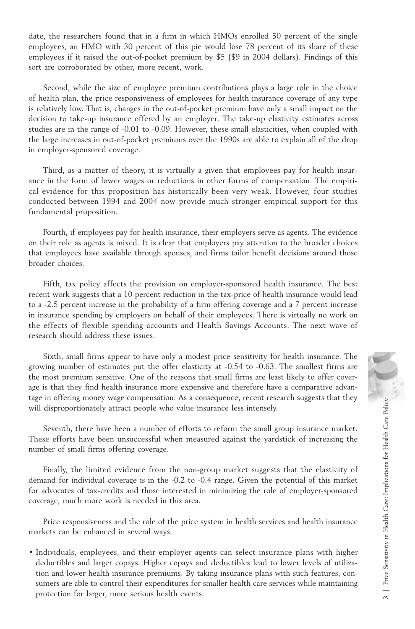date, the researchers found that in a firm in which HMOs enrolled 50 percent of the single employees, an HMO with 30 percent of this pie would lose 78 percent of its share of these employees if it raised the out-of-pocket premium by \$5 (\$9 in 2004 dollars). Findings of this sort are corroborated by other, more recent, work.

Second, while the size of employee premium contributions plays a large role in the choice of health plan, the price responsiveness of employees for health insurance coverage of any type is relatively low. That is, changes in the out-of-pocket premium have only a small impact on the decision to take-up insurance offered by an employer. The take-up elasticity estimates across studies are in the range of -0.01 to -0.09. However, these small elasticities, when coupled with the large increases in out-of-pocket premiums over the 1990s are able to explain all of the drop in employer-sponsored coverage.

Third, as a matter of theory, it is virtually a given that employees pay for health insurance in the form of lower wages or reductions in other forms of compensation. The empirical evidence for this proposition has historically been very weak. However, four studies conducted between 1994 and 2004 now provide much stronger empirical support for this fundamental proposition.

Fourth, if employees pay for health insurance, their employers serve as agents. The evidence on their role as agents is mixed. It is clear that employers pay attention to the broader choices that employees have available through spouses, and firms tailor benefit decisions around those broader choices.

Fifth, tax policy affects the provision on employer-sponsored health insurance. The best recent work suggests that a 10 percent reduction in the tax-price of health insurance would lead to a -2.5 percent increase in the probability of a firm offering coverage and a 7 percent increase in insurance spending by employers on behalf of their employees. There is virtually no work on the effects of flexible spending accounts and Health Savings Accounts. The next wave of research should address these issues.

Sixth, small firms appear to have only a modest price sensitivity for health insurance. The growing number of estimates put the offer elasticity at -0.54 to -0.63. The smallest firms are the most premium sensitive. One of the reasons that small firms are least likely to offer coverage is that they find health insurance more expensive and therefore have a comparative advantage in offering money wage compensation. As a consequence, recent research suggests that they will disproportionately attract people who value insurance less intensely.

Seventh, there have been a number of efforts to reform the small group insurance market. These efforts have been unsuccessful when measured against the yardstick of increasing the number of small firms offering coverage.

Finally, the limited evidence from the non-group market suggests that the elasticity of demand for individual coverage is in the -0.2 to -0.4 range. Given the potential of this market for advocates of tax-credits and those interested in minimizing the role of employer-sponsored coverage, much more work is needed in this area.

Price responsiveness and the role of the price system in health services and health insurance markets can be enhanced in several ways.

• Individuals, employees, and their employer agents can select insurance plans with higher deductibles and larger copays. Higher copays and deductibles lead to lower levels of utilization and lower health insurance premiums. By taking insurance plans with such features, consumers are able to control their expenditures for smaller health care services while maintaining e is that they find health insurance more expensive and therefore have a comparative advantage in offering money wage compensation. As a consequence, recent research suggests that they<br>
ill disproportionately attract peop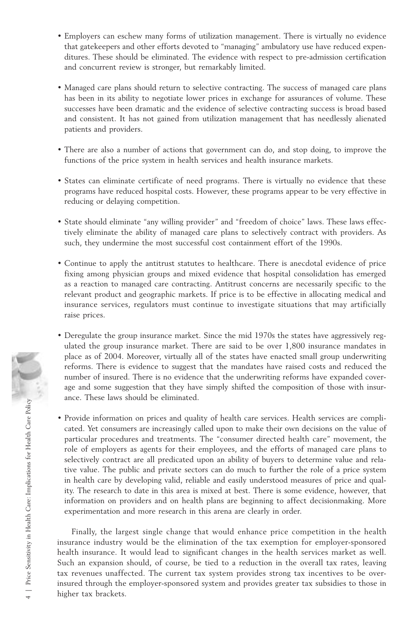- Employers can eschew many forms of utilization management. There is virtually no evidence that gatekeepers and other efforts devoted to "managing" ambulatory use have reduced expenditures. These should be eliminated. The evidence with respect to pre-admission certification and concurrent review is stronger, but remarkably limited.
- Managed care plans should return to selective contracting. The success of managed care plans has been in its ability to negotiate lower prices in exchange for assurances of volume. These successes have been dramatic and the evidence of selective contracting success is broad based and consistent. It has not gained from utilization management that has needlessly alienated patients and providers.
- There are also a number of actions that government can do, and stop doing, to improve the functions of the price system in health services and health insurance markets.
- States can eliminate certificate of need programs. There is virtually no evidence that these programs have reduced hospital costs. However, these programs appear to be very effective in reducing or delaying competition.
- State should eliminate "any willing provider" and "freedom of choice" laws. These laws effectively eliminate the ability of managed care plans to selectively contract with providers. As such, they undermine the most successful cost containment effort of the 1990s.
- Continue to apply the antitrust statutes to healthcare. There is anecdotal evidence of price fixing among physician groups and mixed evidence that hospital consolidation has emerged as a reaction to managed care contracting. Antitrust concerns are necessarily specific to the relevant product and geographic markets. If price is to be effective in allocating medical and insurance services, regulators must continue to investigate situations that may artificially raise prices.
- Deregulate the group insurance market. Since the mid 1970s the states have aggressively regulated the group insurance market. There are said to be over 1,800 insurance mandates in place as of 2004. Moreover, virtually all of the states have enacted small group underwriting reforms. There is evidence to suggest that the mandates have raised costs and reduced the number of insured. There is no evidence that the underwriting reforms have expanded coverage and some suggestion that they have simply shifted the composition of those with insurance. These laws should be eliminated.
- Provide information on prices and quality of health care services. Health services are complicated. Yet consumers are increasingly called upon to make their own decisions on the value of particular procedures and treatments. The "consumer directed health care" movement, the role of employers as agents for their employees, and the efforts of managed care plans to selectively contract are all predicated upon an ability of buyers to determine value and relative value. The public and private sectors can do much to further the role of a price system in health care by developing valid, reliable and easily understood measures of price and quality. The research to date in this area is mixed at best. There is some evidence, however, that information on providers and on health plans are beginning to affect decisionmaking. More experimentation and more research in this arena are clearly in order. reforms. There is<br>
number of insured<br>
age and some sugg<br>
ance. These laws s<br>
are. These laws s<br>  $\frac{1}{2}$ <br>  $\frac{1}{2}$ <br>  $\frac{1}{2}$ <br>  $\frac{1}{2}$ <br>  $\frac{1}{2}$ <br>  $\frac{1}{2}$ <br>  $\frac{1}{2}$ <br>  $\frac{1}{2}$ <br>  $\frac{1}{2}$ <br>  $\frac{1}{2}$ <br>  $\frac{1}{2}$ <br>  $\frac{$

Finally, the largest single change that would enhance price competition in the health insurance industry would be the elimination of the tax exemption for employer-sponsored health insurance. It would lead to significant changes in the health services market as well. Such an expansion should, of course, be tied to a reduction in the overall tax rates, leaving tax revenues unaffected. The current tax system provides strong tax incentives to be overinsured through the employer-sponsored system and provides greater tax subsidies to those in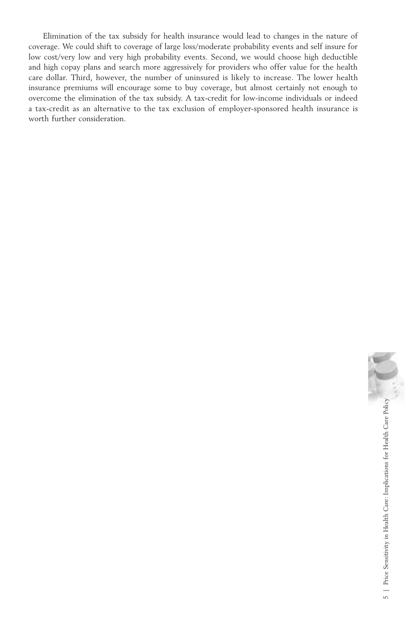Elimination of the tax subsidy for health insurance would lead to changes in the nature of coverage. We could shift to coverage of large loss/moderate probability events and self insure for low cost/very low and very high probability events. Second, we would choose high deductible and high copay plans and search more aggressively for providers who offer value for the health care dollar. Third, however, the number of uninsured is likely to increase. The lower health insurance premiums will encourage some to buy coverage, but almost certainly not enough to overcome the elimination of the tax subsidy. A tax-credit for low-income individuals or indeed a tax-credit as an alternative to the tax exclusion of employer-sponsored health insurance is worth further consideration.

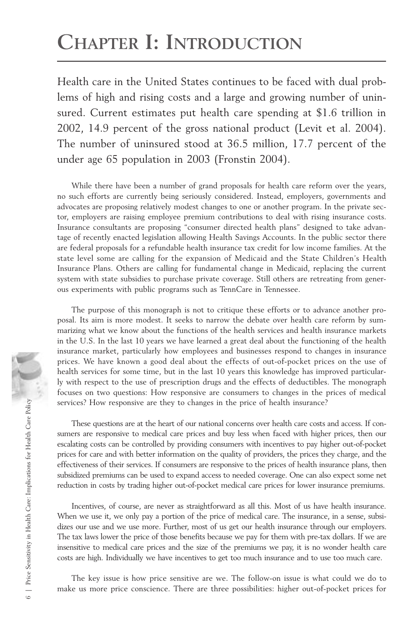# **CHAPTER I: INTRODUCTION**

Health care in the United States continues to be faced with dual problems of high and rising costs and a large and growing number of uninsured. Current estimates put health care spending at \$1.6 trillion in 2002, 14.9 percent of the gross national product (Levit et al. 2004). The number of uninsured stood at 36.5 million, 17.7 percent of the under age 65 population in 2003 (Fronstin 2004).

While there have been a number of grand proposals for health care reform over the years, no such efforts are currently being seriously considered. Instead, employers, governments and advocates are proposing relatively modest changes to one or another program. In the private sector, employers are raising employee premium contributions to deal with rising insurance costs. Insurance consultants are proposing "consumer directed health plans" designed to take advantage of recently enacted legislation allowing Health Savings Accounts. In the public sector there are federal proposals for a refundable health insurance tax credit for low income families. At the state level some are calling for the expansion of Medicaid and the State Children's Health Insurance Plans. Others are calling for fundamental change in Medicaid, replacing the current system with state subsidies to purchase private coverage. Still others are retreating from generous experiments with public programs such as TennCare in Tennessee.

The purpose of this monograph is not to critique these efforts or to advance another proposal. Its aim is more modest. It seeks to narrow the debate over health care reform by summarizing what we know about the functions of the health services and health insurance markets in the U.S. In the last 10 years we have learned a great deal about the functioning of the health insurance market, particularly how employees and businesses respond to changes in insurance prices. We have known a good deal about the effects of out-of-pocket prices on the use of health services for some time, but in the last 10 years this knowledge has improved particularly with respect to the use of prescription drugs and the effects of deductibles. The monograph focuses on two questions: How responsive are consumers to changes in the prices of medical services? How responsive are they to changes in the price of health insurance?

These questions are at the heart of our national concerns over health care costs and access. If consumers are responsive to medical care prices and buy less when faced with higher prices, then our escalating costs can be controlled by providing consumers with incentives to pay higher out-of-pocket prices for care and with better information on the quality of providers, the prices they charge, and the effectiveness of their services. If consumers are responsive to the prices of health insurance plans, then subsidized premiums can be used to expand access to needed coverage. One can also expect some net reduction in costs by trading higher out-of-pocket medical care prices for lower insurance premiums.

Incentives, of course, are never as straightforward as all this. Most of us have health insurance. When we use it, we only pay a portion of the price of medical care. The insurance, in a sense, subsidizes our use and we use more. Further, most of us get our health insurance through our employers. The tax laws lower the price of those benefits because we pay for them with pre-tax dollars. If we are insensitive to medical care prices and the size of the premiums we pay, it is no wonder health care costs are high. Individually we have incentives to get too much insurance and to use too much care.

The key issue is how price sensitive are we. The follow-on issue is what could we do to make us more price conscience. There are three possibilities: higher out-of-pocket prices for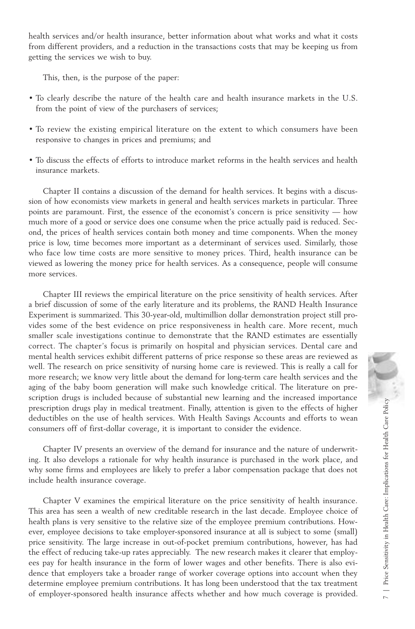health services and/or health insurance, better information about what works and what it costs from different providers, and a reduction in the transactions costs that may be keeping us from getting the services we wish to buy.

This, then, is the purpose of the paper:

- To clearly describe the nature of the health care and health insurance markets in the U.S. from the point of view of the purchasers of services;
- To review the existing empirical literature on the extent to which consumers have been responsive to changes in prices and premiums; and
- To discuss the effects of efforts to introduce market reforms in the health services and health insurance markets.

Chapter II contains a discussion of the demand for health services. It begins with a discussion of how economists view markets in general and health services markets in particular. Three points are paramount. First, the essence of the economist's concern is price sensitivity — how much more of a good or service does one consume when the price actually paid is reduced. Second, the prices of health services contain both money and time components. When the money price is low, time becomes more important as a determinant of services used. Similarly, those who face low time costs are more sensitive to money prices. Third, health insurance can be viewed as lowering the money price for health services. As a consequence, people will consume more services.

Chapter III reviews the empirical literature on the price sensitivity of health services. After a brief discussion of some of the early literature and its problems, the RAND Health Insurance Experiment is summarized. This 30-year-old, multimillion dollar demonstration project still provides some of the best evidence on price responsiveness in health care. More recent, much smaller scale investigations continue to demonstrate that the RAND estimates are essentially correct. The chapter's focus is primarily on hospital and physician services. Dental care and mental health services exhibit different patterns of price response so these areas are reviewed as well. The research on price sensitivity of nursing home care is reviewed. This is really a call for more research; we know very little about the demand for long-term care health services and the aging of the baby boom generation will make such knowledge critical. The literature on prescription drugs is included because of substantial new learning and the increased importance prescription drugs play in medical treatment. Finally, attention is given to the effects of higher deductibles on the use of health services. With Health Savings Accounts and efforts to wean consumers off of first-dollar coverage, it is important to consider the evidence.

Chapter IV presents an overview of the demand for insurance and the nature of underwriting. It also develops a rationale for why health insurance is purchased in the work place, and why some firms and employees are likely to prefer a labor compensation package that does not include health insurance coverage.

Chapter V examines the empirical literature on the price sensitivity of health insurance. This area has seen a wealth of new creditable research in the last decade. Employee choice of health plans is very sensitive to the relative size of the employee premium contributions. However, employee decisions to take employer-sponsored insurance at all is subject to some (small) price sensitivity. The large increase in out-of-pocket premium contributions, however, has had the effect of reducing take-up rates appreciably. The new research makes it clearer that employees pay for health insurance in the form of lower wages and other benefits. There is also evidence that employers take a broader range of worker coverage options into account when they determine employee premium contributions. It has long been understood that the tax treatment more research; we know very little about the demand for long-term care health services and the sainty however sponsored in will make such knowledge critical. The literature on pre-<br>scription drugs play in medical treatmen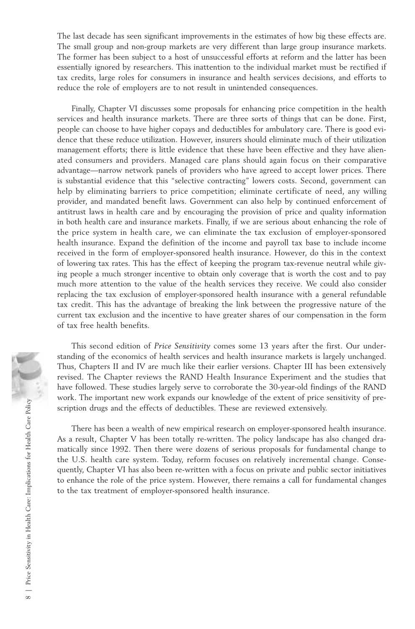The last decade has seen significant improvements in the estimates of how big these effects are. The small group and non-group markets are very different than large group insurance markets. The former has been subject to a host of unsuccessful efforts at reform and the latter has been essentially ignored by researchers. This inattention to the individual market must be rectified if tax credits, large roles for consumers in insurance and health services decisions, and efforts to reduce the role of employers are to not result in unintended consequences.

Finally, Chapter VI discusses some proposals for enhancing price competition in the health services and health insurance markets. There are three sorts of things that can be done. First, people can choose to have higher copays and deductibles for ambulatory care. There is good evidence that these reduce utilization. However, insurers should eliminate much of their utilization management efforts; there is little evidence that these have been effective and they have alienated consumers and providers. Managed care plans should again focus on their comparative advantage—narrow network panels of providers who have agreed to accept lower prices. There is substantial evidence that this "selective contracting" lowers costs. Second, government can help by eliminating barriers to price competition; eliminate certificate of need, any willing provider, and mandated benefit laws. Government can also help by continued enforcement of antitrust laws in health care and by encouraging the provision of price and quality information in both health care and insurance markets. Finally, if we are serious about enhancing the role of the price system in health care, we can eliminate the tax exclusion of employer-sponsored health insurance. Expand the definition of the income and payroll tax base to include income received in the form of employer-sponsored health insurance. However, do this in the context of lowering tax rates. This has the effect of keeping the program tax-revenue neutral while giving people a much stronger incentive to obtain only coverage that is worth the cost and to pay much more attention to the value of the health services they receive. We could also consider replacing the tax exclusion of employer-sponsored health insurance with a general refundable tax credit. This has the advantage of breaking the link between the progressive nature of the current tax exclusion and the incentive to have greater shares of our compensation in the form of tax free health benefits.

This second edition of *Price Sensitivity* comes some 13 years after the first. Our understanding of the economics of health services and health insurance markets is largely unchanged. Thus, Chapters II and IV are much like their earlier versions. Chapter III has been extensively revised. The Chapter reviews the RAND Health Insurance Experiment and the studies that have followed. These studies largely serve to corroborate the 30-year-old findings of the RAND work. The important new work expands our knowledge of the extent of price sensitivity of prescription drugs and the effects of deductibles. These are reviewed extensively.

There has been a wealth of new empirical research on employer-sponsored health insurance. As a result, Chapter V has been totally re-written. The policy landscape has also changed dramatically since 1992. Then there were dozens of serious proposals for fundamental change to the U.S. health care system. Today, reform focuses on relatively incremental change. Consequently, Chapter VI has also been re-written with a focus on private and public sector initiatives to enhance the role of the price system. However, there remains a call for fundamental changes to the tax treatment of employer-sponsored health insurance.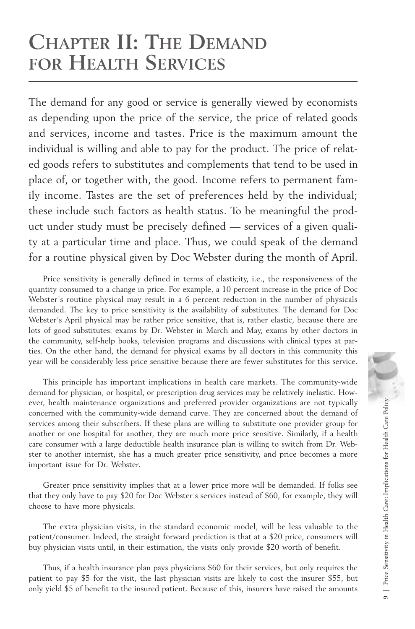## **CHAPTER II: THE DEMAND FOR HEALTH SERVICES**

The demand for any good or service is generally viewed by economists as depending upon the price of the service, the price of related goods and services, income and tastes. Price is the maximum amount the individual is willing and able to pay for the product. The price of related goods refers to substitutes and complements that tend to be used in place of, or together with, the good. Income refers to permanent family income. Tastes are the set of preferences held by the individual; these include such factors as health status. To be meaningful the product under study must be precisely defined — services of a given quality at a particular time and place. Thus, we could speak of the demand for a routine physical given by Doc Webster during the month of April.

Price sensitivity is generally defined in terms of elasticity, i.e., the responsiveness of the quantity consumed to a change in price. For example, a 10 percent increase in the price of Doc Webster's routine physical may result in a 6 percent reduction in the number of physicals demanded. The key to price sensitivity is the availability of substitutes. The demand for Doc Webster's April physical may be rather price sensitive, that is, rather elastic, because there are lots of good substitutes: exams by Dr. Webster in March and May, exams by other doctors in the community, self-help books, television programs and discussions with clinical types at parties. On the other hand, the demand for physical exams by all doctors in this community this year will be considerably less price sensitive because there are fewer substitutes for this service.

This principle has important implications in health care markets. The community-wide demand for physician, or hospital, or prescription drug services may be relatively inelastic. However, health maintenance organizations and preferred provider organizations are not typically concerned with the community-wide demand curve. They are concerned about the demand of services among their subscribers. If these plans are willing to substitute one provider group for another or one hospital for another, they are much more price sensitive. Similarly, if a health care consumer with a large deductible health insurance plan is willing to switch from Dr. Webster to another internist, she has a much greater price sensitivity, and price becomes a more important issue for Dr. Webster.

Greater price sensitivity implies that at a lower price more will be demanded. If folks see that they only have to pay \$20 for Doc Webster's services instead of \$60, for example, they will choose to have more physicals.

The extra physician visits, in the standard economic model, will be less valuable to the patient/consumer. Indeed, the straight forward prediction is that at a \$20 price, consumers will buy physician visits until, in their estimation, the visits only provide \$20 worth of benefit.

Thus, if a health insurance plan pays physicians \$60 for their services, but only requires the patient to pay \$5 for the visit, the last physician visits are likely to cost the insurer \$55, but only yield \$5 of benefit to the insured patient. Because of this, insurers have raised the amounts

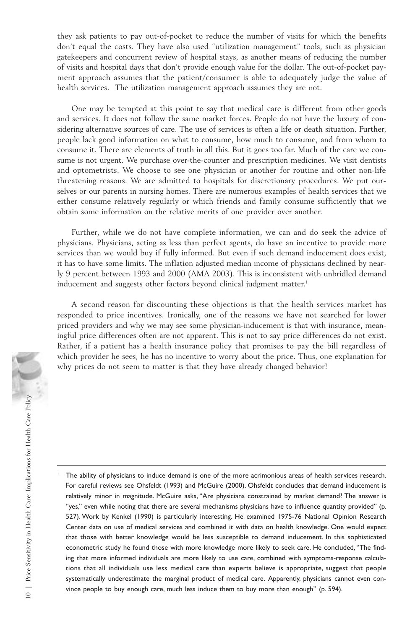they ask patients to pay out-of-pocket to reduce the number of visits for which the benefits don't equal the costs. They have also used "utilization management" tools, such as physician gatekeepers and concurrent review of hospital stays, as another means of reducing the number of visits and hospital days that don't provide enough value for the dollar. The out-of-pocket payment approach assumes that the patient/consumer is able to adequately judge the value of health services. The utilization management approach assumes they are not.

One may be tempted at this point to say that medical care is different from other goods and services. It does not follow the same market forces. People do not have the luxury of considering alternative sources of care. The use of services is often a life or death situation. Further, people lack good information on what to consume, how much to consume, and from whom to consume it. There are elements of truth in all this. But it goes too far. Much of the care we consume is not urgent. We purchase over-the-counter and prescription medicines. We visit dentists and optometrists. We choose to see one physician or another for routine and other non-life threatening reasons. We are admitted to hospitals for discretionary procedures. We put ourselves or our parents in nursing homes. There are numerous examples of health services that we either consume relatively regularly or which friends and family consume sufficiently that we obtain some information on the relative merits of one provider over another.

Further, while we do not have complete information, we can and do seek the advice of physicians. Physicians, acting as less than perfect agents, do have an incentive to provide more services than we would buy if fully informed. But even if such demand inducement does exist, it has to have some limits. The inflation adjusted median income of physicians declined by nearly 9 percent between 1993 and 2000 (AMA 2003). This is inconsistent with unbridled demand inducement and suggests other factors beyond clinical judgment matter.<sup>1</sup>

A second reason for discounting these objections is that the health services market has responded to price incentives. Ironically, one of the reasons we have not searched for lower priced providers and why we may see some physician-inducement is that with insurance, meaningful price differences often are not apparent. This is not to say price differences do not exist. Rather, if a patient has a health insurance policy that promises to pay the bill regardless of which provider he sees, he has no incentive to worry about the price. Thus, one explanation for why prices do not seem to matter is that they have already changed behavior!

<sup>1</sup> The ability of physicians to induce demand is one of the more acrimonious areas of health services research. For careful reviews see Ohsfeldt (1993) and McGuire (2000). Ohsfeldt concludes that demand inducement is relatively minor in magnitude. McGuire asks, "Are physicians constrained by market demand? The answer is "yes," even while noting that there are several mechanisms physicians have to influence quantity provided" (p. 527). Work by Kenkel (1990) is particularly interesting. He examined 1975-76 National Opinion Research Center data on use of medical services and combined it with data on health knowledge. One would expect that those with better knowledge would be less susceptible to demand inducement. In this sophisticated econometric study he found those with more knowledge more likely to seek care. He concluded, "The finding that more informed individuals are more likely to use care, combined with symptoms-response calculations that all individuals use less medical care than experts believe is appropriate, suggest that people systematically underestimate the marginal product of medical care. Apparently, physicians cannot even convince people to buy enough care, much less induce them to buy more than enough" (p. 594).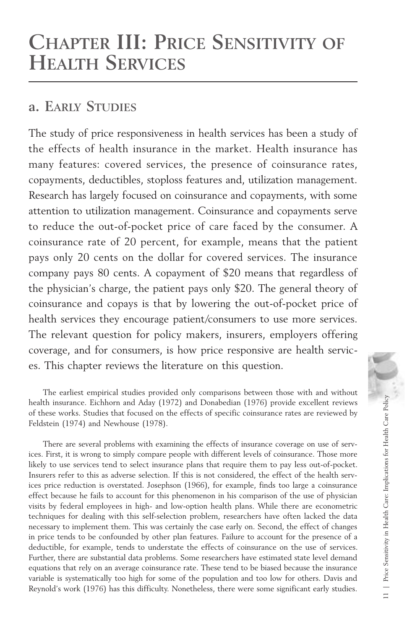## **CHAPTER III: PRICE SENSITIVITY OF HEALTH SERVICES**

## **a. EARLY STUDIES**

The study of price responsiveness in health services has been a study of the effects of health insurance in the market. Health insurance has many features: covered services, the presence of coinsurance rates, copayments, deductibles, stoploss features and, utilization management. Research has largely focused on coinsurance and copayments, with some attention to utilization management. Coinsurance and copayments serve to reduce the out-of-pocket price of care faced by the consumer. A coinsurance rate of 20 percent, for example, means that the patient pays only 20 cents on the dollar for covered services. The insurance company pays 80 cents. A copayment of \$20 means that regardless of the physician's charge, the patient pays only \$20. The general theory of coinsurance and copays is that by lowering the out-of-pocket price of health services they encourage patient/consumers to use more services. The relevant question for policy makers, insurers, employers offering coverage, and for consumers, is how price responsive are health services. This chapter reviews the literature on this question.

The earliest empirical studies provided only comparisons between those with and without health insurance. Eichhorn and Aday (1972) and Donabedian (1976) provide excellent reviews of these works. Studies that focused on the effects of specific coinsurance rates are reviewed by Feldstein (1974) and Newhouse (1978).

There are several problems with examining the effects of insurance coverage on use of services. First, it is wrong to simply compare people with different levels of coinsurance. Those more likely to use services tend to select insurance plans that require them to pay less out-of-pocket. Insurers refer to this as adverse selection. If this is not considered, the effect of the health services price reduction is overstated. Josephson (1966), for example, finds too large a coinsurance effect because he fails to account for this phenomenon in his comparison of the use of physician visits by federal employees in high- and low-option health plans. While there are econometric techniques for dealing with this self-selection problem, researchers have often lacked the data necessary to implement them. This was certainly the case early on. Second, the effect of changes in price tends to be confounded by other plan features. Failure to account for the presence of a deductible, for example, tends to understate the effects of coinsurance on the use of services. Further, there are substantial data problems. Some researchers have estimated state level demand equations that rely on an average coinsurance rate. These tend to be biased because the insurance variable is systematically too high for some of the population and too low for others. Davis and Reynold's work (1976) has this difficulty. Nonetheless, there were some significant early studies.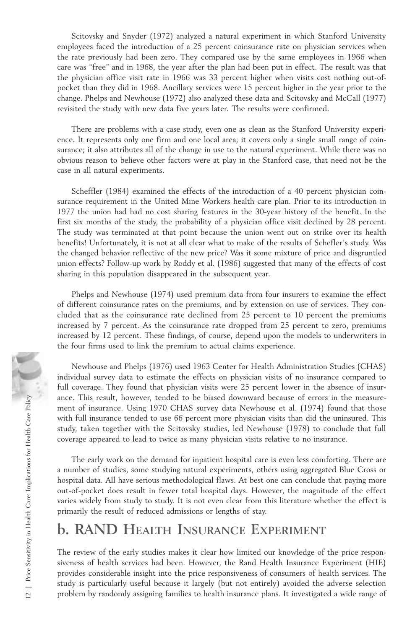Scitovsky and Snyder (1972) analyzed a natural experiment in which Stanford University employees faced the introduction of a 25 percent coinsurance rate on physician services when the rate previously had been zero. They compared use by the same employees in 1966 when care was "free" and in 1968, the year after the plan had been put in effect. The result was that the physician office visit rate in 1966 was 33 percent higher when visits cost nothing out-ofpocket than they did in 1968. Ancillary services were 15 percent higher in the year prior to the change. Phelps and Newhouse (1972) also analyzed these data and Scitovsky and McCall (1977) revisited the study with new data five years later. The results were confirmed.

There are problems with a case study, even one as clean as the Stanford University experience. It represents only one firm and one local area; it covers only a single small range of coinsurance; it also attributes all of the change in use to the natural experiment. While there was no obvious reason to believe other factors were at play in the Stanford case, that need not be the case in all natural experiments.

Scheffler (1984) examined the effects of the introduction of a 40 percent physician coinsurance requirement in the United Mine Workers health care plan. Prior to its introduction in 1977 the union had had no cost sharing features in the 30-year history of the benefit. In the first six months of the study, the probability of a physician office visit declined by 28 percent. The study was terminated at that point because the union went out on strike over its health benefits! Unfortunately, it is not at all clear what to make of the results of Schefler's study. Was the changed behavior reflective of the new price? Was it some mixture of price and disgruntled union effects? Follow-up work by Roddy et al. (1986) suggested that many of the effects of cost sharing in this population disappeared in the subsequent year.

Phelps and Newhouse (1974) used premium data from four insurers to examine the effect of different coinsurance rates on the premiums, and by extension on use of services. They concluded that as the coinsurance rate declined from 25 percent to 10 percent the premiums increased by 7 percent. As the coinsurance rate dropped from 25 percent to zero, premiums increased by 12 percent. These findings, of course, depend upon the models to underwriters in the four firms used to link the premium to actual claims experience.

Newhouse and Phelps (1976) used 1963 Center for Health Administration Studies (CHAS) individual survey data to estimate the effects on physician visits of no insurance compared to full coverage. They found that physician visits were 25 percent lower in the absence of insurance. This result, however, tended to be biased downward because of errors in the measurement of insurance. Using 1970 CHAS survey data Newhouse et al. (1974) found that those with full insurance tended to use 66 percent more physician visits than did the uninsured. This study, taken together with the Scitovsky studies, led Newhouse (1978) to conclude that full coverage appeared to lead to twice as many physician visits relative to no insurance.

The early work on the demand for inpatient hospital care is even less comforting. There are a number of studies, some studying natural experiments, others using aggregated Blue Cross or hospital data. All have serious methodological flaws. At best one can conclude that paying more out-of-pocket does result in fewer total hospital days. However, the magnitude of the effect varies widely from study to study. It is not even clear from this literature whether the effect is primarily the result of reduced admissions or lengths of stay. From the measure. This result, however, tended to be biased downward because of errors in the measurement of insurance. Using 1970 CHAS survey data Newhouse et al. (1974) found that those with full insurance tended to use

## **b. RAND HEALTH INSURANCE EXPERIMENT**

The review of the early studies makes it clear how limited our knowledge of the price responsiveness of health services had been. However, the Rand Health Insurance Experiment (HIE) provides considerable insight into the price responsiveness of consumers of health services. The study is particularly useful because it largely (but not entirely) avoided the adverse selection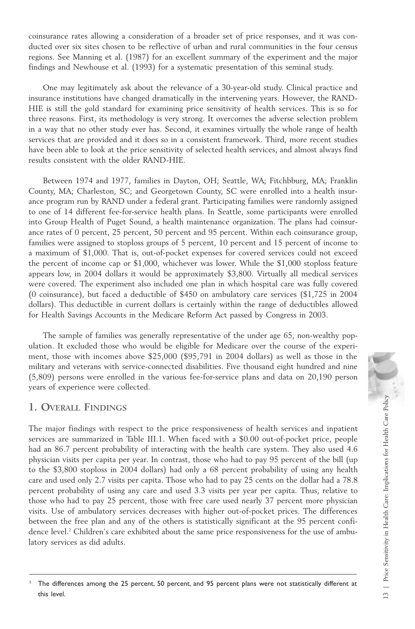coinsurance rates allowing a consideration of a broader set of price responses, and it was conducted over six sites chosen to be reflective of urban and rural communities in the four census regions. See Manning et al. (1987) for an excellent summary of the experiment and the major findings and Newhouse et al. (1993) for a systematic presentation of this seminal study.

One may legitimately ask about the relevance of a 30-year-old study. Clinical practice and insurance institutions have changed dramatically in the intervening years. However, the RAND-HIE is still the gold standard for examining price sensitivity of health services. This is so for three reasons. First, its methodology is very strong. It overcomes the adverse selection problem in a way that no other study ever has. Second, it examines virtually the whole range of health services that are provided and it does so in a consistent framework. Third, more recent studies have been able to look at the price sensitivity of selected health services, and almost always find results consistent with the older RAND-HIE.

Between 1974 and 1977, families in Dayton, OH; Seattle, WA; Fitchbburg, MA; Franklin County, MA; Charleston, SC; and Georgetown County, SC were enrolled into a health insurance program run by RAND under a federal grant. Participating families were randomly assigned to one of 14 different fee-for-service health plans. In Seattle, some participants were enrolled into Group Health of Puget Sound, a health maintenance organization. The plans had coinsurance rates of 0 percent, 25 percent, 50 percent and 95 percent. Within each coinsurance group, families were assigned to stoploss groups of 5 percent, 10 percent and 15 percent of income to a maximum of \$1,000. That is, out-of-pocket expenses for covered services could not exceed the percent of income cap or \$1,000, whichever was lower. While the \$1,000 stoploss feature appears low, in 2004 dollars it would be approximately \$3,800. Virtually all medical services were covered. The experiment also included one plan in which hospital care was fully covered (0 coinsurance), but faced a deductible of \$450 on ambulatory care services (\$1,725 in 2004 dollars). This deductible in current dollars is certainly within the range of deductibles allowed for Health Savings Accounts in the Medicare Reform Act passed by Congress in 2003.

The sample of families was generally representative of the under age 65, non-wealthy population. It excluded those who would be eligible for Medicare over the course of the experiment, those with incomes above \$25,000 (\$95,791 in 2004 dollars) as well as those in the military and veterans with service-connected disabilities. Five thousand eight hundred and nine (5,809) persons were enrolled in the various fee-for-service plans and data on 20,190 person years of experience were collected.

#### **1. OVERALL FINDINGS**

The major findings with respect to the price responsiveness of health services and inpatient services are summarized in Table III.1. When faced with a \$0.00 out-of-pocket price, people had an 86.7 percent probability of interacting with the health care system. They also used 4.6 physician visits per capita per year. In contrast, those who had to pay 95 percent of the bill (up to the \$3,800 stoploss in 2004 dollars) had only a 68 percent probability of using any health care and used only 2.7 visits per capita. Those who had to pay 25 cents on the dollar had a 78.8 percent probability of using any care and used 3.3 visits per year per capita. Thus, relative to those who had to pay 25 percent, those with free care used nearly 37 percent more physician visits. Use of ambulatory services decreases with higher out-of-pocket prices. The differences between the free plan and any of the others is statistically significant at the 95 percent confidence level.<sup>2</sup> Children's care exhibited about the same price responsiveness for the use of ambulatory services as did adults.

The differences among the 25 percent, 50 percent, and 95 percent plans were not statistically different at this level.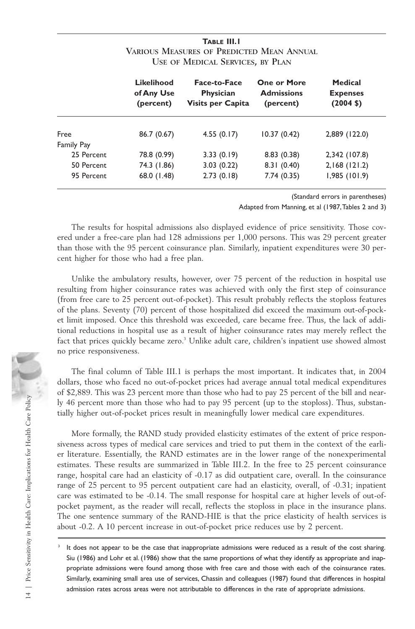|            | Likelihood<br>of Any Use<br>(percent) | Face-to-Face<br>Physician<br>Visits per Capita | <b>One or More</b><br><b>Admissions</b><br>(percent) | Medical<br><b>Expenses</b><br>$(2004 \; \text{S})$ |
|------------|---------------------------------------|------------------------------------------------|------------------------------------------------------|----------------------------------------------------|
| Free       | 86.7 (0.67)                           | 4.55(0.17)                                     | 10.37(0.42)                                          | 2,889 (122.0)                                      |
| Family Pay |                                       |                                                |                                                      |                                                    |
| 25 Percent | 78.8 (0.99)                           | 3.33(0.19)                                     | 8.83(0.38)                                           | 2,342 (107.8)                                      |
| 50 Percent | 74.3 (1.86)                           | 3.03(0.22)                                     | 8.31(0.40)                                           | 2,168(121.2)                                       |
| 95 Percent | 68.0 (1.48)                           | 2.73(0.18)                                     | 7.74(0.35)                                           | 1,985(101.9)                                       |

#### **TABLE III.1 VARIOUS MEASURES OF PREDICTED MEAN ANNUAL USE OF MEDICAL SERVICES, BY PLAN**

(Standard errors in parentheses)

Adapted from Manning, et al (1987,Tables 2 and 3)

The results for hospital admissions also displayed evidence of price sensitivity. Those covered under a free-care plan had 128 admissions per 1,000 persons. This was 29 percent greater than those with the 95 percent coinsurance plan. Similarly, inpatient expenditures were 30 percent higher for those who had a free plan.

Unlike the ambulatory results, however, over 75 percent of the reduction in hospital use resulting from higher coinsurance rates was achieved with only the first step of coinsurance (from free care to 25 percent out-of-pocket). This result probably reflects the stoploss features of the plans. Seventy (70) percent of those hospitalized did exceed the maximum out-of-pocket limit imposed. Once this threshold was exceeded, care became free. Thus, the lack of additional reductions in hospital use as a result of higher coinsurance rates may merely reflect the fact that prices quickly became zero.<sup>3</sup> Unlike adult care, children's inpatient use showed almost no price responsiveness.

The final column of Table III.1 is perhaps the most important. It indicates that, in 2004 dollars, those who faced no out-of-pocket prices had average annual total medical expenditures of \$2,889. This was 23 percent more than those who had to pay 25 percent of the bill and nearly 46 percent more than those who had to pay 95 percent (up to the stoploss). Thus, substantially higher out-of-pocket prices result in meaningfully lower medical care expenditures.

More formally, the RAND study provided elasticity estimates of the extent of price responsiveness across types of medical care services and tried to put them in the context of the earlier literature. Essentially, the RAND estimates are in the lower range of the nonexperimental estimates. These results are summarized in Table III.2. In the free to 25 percent coinsurance range, hospital care had an elasticity of -0.17 as did outpatient care, overall. In the coinsurance range of 25 percent to 95 percent outpatient care had an elasticity, overall, of -0.31; inpatient care was estimated to be -0.14. The small response for hospital care at higher levels of out-ofpocket payment, as the reader will recall, reflects the stoploss in place in the insurance plans. The one sentence summary of the RAND-HIE is that the price elasticity of health services is about -0.2. A 10 percent increase in out-of-pocket price reduces use by 2 percent.

<sup>&</sup>lt;sup>3</sup> It does not appear to be the case that inappropriate admissions were reduced as a result of the cost sharing. Siu (1986) and Lohr et al. (1986) show that the same proportions of what they identify as appropriate and inappropriate admissions were found among those with free care and those with each of the coinsurance rates. Similarly, examining small area use of services, Chassin and colleagues (1987) found that differences in hospital admission rates across areas were not attributable to differences in the rate of appropriate admissions.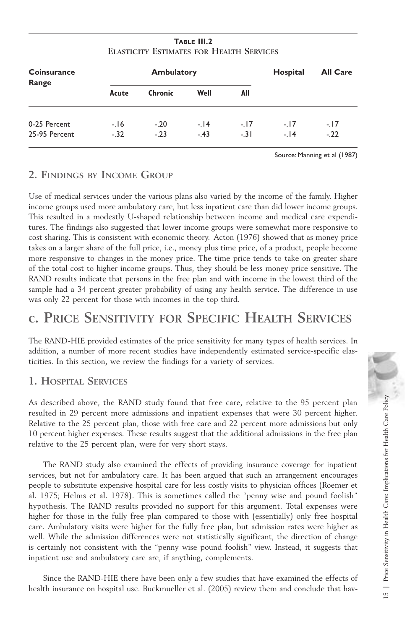| TABLE III.2                                     |  |  |
|-------------------------------------------------|--|--|
| <b>ELASTICITY ESTIMATES FOR HEALTH SERVICES</b> |  |  |

| <b>Coinsurance</b><br>Range |        | <b>Ambulatory</b> | Hospital | <b>All Care</b> |       |        |
|-----------------------------|--------|-------------------|----------|-----------------|-------|--------|
|                             | Acute  | <b>Chronic</b>    | Well     | All             |       |        |
| 0-25 Percent                | $-16$  | $-.20$            | $-14$    | $-17$           | $-17$ | $-17$  |
| 25-95 Percent               | $-.32$ | $-.23$            | $-43$    | $-.31$          | $-14$ | $-.22$ |

Source: Manning et al (1987)

#### **2. FINDINGS BY INCOME GROUP**

Use of medical services under the various plans also varied by the income of the family. Higher income groups used more ambulatory care, but less inpatient care than did lower income groups. This resulted in a modestly U-shaped relationship between income and medical care expenditures. The findings also suggested that lower income groups were somewhat more responsive to cost sharing. This is consistent with economic theory. Acton (1976) showed that as money price takes on a larger share of the full price, i.e., money plus time price, of a product, people become more responsive to changes in the money price. The time price tends to take on greater share of the total cost to higher income groups. Thus, they should be less money price sensitive. The RAND results indicate that persons in the free plan and with income in the lowest third of the sample had a 34 percent greater probability of using any health service. The difference in use was only 22 percent for those with incomes in the top third.

## **c. PRICE SENSITIVITY FOR SPECIFIC HEALTH SERVICES**

The RAND-HIE provided estimates of the price sensitivity for many types of health services. In addition, a number of more recent studies have independently estimated service-specific elasticities. In this section, we review the findings for a variety of services.

#### **1. HOSPITAL SERVICES**

As described above, the RAND study found that free care, relative to the 95 percent plan resulted in 29 percent more admissions and inpatient expenses that were 30 percent higher. Relative to the 25 percent plan, those with free care and 22 percent more admissions but only 10 percent higher expenses. These results suggest that the additional admissions in the free plan relative to the 25 percent plan, were for very short stays.

The RAND study also examined the effects of providing insurance coverage for inpatient services, but not for ambulatory care. It has been argued that such an arrangement encourages people to substitute expensive hospital care for less costly visits to physician offices (Roemer et al. 1975; Helms et al. 1978). This is sometimes called the "penny wise and pound foolish" hypothesis. The RAND results provided no support for this argument. Total expenses were higher for those in the fully free plan compared to those with (essentially) only free hospital care. Ambulatory visits were higher for the fully free plan, but admission rates were higher as well. While the admission differences were not statistically significant, the direction of change is certainly not consistent with the "penny wise pound foolish" view. Instead, it suggests that inpatient use and ambulatory care are, if anything, complements.

Since the RAND-HIE there have been only a few studies that have examined the effects of health insurance on hospital use. Buckmueller et al. (2005) review them and conclude that hav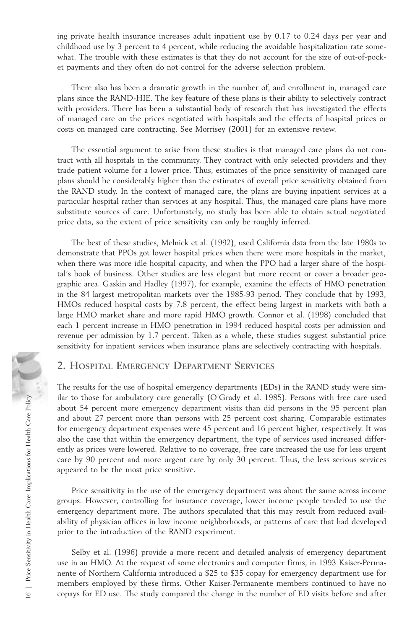ing private health insurance increases adult inpatient use by 0.17 to 0.24 days per year and childhood use by 3 percent to 4 percent, while reducing the avoidable hospitalization rate somewhat. The trouble with these estimates is that they do not account for the size of out-of-pocket payments and they often do not control for the adverse selection problem.

There also has been a dramatic growth in the number of, and enrollment in, managed care plans since the RAND-HIE. The key feature of these plans is their ability to selectively contract with providers. There has been a substantial body of research that has investigated the effects of managed care on the prices negotiated with hospitals and the effects of hospital prices or costs on managed care contracting. See Morrisey (2001) for an extensive review.

The essential argument to arise from these studies is that managed care plans do not contract with all hospitals in the community. They contract with only selected providers and they trade patient volume for a lower price. Thus, estimates of the price sensitivity of managed care plans should be considerably higher than the estimates of overall price sensitivity obtained from the RAND study. In the context of managed care, the plans are buying inpatient services at a particular hospital rather than services at any hospital. Thus, the managed care plans have more substitute sources of care. Unfortunately, no study has been able to obtain actual negotiated price data, so the extent of price sensitivity can only be roughly inferred.

The best of these studies, Melnick et al. (1992), used California data from the late 1980s to demonstrate that PPOs got lower hospital prices when there were more hospitals in the market, when there was more idle hospital capacity, and when the PPO had a larger share of the hospital's book of business. Other studies are less elegant but more recent or cover a broader geographic area. Gaskin and Hadley (1997), for example, examine the effects of HMO penetration in the 84 largest metropolitan markets over the 1985-93 period. They conclude that by 1993, HMOs reduced hospital costs by 7.8 percent, the effect being largest in markets with both a large HMO market share and more rapid HMO growth. Connor et al. (1998) concluded that each 1 percent increase in HMO penetration in 1994 reduced hospital costs per admission and revenue per admission by 1.7 percent. Taken as a whole, these studies suggest substantial price sensitivity for inpatient services when insurance plans are selectively contracting with hospitals.

#### **2. HOSPITAL EMERGENCY DEPARTMENT SERVICES**

The results for the use of hospital emergency departments (EDs) in the RAND study were similar to those for ambulatory care generally (O'Grady et al. 1985). Persons with free care used about 54 percent more emergency department visits than did persons in the 95 percent plan and about 27 percent more than persons with 25 percent cost sharing. Comparable estimates for emergency department expenses were 45 percent and 16 percent higher, respectively. It was also the case that within the emergency department, the type of services used increased differently as prices were lowered. Relative to no coverage, free care increased the use for less urgent care by 90 percent and more urgent care by only 30 percent. Thus, the less serious services appeared to be the most price sensitive. Example that to those for ambulatory care generally (O'Grady et al. 1985). Persons with the state and about 27 percent more emargency department vasis than did percent planet, respectively. It was also the case that within

Price sensitivity in the use of the emergency department was about the same across income groups. However, controlling for insurance coverage, lower income people tended to use the emergency department more. The authors speculated that this may result from reduced availability of physician offices in low income neighborhoods, or patterns of care that had developed prior to the introduction of the RAND experiment.

Selby et al. (1996) provide a more recent and detailed analysis of emergency department use in an HMO. At the request of some electronics and computer firms, in 1993 Kaiser-Permanente of Northern California introduced a \$25 to \$35 copay for emergency department use for members employed by these firms. Other Kaiser-Permanente members continued to have no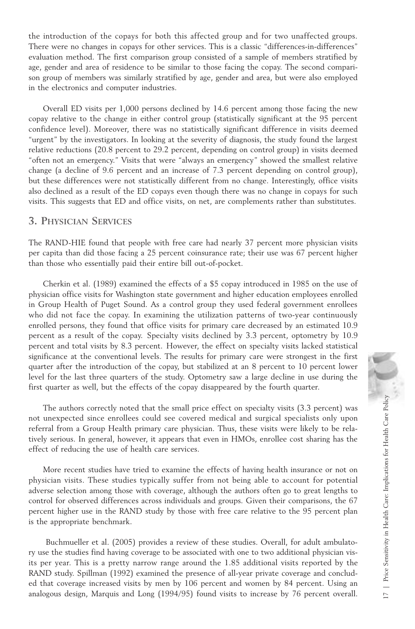the introduction of the copays for both this affected group and for two unaffected groups. There were no changes in copays for other services. This is a classic "differences-in-differences" evaluation method. The first comparison group consisted of a sample of members stratified by age, gender and area of residence to be similar to those facing the copay. The second comparison group of members was similarly stratified by age, gender and area, but were also employed in the electronics and computer industries.

Overall ED visits per 1,000 persons declined by 14.6 percent among those facing the new copay relative to the change in either control group (statistically significant at the 95 percent confidence level). Moreover, there was no statistically significant difference in visits deemed "urgent" by the investigators. In looking at the severity of diagnosis, the study found the largest relative reductions (20.8 percent to 29.2 percent, depending on control group) in visits deemed "often not an emergency." Visits that were "always an emergency" showed the smallest relative change (a decline of 9.6 percent and an increase of 7.3 percent depending on control group), but these differences were not statistically different from no change. Interestingly, office visits also declined as a result of the ED copays even though there was no change in copays for such visits. This suggests that ED and office visits, on net, are complements rather than substitutes.

#### **3. PHYSICIAN SERVICES**

The RAND-HIE found that people with free care had nearly 37 percent more physician visits per capita than did those facing a 25 percent coinsurance rate; their use was 67 percent higher than those who essentially paid their entire bill out-of-pocket.

Cherkin et al. (1989) examined the effects of a \$5 copay introduced in 1985 on the use of physician office visits for Washington state government and higher education employees enrolled in Group Health of Puget Sound. As a control group they used federal government enrollees who did not face the copay. In examining the utilization patterns of two-year continuously enrolled persons, they found that office visits for primary care decreased by an estimated 10.9 percent as a result of the copay. Specialty visits declined by 3.3 percent, optometry by 10.9 percent and total visits by 8.3 percent. However, the effect on specialty visits lacked statistical significance at the conventional levels. The results for primary care were strongest in the first quarter after the introduction of the copay, but stabilized at an 8 percent to 10 percent lower level for the last three quarters of the study. Optometry saw a large decline in use during the first quarter as well, but the effects of the copay disappeared by the fourth quarter.

The authors correctly noted that the small price effect on specialty visits (3.3 percent) was not unexpected since enrollees could see covered medical and surgical specialists only upon referral from a Group Health primary care physician. Thus, these visits were likely to be relatively serious. In general, however, it appears that even in HMOs, enrollee cost sharing has the effect of reducing the use of health care services.

More recent studies have tried to examine the effects of having health insurance or not on physician visits. These studies typically suffer from not being able to account for potential adverse selection among those with coverage, although the authors often go to great lengths to control for observed differences across individuals and groups. Given their comparisons, the 67 percent higher use in the RAND study by those with free care relative to the 95 percent plan is the appropriate benchmark. The authors correctly noted that the small price effect on specialty visits (3.3 percent) was<br>not unexpected since enrollees could see covered medical and surgical specialists only upon<br>referral from a Group Health primar

Buchmueller et al. (2005) provides a review of these studies. Overall, for adult ambulatory use the studies find having coverage to be associated with one to two additional physician visits per year. This is a pretty narrow range around the 1.85 additional visits reported by the RAND study. Spillman (1992) examined the presence of all-year private coverage and concluded that coverage increased visits by men by 106 percent and women by 84 percent. Using an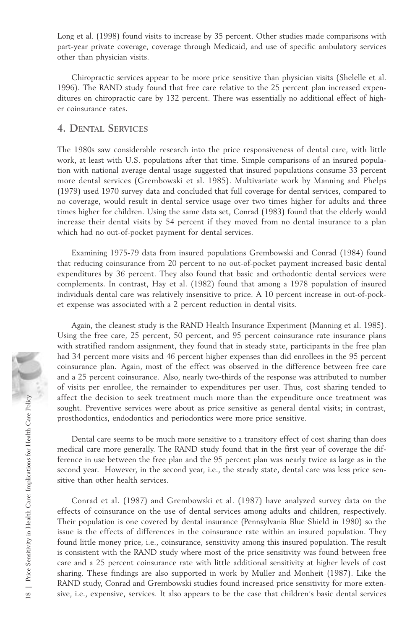Long et al. (1998) found visits to increase by 35 percent. Other studies made comparisons with part-year private coverage, coverage through Medicaid, and use of specific ambulatory services other than physician visits.

Chiropractic services appear to be more price sensitive than physician visits (Shelelle et al. 1996). The RAND study found that free care relative to the 25 percent plan increased expenditures on chiropractic care by 132 percent. There was essentially no additional effect of higher coinsurance rates.

#### **4. DENTAL SERVICES**

The 1980s saw considerable research into the price responsiveness of dental care, with little work, at least with U.S. populations after that time. Simple comparisons of an insured population with national average dental usage suggested that insured populations consume 33 percent more dental services (Grembowski et al. 1985). Multivariate work by Manning and Phelps (1979) used 1970 survey data and concluded that full coverage for dental services, compared to no coverage, would result in dental service usage over two times higher for adults and three times higher for children. Using the same data set, Conrad (1983) found that the elderly would increase their dental visits by 54 percent if they moved from no dental insurance to a plan which had no out-of-pocket payment for dental services.

Examining 1975-79 data from insured populations Grembowski and Conrad (1984) found that reducing coinsurance from 20 percent to no out-of-pocket payment increased basic dental expenditures by 36 percent. They also found that basic and orthodontic dental services were complements. In contrast, Hay et al. (1982) found that among a 1978 population of insured individuals dental care was relatively insensitive to price. A 10 percent increase in out-of-pocket expense was associated with a 2 percent reduction in dental visits.

Again, the cleanest study is the RAND Health Insurance Experiment (Manning et al. 1985). Using the free care, 25 percent, 50 percent, and 95 percent coinsurance rate insurance plans with stratified random assignment, they found that in steady state, participants in the free plan had 34 percent more visits and 46 percent higher expenses than did enrollees in the 95 percent coinsurance plan. Again, most of the effect was observed in the difference between free care and a 25 percent coinsurance. Also, nearly two-thirds of the response was attributed to number of visits per enrollee, the remainder to expenditures per user. Thus, cost sharing tended to affect the decision to seek treatment much more than the expenditure once treatment was sought. Preventive services were about as price sensitive as general dental visits; in contrast, prosthodontics, endodontics and periodontics were more price sensitive.

Dental care seems to be much more sensitive to a transitory effect of cost sharing than does medical care more generally. The RAND study found that in the first year of coverage the difference in use between the free plan and the 95 percent plan was nearly twice as large as in the second year. However, in the second year, i.e., the steady state, dental care was less price sensitive than other health services.

Conrad et al. (1987) and Grembowski et al. (1987) have analyzed survey data on the effects of coinsurance on the use of dental services among adults and children, respectively. Their population is one covered by dental insurance (Pennsylvania Blue Shield in 1980) so the issue is the effects of differences in the coinsurance rate within an insured population. They found little money price, i.e., coinsurance, sensitivity among this insured population. The result is consistent with the RAND study where most of the price sensitivity was found between free care and a 25 percent coinsurance rate with little additional sensitivity at higher levels of cost sharing. These findings are also supported in work by Muller and Monheit (1987). Like the RAND study, Conrad and Grembowski studies found increased price sensitivity for more exten-Frem the decision to seek treatment much more than the expenditure once treatment was<br>sught. Preventive services were about a price sensitive as general dental visits; in contrast,<br>prosthodontics, endodontics and periodont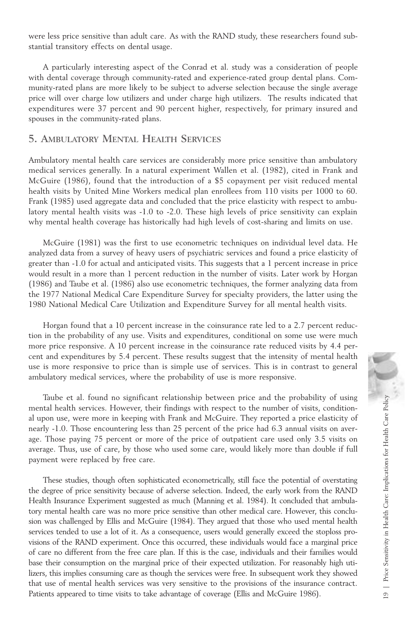were less price sensitive than adult care. As with the RAND study, these researchers found substantial transitory effects on dental usage.

A particularly interesting aspect of the Conrad et al. study was a consideration of people with dental coverage through community-rated and experience-rated group dental plans. Community-rated plans are more likely to be subject to adverse selection because the single average price will over charge low utilizers and under charge high utilizers. The results indicated that expenditures were 37 percent and 90 percent higher, respectively, for primary insured and spouses in the community-rated plans.

#### **5. AMBULATORY MENTAL HEALTH SERVICES**

Ambulatory mental health care services are considerably more price sensitive than ambulatory medical services generally. In a natural experiment Wallen et al. (1982), cited in Frank and McGuire (1986), found that the introduction of a \$5 copayment per visit reduced mental health visits by United Mine Workers medical plan enrollees from 110 visits per 1000 to 60. Frank (1985) used aggregate data and concluded that the price elasticity with respect to ambulatory mental health visits was -1.0 to -2.0. These high levels of price sensitivity can explain why mental health coverage has historically had high levels of cost-sharing and limits on use.

McGuire (1981) was the first to use econometric techniques on individual level data. He analyzed data from a survey of heavy users of psychiatric services and found a price elasticity of greater than -1.0 for actual and anticipated visits. This suggests that a 1 percent increase in price would result in a more than 1 percent reduction in the number of visits. Later work by Horgan (1986) and Taube et al. (1986) also use econometric techniques, the former analyzing data from the 1977 National Medical Care Expenditure Survey for specialty providers, the latter using the 1980 National Medical Care Utilization and Expenditure Survey for all mental health visits.

Horgan found that a 10 percent increase in the coinsurance rate led to a 2.7 percent reduction in the probability of any use. Visits and expenditures, conditional on some use were much more price responsive. A 10 percent increase in the coinsurance rate reduced visits by 4.4 percent and expenditures by 5.4 percent. These results suggest that the intensity of mental health use is more responsive to price than is simple use of services. This is in contrast to general ambulatory medical services, where the probability of use is more responsive.

Taube et al. found no significant relationship between price and the probability of using mental health services. However, their findings with respect to the number of visits, conditional upon use, were more in keeping with Frank and McGuire. They reported a price elasticity of nearly -1.0. Those encountering less than 25 percent of the price had 6.3 annual visits on average. Those paying 75 percent or more of the price of outpatient care used only 3.5 visits on average. Thus, use of care, by those who used some care, would likely more than double if full payment were replaced by free care.

These studies, though often sophisticated econometrically, still face the potential of overstating the degree of price sensitivity because of adverse selection. Indeed, the early work from the RAND Health Insurance Experiment suggested as much (Manning et al. 1984). It concluded that ambulatory mental health care was no more price sensitive than other medical care. However, this conclusion was challenged by Ellis and McGuire (1984). They argued that those who used mental health services tended to use a lot of it. As a consequence, users would generally exceed the stoploss provisions of the RAND experiment. Once this occurred, these individuals would face a marginal price of care no different from the free care plan. If this is the case, individuals and their families would base their consumption on the marginal price of their expected utilization. For reasonably high utilizers, this implies consuming care as though the services were free. In subsequent work they showed that use of mental health services was very sensitive to the provisions of the insurance contract. Table et al. tound no significant relationship between price and the probability of using<br>all upon use, were more in keeping with Frank and McGuire. They reported a price elasticity of<br>nearly -1.0. Those encountering less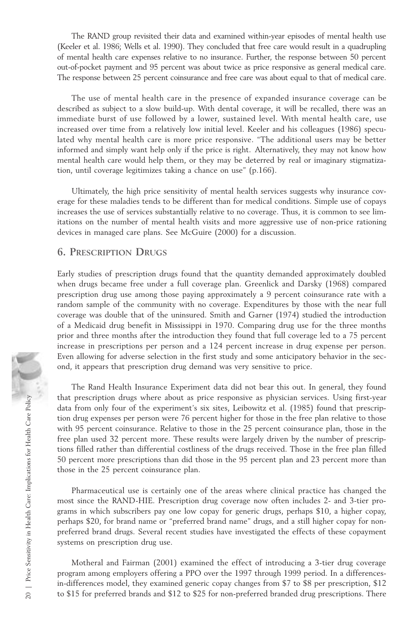The RAND group revisited their data and examined within-year episodes of mental health use (Keeler et al. 1986; Wells et al. 1990). They concluded that free care would result in a quadrupling of mental health care expenses relative to no insurance. Further, the response between 50 percent out-of-pocket payment and 95 percent was about twice as price responsive as general medical care. The response between 25 percent coinsurance and free care was about equal to that of medical care.

The use of mental health care in the presence of expanded insurance coverage can be described as subject to a slow build-up. With dental coverage, it will be recalled, there was an immediate burst of use followed by a lower, sustained level. With mental health care, use increased over time from a relatively low initial level. Keeler and his colleagues (1986) speculated why mental health care is more price responsive. "The additional users may be better informed and simply want help only if the price is right. Alternatively, they may not know how mental health care would help them, or they may be deterred by real or imaginary stigmatization, until coverage legitimizes taking a chance on use" (p.166).

Ultimately, the high price sensitivity of mental health services suggests why insurance coverage for these maladies tends to be different than for medical conditions. Simple use of copays increases the use of services substantially relative to no coverage. Thus, it is common to see limitations on the number of mental health visits and more aggressive use of non-price rationing devices in managed care plans. See McGuire (2000) for a discussion.

#### **6. PRESCRIPTION DRUGS**

Early studies of prescription drugs found that the quantity demanded approximately doubled when drugs became free under a full coverage plan. Greenlick and Darsky (1968) compared prescription drug use among those paying approximately a 9 percent coinsurance rate with a random sample of the community with no coverage. Expenditures by those with the near full coverage was double that of the uninsured. Smith and Garner (1974) studied the introduction of a Medicaid drug benefit in Mississippi in 1970. Comparing drug use for the three months prior and three months after the introduction they found that full coverage led to a 75 percent increase in prescriptions per person and a 124 percent increase in drug expense per person. Even allowing for adverse selection in the first study and some anticipatory behavior in the second, it appears that prescription drug demand was very sensitive to price.

The Rand Health Insurance Experiment data did not bear this out. In general, they found that prescription drugs where about as price responsive as physician services. Using first-year data from only four of the experiment's six sites, Leibowitz et al. (1985) found that prescription drug expenses per person were 76 percent higher for those in the free plan relative to those with 95 percent coinsurance. Relative to those in the 25 percent coinsurance plan, those in the free plan used 32 percent more. These results were largely driven by the number of prescriptions filled rather than differential costliness of the drugs received. Those in the free plan filled 50 percent more prescriptions than did those in the 95 percent plan and 23 percent more than those in the 25 percent coinsurance plan. that prescription drugs where about as price responsive as physician services. Using irist-year<br>
data from only four of the experiment's six stics, Leibouvitz et al. (1985) found that prescrip-<br>
with 95 percent coinsuranc

Pharmaceutical use is certainly one of the areas where clinical practice has changed the most since the RAND-HIE. Prescription drug coverage now often includes 2- and 3-tier programs in which subscribers pay one low copay for generic drugs, perhaps \$10, a higher copay, perhaps \$20, for brand name or "preferred brand name" drugs, and a still higher copay for nonpreferred brand drugs. Several recent studies have investigated the effects of these copayment systems on prescription drug use.

Motheral and Fairman (2001) examined the effect of introducing a 3-tier drug coverage program among employers offering a PPO over the 1997 through 1999 period. In a differencesin-differences model, they examined generic copay changes from \$7 to \$8 per prescription, \$12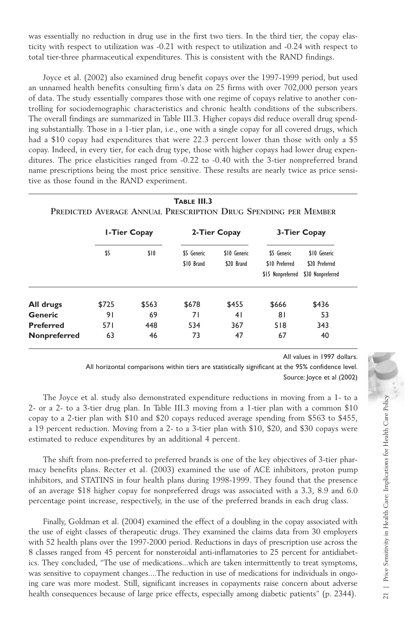was essentially no reduction in drug use in the first two tiers. In the third tier, the copay elasticity with respect to utilization was -0.21 with respect to utilization and -0.24 with respect to total tier-three pharmaceutical expenditures. This is consistent with the RAND findings.

Joyce et al. (2002) also examined drug benefit copays over the 1997-1999 period, but used an unnamed health benefits consulting firm's data on 25 firms with over 702,000 person years of data. The study essentially compares those with one regime of copays relative to another controlling for sociodemographic characteristics and chronic health conditions of the subscribers. The overall findings are summarized in Table III.3. Higher copays did reduce overall drug spending substantially. Those in a 1-tier plan, i.e., one with a single copay for all covered drugs, which had a \$10 copay had expenditures that were 22.3 percent lower than those with only a \$5 copay. Indeed, in every tier, for each drug type, those with higher copays had lower drug expenditures. The price elasticities ranged from -0.22 to -0.40 with the 3-tier nonpreferred brand name prescriptions being the most price sensitive. These results are nearly twice as price sensitive as those found in the RAND experiment.

|                  | <b>I-Tier Copay</b> |       | 2-Tier Copay              |                            | 3-Tier Copay                                       |                                                     |
|------------------|---------------------|-------|---------------------------|----------------------------|----------------------------------------------------|-----------------------------------------------------|
|                  | \$5                 | \$10  | \$5 Generic<br>\$10 Brand | \$10 Generic<br>\$20 Brand | \$5 Generic<br>\$10 Preferred<br>\$15 Nonpreferred | \$10 Generic<br>\$20 Preferred<br>\$30 Nonpreferred |
| All drugs        | \$725               | \$563 | \$678                     | \$455                      | \$666                                              | \$436                                               |
| Generic          | 91                  | 69    | 71                        | 41                         | 81                                                 | 53                                                  |
| <b>Preferred</b> | 571                 | 448   | 534                       | 367                        | 518                                                | 343                                                 |
| Nonpreferred     | 63                  | 46    | 73                        | 47                         | 67                                                 | 40                                                  |

**TABLE III.3**

All values in 1997 dollars.

All horizontal comparisons within tiers are statistically significant at the 95% confidence level. Source: Joyce et al (2002)

The Joyce et al. study also demonstrated expenditure reductions in moving from a 1- to a 2- or a 2- to a 3-tier drug plan. In Table III.3 moving from a 1-tier plan with a common \$10 copay to a 2-tier plan with \$10 and \$20 copays reduced average spending from \$563 to \$455, a 19 percent reduction. Moving from a 2- to a 3-tier plan with \$10, \$20, and \$30 copays were estimated to reduce expenditures by an additional 4 percent.

The shift from non-preferred to preferred brands is one of the key objectives of 3-tier pharmacy benefits plans. Recter et al. (2003) examined the use of ACE inhibitors, proton pump inhibitors, and STATINS in four health plans during 1998-1999. They found that the presence of an average \$18 higher copay for nonpreferred drugs was associated with a 3.3, 8.9 and 6.0 percentage point increase, respectively, in the use of the preferred brands in each drug class.

Finally, Goldman et al. (2004) examined the effect of a doubling in the copay associated with the use of eight classes of therapeutic drugs. They examined the claims data from 30 employers with 52 health plans over the 1997-2000 period. Reductions in days of prescription use across the 8 classes ranged from 45 percent for nonsteroidal anti-inflamatories to 25 percent for antidiabetics. They concluded, "The use of medications...which are taken intermittently to treat symptoms, was sensitive to copayment changes....The reduction in use of medications for individuals in ongoing care was more modest. Still, significant increases in copayments raise concern about adverse The Joyce et al. study also demonstrated expenditure reductions in moving from a 1- to a 2-to a 2-tier plan with \$10 and \$20 copays reduced average spending from \$563 to \$455, a 29 percent reduction. Moving from a 2- to a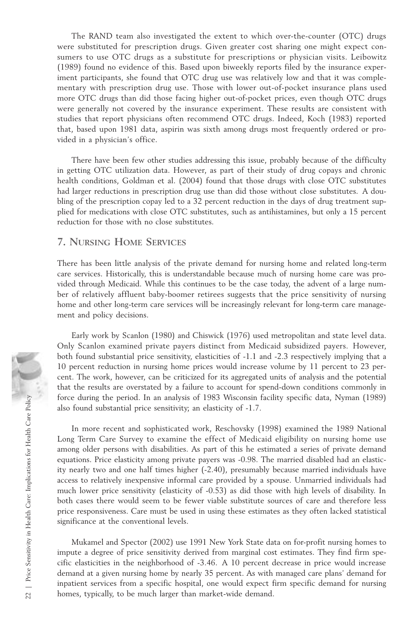The RAND team also investigated the extent to which over-the-counter (OTC) drugs were substituted for prescription drugs. Given greater cost sharing one might expect consumers to use OTC drugs as a substitute for prescriptions or physician visits. Leibowitz (1989) found no evidence of this. Based upon biweekly reports filed by the insurance experiment participants, she found that OTC drug use was relatively low and that it was complementary with prescription drug use. Those with lower out-of-pocket insurance plans used more OTC drugs than did those facing higher out-of-pocket prices, even though OTC drugs were generally not covered by the insurance experiment. These results are consistent with studies that report physicians often recommend OTC drugs. Indeed, Koch (1983) reported that, based upon 1981 data, aspirin was sixth among drugs most frequently ordered or provided in a physician's office.

There have been few other studies addressing this issue, probably because of the difficulty in getting OTC utilization data. However, as part of their study of drug copays and chronic health conditions, Goldman et al. (2004) found that those drugs with close OTC substitutes had larger reductions in prescription drug use than did those without close substitutes. A doubling of the prescription copay led to a 32 percent reduction in the days of drug treatment supplied for medications with close OTC substitutes, such as antihistamines, but only a 15 percent reduction for those with no close substitutes.

#### **7. NURSING HOME SERVICES**

There has been little analysis of the private demand for nursing home and related long-term care services. Historically, this is understandable because much of nursing home care was provided through Medicaid. While this continues to be the case today, the advent of a large number of relatively affluent baby-boomer retirees suggests that the price sensitivity of nursing home and other long-term care services will be increasingly relevant for long-term care management and policy decisions.

Early work by Scanlon (1980) and Chiswick (1976) used metropolitan and state level data. Only Scanlon examined private payers distinct from Medicaid subsidized payers. However, both found substantial price sensitivity, elasticities of -1.1 and -2.3 respectively implying that a 10 percent reduction in nursing home prices would increase volume by 11 percent to 23 percent. The work, however, can be criticized for its aggregated units of analysis and the potential that the results are overstated by a failure to account for spend-down conditions commonly in force during the period. In an analysis of 1983 Wisconsin facility specific data, Nyman (1989) also found substantial price sensitivity; an elasticity of -1.7.

In more recent and sophisticated work, Reschovsky (1998) examined the 1989 National Long Term Care Survey to examine the effect of Medicaid eligibility on nursing home use among older persons with disabilities. As part of this he estimated a series of private demand equations. Price elasticity among private payers was -0.98. The married disabled had an elasticity nearly two and one half times higher (-2.40), presumably because married individuals have access to relatively inexpensive informal care provided by a spouse. Unmarried individuals had much lower price sensitivity (elasticity of -0.53) as did those with high levels of disability. In both cases there would seem to be fewer viable substitute sources of care and therefore less price responsiveness. Care must be used in using these estimates as they often lacked statistical significance at the conventional levels. From the period. In an analysis of 1983 Wisconsin facil<br>also found substantial price sensitivity; an elasticity of -1.7.<br>In more recent and sophisticated work, Reschovsky (199<br>Long Term Care Survey to examine the effect of

Mukamel and Spector (2002) use 1991 New York State data on for-profit nursing homes to impute a degree of price sensitivity derived from marginal cost estimates. They find firm specific elasticities in the neighborhood of -3.46. A 10 percent decrease in price would increase demand at a given nursing home by nearly 35 percent. As with managed care plans' demand for inpatient services from a specific hospital, one would expect firm specific demand for nursing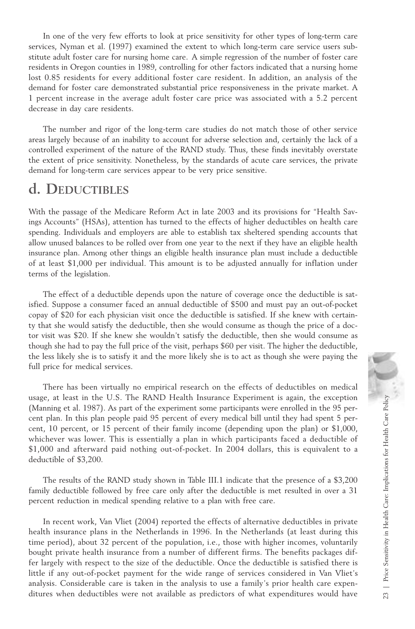In one of the very few efforts to look at price sensitivity for other types of long-term care services, Nyman et al. (1997) examined the extent to which long-term care service users substitute adult foster care for nursing home care. A simple regression of the number of foster care residents in Oregon counties in 1989, controlling for other factors indicated that a nursing home lost 0.85 residents for every additional foster care resident. In addition, an analysis of the demand for foster care demonstrated substantial price responsiveness in the private market. A 1 percent increase in the average adult foster care price was associated with a 5.2 percent decrease in day care residents.

The number and rigor of the long-term care studies do not match those of other service areas largely because of an inability to account for adverse selection and, certainly the lack of a controlled experiment of the nature of the RAND study. Thus, these finds inevitably overstate the extent of price sensitivity. Nonetheless, by the standards of acute care services, the private demand for long-term care services appear to be very price sensitive.

## **d. DEDUCTIBLES**

With the passage of the Medicare Reform Act in late 2003 and its provisions for "Health Savings Accounts" (HSAs), attention has turned to the effects of higher deductibles on health care spending. Individuals and employers are able to establish tax sheltered spending accounts that allow unused balances to be rolled over from one year to the next if they have an eligible health insurance plan. Among other things an eligible health insurance plan must include a deductible of at least \$1,000 per individual. This amount is to be adjusted annually for inflation under terms of the legislation.

The effect of a deductible depends upon the nature of coverage once the deductible is satisfied. Suppose a consumer faced an annual deductible of \$500 and must pay an out-of-pocket copay of \$20 for each physician visit once the deductible is satisfied. If she knew with certainty that she would satisfy the deductible, then she would consume as though the price of a doctor visit was \$20. If she knew she wouldn't satisfy the deductible, then she would consume as though she had to pay the full price of the visit, perhaps \$60 per visit. The higher the deductible, the less likely she is to satisfy it and the more likely she is to act as though she were paying the full price for medical services.

There has been virtually no empirical research on the effects of deductibles on medical usage, at least in the U.S. The RAND Health Insurance Experiment is again, the exception (Manning et al. 1987). As part of the experiment some participants were enrolled in the 95 percent plan. In this plan people paid 95 percent of every medical bill until they had spent 5 percent, 10 percent, or 15 percent of their family income (depending upon the plan) or \$1,000, whichever was lower. This is essentially a plan in which participants faced a deductible of \$1,000 and afterward paid nothing out-of-pocket. In 2004 dollars, this is equivalent to a deductible of \$3,200.

The results of the RAND study shown in Table III.1 indicate that the presence of a \$3,200 family deductible followed by free care only after the deductible is met resulted in over a 31 percent reduction in medical spending relative to a plan with free care.

In recent work, Van Vliet (2004) reported the effects of alternative deductibles in private health insurance plans in the Netherlands in 1996. In the Netherlands (at least during this time period), about 32 percent of the population, i.e., those with higher incomes, voluntarily bought private health insurance from a number of different firms. The benefits packages differ largely with respect to the size of the deductible. Once the deductible is satisfied there is little if any out-of-pocket payment for the wide range of services considered in Van Vliet's analysis. Considerable care is taken in the analysis to use a family's prior health care expenusage, at least in the U.S. The RAND Health Insurance Experiment is again, the exception<br>(Maning et al. 1987). As part of the experient some participants were errolled in the 95 percent, 10 percent, or 15 percent of eher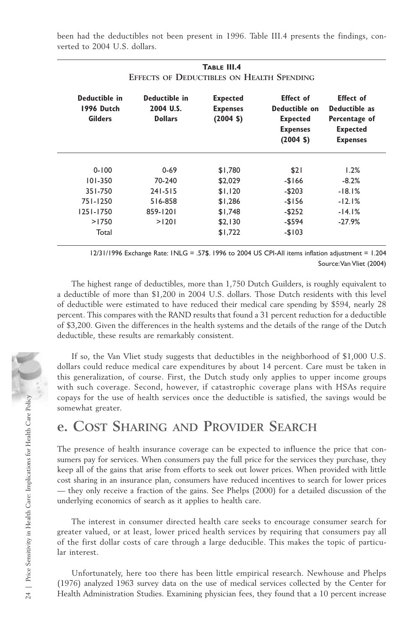been had the deductibles not been present in 1996. Table III.4 presents the findings, converted to 2004 U.S. dollars.

**TABLE III.4**

| Deductible in<br>1996 Dutch<br><b>Gilders</b> | Deductible in<br>2004 U.S.<br><b>Dollars</b> | <b>Expected</b><br><b>Expenses</b><br>$(2004 \; \text{S})$ | <b>Effect</b> of<br>Deductible on<br><b>Expected</b><br><b>Expenses</b><br>$(2004 \; \text{S})$ | <b>Effect</b> of<br>Deductible as<br>Percentage of<br><b>Expected</b><br><b>Expenses</b> |
|-----------------------------------------------|----------------------------------------------|------------------------------------------------------------|-------------------------------------------------------------------------------------------------|------------------------------------------------------------------------------------------|
| $0 - 100$                                     | $0 - 69$                                     | \$1,780                                                    | \$21                                                                                            | 1.2%                                                                                     |
| $101 - 350$                                   | 70-240                                       | \$2,029                                                    | $-$166$                                                                                         | $-8.2%$                                                                                  |
| 351-750                                       | $241 - 515$                                  | \$1,120                                                    | $-$203$                                                                                         | $-18.1%$                                                                                 |
| 751-1250                                      | 516-858                                      | \$1,286                                                    | $-$156$                                                                                         | $-12.1%$                                                                                 |
| $1251 - 1750$                                 | 859-1201                                     | \$1,748                                                    | $-$ \$252                                                                                       | $-14.1%$                                                                                 |
| >1750                                         | >1201                                        | \$2,130                                                    | $-$ \$594                                                                                       | $-27.9%$                                                                                 |
| Total                                         |                                              | \$1,722                                                    | $-$103$                                                                                         |                                                                                          |

12/31/1996 Exchange Rate: 1NLG = .57\$. 1996 to 2004 US CPI-All items inflation adjustment = 1.204 Source:Van Vliet (2004)

The highest range of deductibles, more than 1,750 Dutch Guilders, is roughly equivalent to a deductible of more than \$1,200 in 2004 U.S. dollars. Those Dutch residents with this level of deductible were estimated to have reduced their medical care spending by \$594, nearly 28 percent. This compares with the RAND results that found a 31 percent reduction for a deductible of \$3,200. Given the differences in the health systems and the details of the range of the Dutch deductible, these results are remarkably consistent.

If so, the Van Vliet study suggests that deductibles in the neighborhood of \$1,000 U.S. dollars could reduce medical care expenditures by about 14 percent. Care must be taken in this generalization, of course. First, the Dutch study only applies to upper income groups with such coverage. Second, however, if catastrophic coverage plans with HSAs require copays for the use of health services once the deductible is satisfied, the savings would be somewhat greater.

## **e. COST SHARING AND PROVIDER SEARCH**

The presence of health insurance coverage can be expected to influence the price that consumers pay for services. When consumers pay the full price for the services they purchase, they keep all of the gains that arise from efforts to seek out lower prices. When provided with little cost sharing in an insurance plan, consumers have reduced incentives to search for lower prices — they only receive a fraction of the gains. See Phelps (2000) for a detailed discussion of the underlying economics of search as it applies to health care. Feature of health Studies once the deductible is satisfied, the savings would be<br>
somewhat greater.<br> **C. COST SHARING AND PROVIDER SEARCH**<br>
The presence of health insurance coverage can be expected to influence the price t

The interest in consumer directed health care seeks to encourage consumer search for greater valued, or at least, lower priced health services by requiring that consumers pay all of the first dollar costs of care through a large deducible. This makes the topic of particular interest.

Unfortunately, here too there has been little empirical research. Newhouse and Phelps (1976) analyzed 1963 survey data on the use of medical services collected by the Center for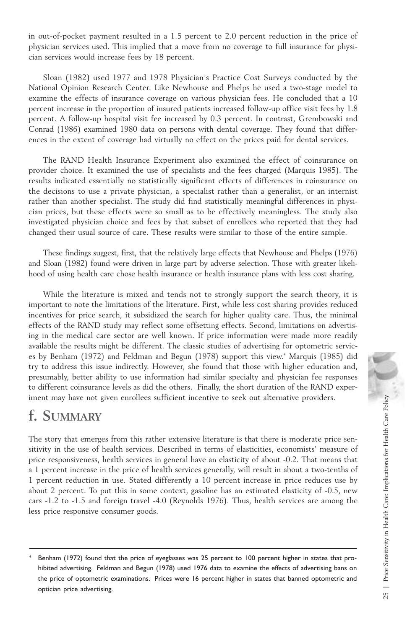in out-of-pocket payment resulted in a 1.5 percent to 2.0 percent reduction in the price of physician services used. This implied that a move from no coverage to full insurance for physician services would increase fees by 18 percent.

Sloan (1982) used 1977 and 1978 Physician's Practice Cost Surveys conducted by the National Opinion Research Center. Like Newhouse and Phelps he used a two-stage model to examine the effects of insurance coverage on various physician fees. He concluded that a 10 percent increase in the proportion of insured patients increased follow-up office visit fees by 1.8 percent. A follow-up hospital visit fee increased by 0.3 percent. In contrast, Grembowski and Conrad (1986) examined 1980 data on persons with dental coverage. They found that differences in the extent of coverage had virtually no effect on the prices paid for dental services.

The RAND Health Insurance Experiment also examined the effect of coinsurance on provider choice. It examined the use of specialists and the fees charged (Marquis 1985). The results indicated essentially no statistically significant effects of differences in coinsurance on the decisions to use a private physician, a specialist rather than a generalist, or an internist rather than another specialist. The study did find statistically meaningful differences in physician prices, but these effects were so small as to be effectively meaningless. The study also investigated physician choice and fees by that subset of enrollees who reported that they had changed their usual source of care. These results were similar to those of the entire sample.

These findings suggest, first, that the relatively large effects that Newhouse and Phelps (1976) and Sloan (1982) found were driven in large part by adverse selection. Those with greater likelihood of using health care chose health insurance or health insurance plans with less cost sharing.

While the literature is mixed and tends not to strongly support the search theory, it is important to note the limitations of the literature. First, while less cost sharing provides reduced incentives for price search, it subsidized the search for higher quality care. Thus, the minimal effects of the RAND study may reflect some offsetting effects. Second, limitations on advertising in the medical care sector are well known. If price information were made more readily available the results might be different. The classic studies of advertising for optometric services by Benham (1972) and Feldman and Begun (1978) support this view.<sup>4</sup> Marquis (1985) did try to address this issue indirectly. However, she found that those with higher education and, presumably, better ability to use information had similar specialty and physician fee responses to different coinsurance levels as did the others. Finally, the short duration of the RAND experiment may have not given enrollees sufficient incentive to seek out alternative providers.

## **f. SUMMARY**

The story that emerges from this rather extensive literature is that there is moderate price sensitivity in the use of health services. Described in terms of elasticities, economists' measure of price responsiveness, health services in general have an elasticity of about -0.2. That means that a 1 percent increase in the price of health services generally, will result in about a two-tenths of 1 percent reduction in use. Stated differently a 10 percent increase in price reduces use by about 2 percent. To put this in some context, gasoline has an estimated elasticity of -0.5, new cars -1.2 to -1.5 and foreign travel -4.0 (Reynolds 1976). Thus, health services are among the less price responsive consumer goods.

Benham (1972) found that the price of eyeglasses was 25 percent to 100 percent higher in states that prohibited advertising. Feldman and Begun (1978) used 1976 data to examine the effects of advertising bans on the price of optometric examinations. Prices were 16 percent higher in states that banned optometric and optician price advertising.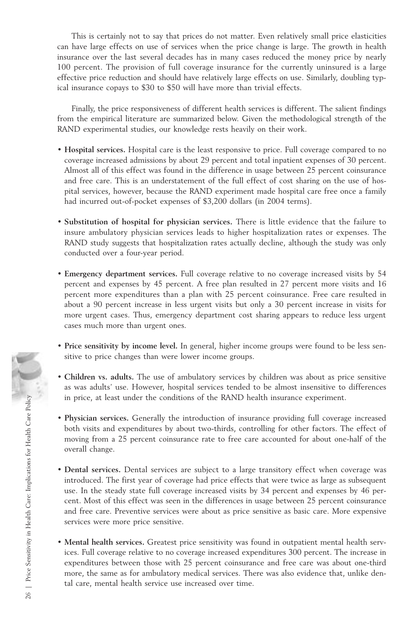This is certainly not to say that prices do not matter. Even relatively small price elasticities can have large effects on use of services when the price change is large. The growth in health insurance over the last several decades has in many cases reduced the money price by nearly 100 percent. The provision of full coverage insurance for the currently uninsured is a large effective price reduction and should have relatively large effects on use. Similarly, doubling typical insurance copays to \$30 to \$50 will have more than trivial effects.

Finally, the price responsiveness of different health services is different. The salient findings from the empirical literature are summarized below. Given the methodological strength of the RAND experimental studies, our knowledge rests heavily on their work.

- **Hospital services.** Hospital care is the least responsive to price. Full coverage compared to no coverage increased admissions by about 29 percent and total inpatient expenses of 30 percent. Almost all of this effect was found in the difference in usage between 25 percent coinsurance and free care. This is an understatement of the full effect of cost sharing on the use of hospital services, however, because the RAND experiment made hospital care free once a family had incurred out-of-pocket expenses of \$3,200 dollars (in 2004 terms).
- **Substitution of hospital for physician services.** There is little evidence that the failure to insure ambulatory physician services leads to higher hospitalization rates or expenses. The RAND study suggests that hospitalization rates actually decline, although the study was only conducted over a four-year period.
- **Emergency department services.** Full coverage relative to no coverage increased visits by 54 percent and expenses by 45 percent. A free plan resulted in 27 percent more visits and 16 percent more expenditures than a plan with 25 percent coinsurance. Free care resulted in about a 90 percent increase in less urgent visits but only a 30 percent increase in visits for more urgent cases. Thus, emergency department cost sharing appears to reduce less urgent cases much more than urgent ones.
- **Price sensitivity by income level.** In general, higher income groups were found to be less sensitive to price changes than were lower income groups.
- **Children vs. adults.** The use of ambulatory services by children was about as price sensitive as was adults' use. However, hospital services tended to be almost insensitive to differences in price, at least under the conditions of the RAND health insurance experiment.
- **Physician services.** Generally the introduction of insurance providing full coverage increased both visits and expenditures by about two-thirds, controlling for other factors. The effect of moving from a 25 percent coinsurance rate to free care accounted for about one-half of the overall change.
- **Dental services.** Dental services are subject to a large transitory effect when coverage was introduced. The first year of coverage had price effects that were twice as large as subsequent use. In the steady state full coverage increased visits by 34 percent and expenses by 46 percent. Most of this effect was seen in the differences in usage between 25 percent coinsurance and free care. Preventive services were about as price sensitive as basic care. More expensive services were more price sensitive.
- **Mental health services.** Greatest price sensitivity was found in outpatient mental health services. Full coverage relative to no coverage increased expenditures 300 percent. The increase in expenditures between those with 25 percent coinsurance and free care was about one-third more, the same as for ambulatory medical services. There was also evidence that, unlike dental care, mental health service use increased over time.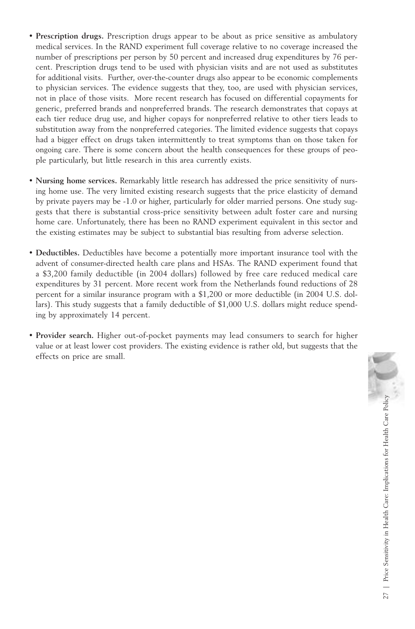- **Prescription drugs.** Prescription drugs appear to be about as price sensitive as ambulatory medical services. In the RAND experiment full coverage relative to no coverage increased the number of prescriptions per person by 50 percent and increased drug expenditures by 76 percent. Prescription drugs tend to be used with physician visits and are not used as substitutes for additional visits. Further, over-the-counter drugs also appear to be economic complements to physician services. The evidence suggests that they, too, are used with physician services, not in place of those visits. More recent research has focused on differential copayments for generic, preferred brands and nonpreferred brands. The research demonstrates that copays at each tier reduce drug use, and higher copays for nonpreferred relative to other tiers leads to substitution away from the nonpreferred categories. The limited evidence suggests that copays had a bigger effect on drugs taken intermittently to treat symptoms than on those taken for ongoing care. There is some concern about the health consequences for these groups of people particularly, but little research in this area currently exists.
- **Nursing home services.** Remarkably little research has addressed the price sensitivity of nursing home use. The very limited existing research suggests that the price elasticity of demand by private payers may be -1.0 or higher, particularly for older married persons. One study suggests that there is substantial cross-price sensitivity between adult foster care and nursing home care. Unfortunately, there has been no RAND experiment equivalent in this sector and the existing estimates may be subject to substantial bias resulting from adverse selection.
- **Deductibles.** Deductibles have become a potentially more important insurance tool with the advent of consumer-directed health care plans and HSAs. The RAND experiment found that a \$3,200 family deductible (in 2004 dollars) followed by free care reduced medical care expenditures by 31 percent. More recent work from the Netherlands found reductions of 28 percent for a similar insurance program with a \$1,200 or more deductible (in 2004 U.S. dollars). This study suggests that a family deductible of \$1,000 U.S. dollars might reduce spending by approximately 14 percent.
- **Provider search.** Higher out-of-pocket payments may lead consumers to search for higher value or at least lower cost providers. The existing evidence is rather old, but suggests that the effects on price are small.

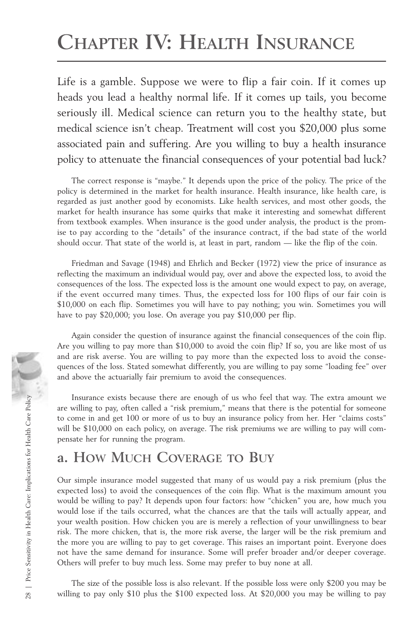# **CHAPTER IV: HEALTH INSURANCE**

Life is a gamble. Suppose we were to flip a fair coin. If it comes up heads you lead a healthy normal life. If it comes up tails, you become seriously ill. Medical science can return you to the healthy state, but medical science isn't cheap. Treatment will cost you \$20,000 plus some associated pain and suffering. Are you willing to buy a health insurance policy to attenuate the financial consequences of your potential bad luck?

The correct response is "maybe." It depends upon the price of the policy. The price of the policy is determined in the market for health insurance. Health insurance, like health care, is regarded as just another good by economists. Like health services, and most other goods, the market for health insurance has some quirks that make it interesting and somewhat different from textbook examples. When insurance is the good under analysis, the product is the promise to pay according to the "details" of the insurance contract, if the bad state of the world should occur. That state of the world is, at least in part, random — like the flip of the coin.

Friedman and Savage (1948) and Ehrlich and Becker (1972) view the price of insurance as reflecting the maximum an individual would pay, over and above the expected loss, to avoid the consequences of the loss. The expected loss is the amount one would expect to pay, on average, if the event occurred many times. Thus, the expected loss for 100 flips of our fair coin is \$10,000 on each flip. Sometimes you will have to pay nothing; you win. Sometimes you will have to pay \$20,000; you lose. On average you pay \$10,000 per flip.

Again consider the question of insurance against the financial consequences of the coin flip. Are you willing to pay more than \$10,000 to avoid the coin flip? If so, you are like most of us and are risk averse. You are willing to pay more than the expected loss to avoid the consequences of the loss. Stated somewhat differently, you are willing to pay some "loading fee" over and above the actuarially fair premium to avoid the consequences.

Insurance exists because there are enough of us who feel that way. The extra amount we are willing to pay, often called a "risk premium," means that there is the potential for someone to come in and get 100 or more of us to buy an insurance policy from her. Her "claims costs" will be \$10,000 on each policy, on average. The risk premiums we are willing to pay will compensate her for running the program.

## **a. HOW MUCH COVERAGE TO BUY**

Our simple insurance model suggested that many of us would pay a risk premium (plus the expected loss) to avoid the consequences of the coin flip. What is the maximum amount you would be willing to pay? It depends upon four factors: how "chicken" you are, how much you would lose if the tails occurred, what the chances are that the tails will actually appear, and your wealth position. How chicken you are is merely a reflection of your unwillingness to bear risk. The more chicken, that is, the more risk averse, the larger will be the risk premium and the more you are willing to pay to get coverage. This raises an important point. Everyone does not have the same demand for insurance. Some will prefer broader and/or deeper coverage. Others will prefer to buy much less. Some may prefer to buy none at all. From the state of the control of the solution, we have the present at the present we will are willing to pay often called a "risk premium", means that there is the potential for someone<br>
Friest the control of state of the

The size of the possible loss is also relevant. If the possible loss were only \$200 you may be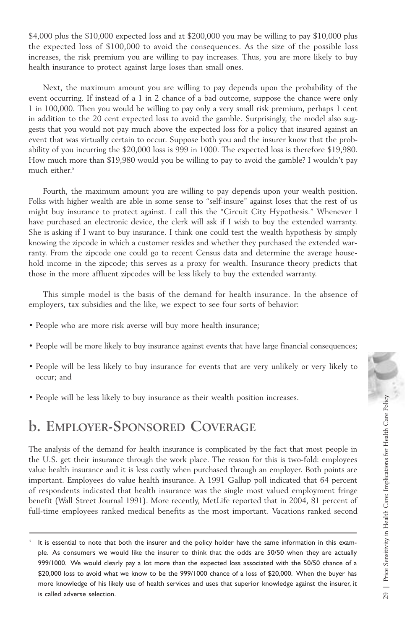\$4,000 plus the \$10,000 expected loss and at \$200,000 you may be willing to pay \$10,000 plus the expected loss of \$100,000 to avoid the consequences. As the size of the possible loss increases, the risk premium you are willing to pay increases. Thus, you are more likely to buy health insurance to protect against large loses than small ones.

Next, the maximum amount you are willing to pay depends upon the probability of the event occurring. If instead of a 1 in 2 chance of a bad outcome, suppose the chance were only 1 in 100,000. Then you would be willing to pay only a very small risk premium, perhaps 1 cent in addition to the 20 cent expected loss to avoid the gamble. Surprisingly, the model also suggests that you would not pay much above the expected loss for a policy that insured against an event that was virtually certain to occur. Suppose both you and the insurer know that the probability of you incurring the \$20,000 loss is 999 in 1000. The expected loss is therefore \$19,980. How much more than \$19,980 would you be willing to pay to avoid the gamble? I wouldn't pay much either.<sup>5</sup>

Fourth, the maximum amount you are willing to pay depends upon your wealth position. Folks with higher wealth are able in some sense to "self-insure" against loses that the rest of us might buy insurance to protect against. I call this the "Circuit City Hypothesis." Whenever I have purchased an electronic device, the clerk will ask if I wish to buy the extended warranty. She is asking if I want to buy insurance. I think one could test the wealth hypothesis by simply knowing the zipcode in which a customer resides and whether they purchased the extended warranty. From the zipcode one could go to recent Census data and determine the average household income in the zipcode; this serves as a proxy for wealth. Insurance theory predicts that those in the more affluent zipcodes will be less likely to buy the extended warranty.

This simple model is the basis of the demand for health insurance. In the absence of employers, tax subsidies and the like, we expect to see four sorts of behavior:

- People who are more risk averse will buy more health insurance;
- People will be more likely to buy insurance against events that have large financial consequences;
- People will be less likely to buy insurance for events that are very unlikely or very likely to occur; and
- People will be less likely to buy insurance as their wealth position increases.

## **b. EMPLOYER-SPONSORED COVERAGE**

The analysis of the demand for health insurance is complicated by the fact that most people in the U.S. get their insurance through the work place. The reason for this is two-fold: employees value health insurance and it is less costly when purchased through an employer. Both points are important. Employees do value health insurance. A 1991 Gallup poll indicated that 64 percent of respondents indicated that health insurance was the single most valued employment fringe benefit (Wall Street Journal 1991). More recently, MetLife reported that in 2004, 81 percent of full-time employees ranked medical benefits as the most important. Vacations ranked second

It is essential to note that both the insurer and the policy holder have the same information in this example. As consumers we would like the insurer to think that the odds are 50/50 when they are actually 999/1000. We would clearly pay a lot more than the expected loss associated with the 50/50 chance of a \$20,000 loss to avoid what we know to be the 999/1000 chance of a loss of \$20,000. When the buyer has more knowledge of his likely use of health services and uses that superior knowledge against the insurer, it is called adverse selection.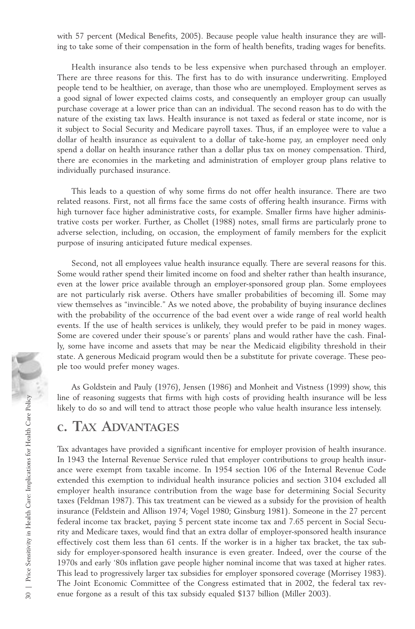with 57 percent (Medical Benefits, 2005). Because people value health insurance they are willing to take some of their compensation in the form of health benefits, trading wages for benefits.

Health insurance also tends to be less expensive when purchased through an employer. There are three reasons for this. The first has to do with insurance underwriting. Employed people tend to be healthier, on average, than those who are unemployed. Employment serves as a good signal of lower expected claims costs, and consequently an employer group can usually purchase coverage at a lower price than can an individual. The second reason has to do with the nature of the existing tax laws. Health insurance is not taxed as federal or state income, nor is it subject to Social Security and Medicare payroll taxes. Thus, if an employee were to value a dollar of health insurance as equivalent to a dollar of take-home pay, an employer need only spend a dollar on health insurance rather than a dollar plus tax on money compensation. Third, there are economies in the marketing and administration of employer group plans relative to individually purchased insurance.

This leads to a question of why some firms do not offer health insurance. There are two related reasons. First, not all firms face the same costs of offering health insurance. Firms with high turnover face higher administrative costs, for example. Smaller firms have higher administrative costs per worker. Further, as Chollet (1988) notes, small firms are particularly prone to adverse selection, including, on occasion, the employment of family members for the explicit purpose of insuring anticipated future medical expenses.

Second, not all employees value health insurance equally. There are several reasons for this. Some would rather spend their limited income on food and shelter rather than health insurance, even at the lower price available through an employer-sponsored group plan. Some employees are not particularly risk averse. Others have smaller probabilities of becoming ill. Some may view themselves as "invincible." As we noted above, the probability of buying insurance declines with the probability of the occurrence of the bad event over a wide range of real world health events. If the use of health services is unlikely, they would prefer to be paid in money wages. Some are covered under their spouse's or parents' plans and would rather have the cash. Finally, some have income and assets that may be near the Medicaid eligibility threshold in their state. A generous Medicaid program would then be a substitute for private coverage. These people too would prefer money wages.

As Goldstein and Pauly (1976), Jensen (1986) and Monheit and Vistness (1999) show, this line of reasoning suggests that firms with high costs of providing health insurance will be less likely to do so and will tend to attract those people who value health insurance less intensely.

## **c. TAX ADVANTAGES**

Tax advantages have provided a significant incentive for employer provision of health insurance. In 1943 the Internal Revenue Service ruled that employer contributions to group health insurance were exempt from taxable income. In 1954 section 106 of the Internal Revenue Code extended this exemption to individual health insurance policies and section 3104 excluded all employer health insurance contribution from the wage base for determining Social Security taxes (Feldman 1987). This tax treatment can be viewed as a subsidy for the provision of health insurance (Feldstein and Allison 1974; Vogel 1980; Ginsburg 1981). Someone in the 27 percent federal income tax bracket, paying 5 percent state income tax and 7.65 percent in Social Security and Medicare taxes, would find that an extra dollar of employer-sponsored health insurance effectively cost them less than 61 cents. If the worker is in a higher tax bracket, the tax subsidy for employer-sponsored health insurance is even greater. Indeed, over the course of the 1970s and early '80s inflation gave people higher nominal income that was taxed at higher rates. This lead to progressively larger tax subsidies for employer sponsored coverage (Morrisey 1983). The Joint Economic Committee of the Congress estimated that in 2002, the federal tax rev-Fine of reasoning suggests that tirms with high costs of providing health insurance<br>
Leading this tax day<br>antages have provided a significant incentive for employer provision of<br>
In 1943 the Internal Revenue Service ruled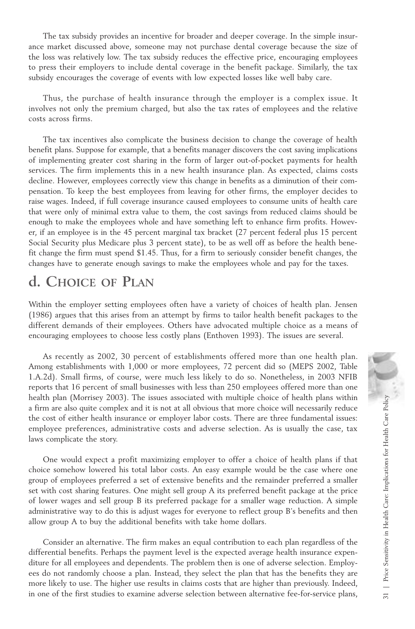The tax subsidy provides an incentive for broader and deeper coverage. In the simple insurance market discussed above, someone may not purchase dental coverage because the size of the loss was relatively low. The tax subsidy reduces the effective price, encouraging employees to press their employers to include dental coverage in the benefit package. Similarly, the tax subsidy encourages the coverage of events with low expected losses like well baby care.

Thus, the purchase of health insurance through the employer is a complex issue. It involves not only the premium charged, but also the tax rates of employees and the relative costs across firms.

The tax incentives also complicate the business decision to change the coverage of health benefit plans. Suppose for example, that a benefits manager discovers the cost saving implications of implementing greater cost sharing in the form of larger out-of-pocket payments for health services. The firm implements this in a new health insurance plan. As expected, claims costs decline. However, employees correctly view this change in benefits as a diminution of their compensation. To keep the best employees from leaving for other firms, the employer decides to raise wages. Indeed, if full coverage insurance caused employees to consume units of health care that were only of minimal extra value to them, the cost savings from reduced claims should be enough to make the employees whole and have something left to enhance firm profits. However, if an employee is in the 45 percent marginal tax bracket (27 percent federal plus 15 percent Social Security plus Medicare plus 3 percent state), to be as well off as before the health benefit change the firm must spend \$1.45. Thus, for a firm to seriously consider benefit changes, the changes have to generate enough savings to make the employees whole and pay for the taxes.

## **d. CHOICE OF PLAN**

Within the employer setting employees often have a variety of choices of health plan. Jensen (1986) argues that this arises from an attempt by firms to tailor health benefit packages to the different demands of their employees. Others have advocated multiple choice as a means of encouraging employees to choose less costly plans (Enthoven 1993). The issues are several.

As recently as 2002, 30 percent of establishments offered more than one health plan. Among establishments with 1,000 or more employees, 72 percent did so (MEPS 2002, Table 1.A.2d). Small firms, of course, were much less likely to do so. Nonetheless, in 2003 NFIB reports that 16 percent of small businesses with less than 250 employees offered more than one health plan (Morrisey 2003). The issues associated with multiple choice of health plans within a firm are also quite complex and it is not at all obvious that more choice will necessarily reduce the cost of either health insurance or employer labor costs. There are three fundamental issues: employee preferences, administrative costs and adverse selection. As is usually the case, tax laws complicate the story.

One would expect a profit maximizing employer to offer a choice of health plans if that choice somehow lowered his total labor costs. An easy example would be the case where one group of employees preferred a set of extensive benefits and the remainder preferred a smaller set with cost sharing features. One might sell group A its preferred benefit package at the price of lower wages and sell group B its preferred package for a smaller wage reduction. A simple administrative way to do this is adjust wages for everyone to reflect group B's benefits and then allow group A to buy the additional benefits with take home dollars. in the mare also quite complex and it is not at all obvious that more choice will necessarily reduce<br>the cost of either health insurance or employer labor costs. There are three fundamental issues:<br>employee preferences, ad

Consider an alternative. The firm makes an equal contribution to each plan regardless of the differential benefits. Perhaps the payment level is the expected average health insurance expenditure for all employees and dependents. The problem then is one of adverse selection. Employees do not randomly choose a plan. Instead, they select the plan that has the benefits they are more likely to use. The higher use results in claims costs that are higher than previously. Indeed,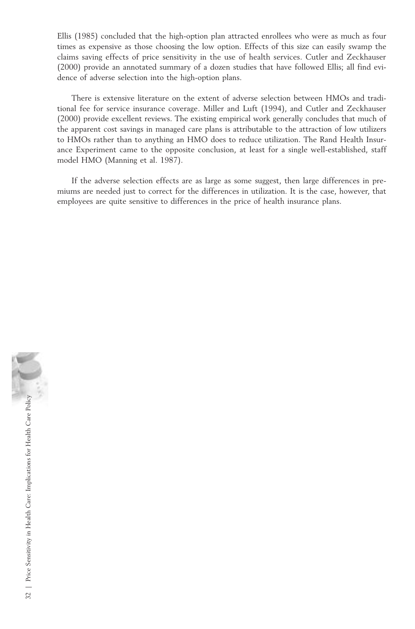Ellis (1985) concluded that the high-option plan attracted enrollees who were as much as four times as expensive as those choosing the low option. Effects of this size can easily swamp the claims saving effects of price sensitivity in the use of health services. Cutler and Zeckhauser (2000) provide an annotated summary of a dozen studies that have followed Ellis; all find evidence of adverse selection into the high-option plans.

There is extensive literature on the extent of adverse selection between HMOs and traditional fee for service insurance coverage. Miller and Luft (1994), and Cutler and Zeckhauser (2000) provide excellent reviews. The existing empirical work generally concludes that much of the apparent cost savings in managed care plans is attributable to the attraction of low utilizers to HMOs rather than to anything an HMO does to reduce utilization. The Rand Health Insurance Experiment came to the opposite conclusion, at least for a single well-established, staff model HMO (Manning et al. 1987).

If the adverse selection effects are as large as some suggest, then large differences in premiums are needed just to correct for the differences in utilization. It is the case, however, that employees are quite sensitive to differences in the price of health insurance plans.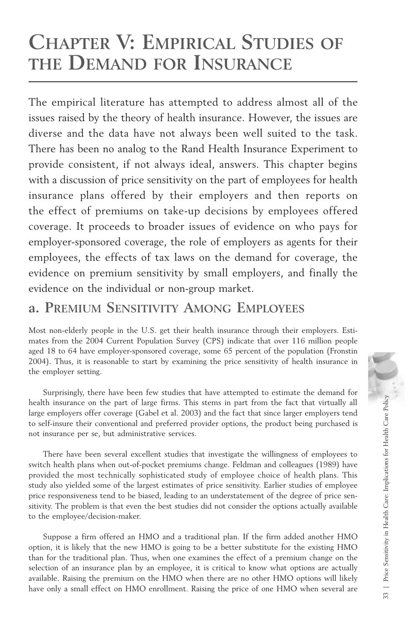## **CHAPTER V: EMPIRICAL STUDIES OF THE DEMAND FOR INSURANCE**

The empirical literature has attempted to address almost all of the issues raised by the theory of health insurance. However, the issues are diverse and the data have not always been well suited to the task. There has been no analog to the Rand Health Insurance Experiment to provide consistent, if not always ideal, answers. This chapter begins with a discussion of price sensitivity on the part of employees for health insurance plans offered by their employers and then reports on the effect of premiums on take-up decisions by employees offered coverage. It proceeds to broader issues of evidence on who pays for employer-sponsored coverage, the role of employers as agents for their employees, the effects of tax laws on the demand for coverage, the evidence on premium sensitivity by small employers, and finally the evidence on the individual or non-group market.

## **a. PREMIUM SENSITIVITY AMONG EMPLOYEES**

Most non-elderly people in the U.S. get their health insurance through their employers. Estimates from the 2004 Current Population Survey (CPS) indicate that over 116 million people aged 18 to 64 have employer-sponsored coverage, some 65 percent of the population (Fronstin 2004). Thus, it is reasonable to start by examining the price sensitivity of health insurance in the employer setting.

Surprisingly, there have been few studies that have attempted to estimate the demand for health insurance on the part of large firms. This stems in part from the fact that virtually all large employers offer coverage (Gabel et al. 2003) and the fact that since larger employers tend to self-insure their conventional and preferred provider options, the product being purchased is not insurance per se, but administrative services.

There have been several excellent studies that investigate the willingness of employees to switch health plans when out-of-pocket premiums change. Feldman and colleagues (1989) have provided the most technically sophisticated study of employee choice of health plans. This study also yielded some of the largest estimates of price sensitivity. Earlier studies of employee price responsiveness tend to be biased, leading to an understatement of the degree of price sensitivity. The problem is that even the best studies did not consider the options actually available to the employee/decision-maker.

Suppose a firm offered an HMO and a traditional plan. If the firm added another HMO option, it is likely that the new HMO is going to be a better substitute for the existing HMO than for the traditional plan. Thus, when one examines the effect of a premium change on the selection of an insurance plan by an employee, it is critical to know what options are actually available. Raising the premium on the HMO when there are no other HMO options will likely have only a small effect on HMO enrollment. Raising the price of one HMO when several are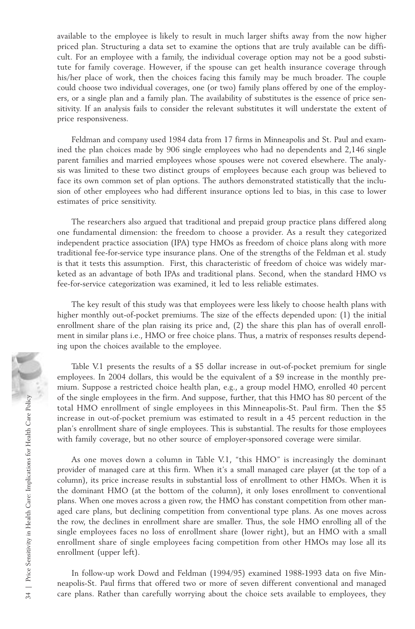available to the employee is likely to result in much larger shifts away from the now higher priced plan. Structuring a data set to examine the options that are truly available can be difficult. For an employee with a family, the individual coverage option may not be a good substitute for family coverage. However, if the spouse can get health insurance coverage through his/her place of work, then the choices facing this family may be much broader. The couple could choose two individual coverages, one (or two) family plans offered by one of the employers, or a single plan and a family plan. The availability of substitutes is the essence of price sensitivity. If an analysis fails to consider the relevant substitutes it will understate the extent of price responsiveness.

Feldman and company used 1984 data from 17 firms in Minneapolis and St. Paul and examined the plan choices made by 906 single employees who had no dependents and 2,146 single parent families and married employees whose spouses were not covered elsewhere. The analysis was limited to these two distinct groups of employees because each group was believed to face its own common set of plan options. The authors demonstrated statistically that the inclusion of other employees who had different insurance options led to bias, in this case to lower estimates of price sensitivity.

The researchers also argued that traditional and prepaid group practice plans differed along one fundamental dimension: the freedom to choose a provider. As a result they categorized independent practice association (IPA) type HMOs as freedom of choice plans along with more traditional fee-for-service type insurance plans. One of the strengths of the Feldman et al. study is that it tests this assumption. First, this characteristic of freedom of choice was widely marketed as an advantage of both IPAs and traditional plans. Second, when the standard HMO vs fee-for-service categorization was examined, it led to less reliable estimates.

The key result of this study was that employees were less likely to choose health plans with higher monthly out-of-pocket premiums. The size of the effects depended upon: (1) the initial enrollment share of the plan raising its price and, (2) the share this plan has of overall enrollment in similar plans i.e., HMO or free choice plans. Thus, a matrix of responses results depending upon the choices available to the employee.

Table V.1 presents the results of a \$5 dollar increase in out-of-pocket premium for single employees. In 2004 dollars, this would be the equivalent of a \$9 increase in the monthly premium. Suppose a restricted choice health plan, e.g., a group model HMO, enrolled 40 percent of the single employees in the firm. And suppose, further, that this HMO has 80 percent of the total HMO enrollment of single employees in this Minneapolis-St. Paul firm. Then the \$5 increase in out-of-pocket premium was estimated to result in a 45 percent reduction in the plan's enrollment share of single employees. This is substantial. The results for those employees with family coverage, but no other source of employer-sponsored coverage were similar.

As one moves down a column in Table V.1, "this HMO" is increasingly the dominant provider of managed care at this firm. When it's a small managed care player (at the top of a column), its price increase results in substantial loss of enrollment to other HMOs. When it is the dominant HMO (at the bottom of the column), it only loses enrollment to conventional plans. When one moves across a given row, the HMO has constant competition from other managed care plans, but declining competition from conventional type plans. As one moves across the row, the declines in enrollment share are smaller. Thus, the sole HMO enrolling all of the single employees faces no loss of enrollment share (lower right), but an HMO with a small enrollment share of single employees facing competition from other HMOs may lose all its enrollment (upper left). From the single employees in the firm. And suppose, further, that this HMO has 80 percent of the total HMO encollment of single employees in this Minneapolis-St. Paul firm. Then the \$5 increase in out-of-pocket premium was

In follow-up work Dowd and Feldman (1994/95) examined 1988-1993 data on five Minneapolis-St. Paul firms that offered two or more of seven different conventional and managed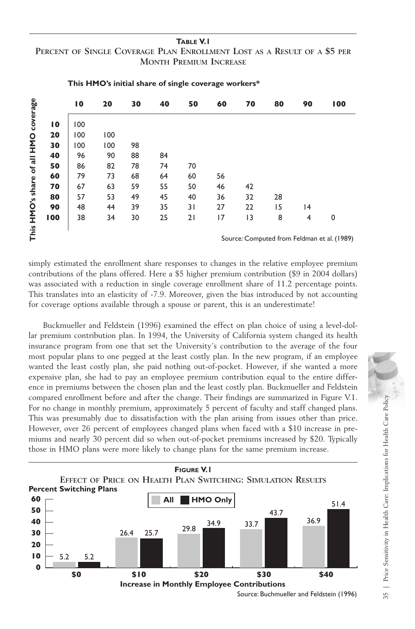#### **TABLE V.1 PERCENT OF SINGLE COVERAGE PLAN ENROLLMENT LOST AS A RESULT OF A \$5 PER MONTH PREMIUM INCREASE**

|                           |                 | 10                                          | 20  | 30 | 40 | 50 | 60 | 70 | 80 | 90 | 100         |
|---------------------------|-----------------|---------------------------------------------|-----|----|----|----|----|----|----|----|-------------|
| coverage                  | $\overline{10}$ | 00                                          |     |    |    |    |    |    |    |    |             |
| Of all HMO<br>HMO's share | 20              | 100                                         | 100 |    |    |    |    |    |    |    |             |
|                           | 30              | 100                                         | 100 | 98 |    |    |    |    |    |    |             |
|                           | 40              | 96                                          | 90  | 88 | 84 |    |    |    |    |    |             |
|                           | 50              | 86                                          | 82  | 78 | 74 | 70 |    |    |    |    |             |
|                           | 60              | 79                                          | 73  | 68 | 64 | 60 | 56 |    |    |    |             |
|                           | 70              | 67                                          | 63  | 59 | 55 | 50 | 46 | 42 |    |    |             |
|                           | 80              | 57                                          | 53  | 49 | 45 | 40 | 36 | 32 | 28 |    |             |
|                           | 90              | 48                                          | 44  | 39 | 35 | 31 | 27 | 22 | 15 | 14 |             |
|                           | 100             | 38                                          | 34  | 30 | 25 | 21 | 17 | 3  | 8  | 4  | $\mathbf 0$ |
| This                      |                 |                                             |     |    |    |    |    |    |    |    |             |
|                           |                 | Source: Computed from Feldman et al. (1989) |     |    |    |    |    |    |    |    |             |

#### **This HMO's initial share of single coverage workers\***

simply estimated the enrollment share responses to changes in the relative employee premium contributions of the plans offered. Here a \$5 higher premium contribution (\$9 in 2004 dollars) was associated with a reduction in single coverage enrollment share of 11.2 percentage points. This translates into an elasticity of -7.9. Moreover, given the bias introduced by not accounting for coverage options available through a spouse or parent, this is an underestimate!

Buckmueller and Feldstein (1996) examined the effect on plan choice of using a level-dollar premium contribution plan. In 1994, the University of California system changed its health insurance program from one that set the University's contribution to the average of the four most popular plans to one pegged at the least costly plan. In the new program, if an employee wanted the least costly plan, she paid nothing out-of-pocket. However, if she wanted a more expensive plan, she had to pay an employee premium contribution equal to the entire difference in premiums between the chosen plan and the least costly plan. Buckmueller and Feldstein compared enrollment before and after the change. Their findings are summarized in Figure V.1. For no change in monthly premium, approximately 5 percent of faculty and staff changed plans. This was presumably due to dissatisfaction with the plan arising from issues other than price. However, over 26 percent of employees changed plans when faced with a \$10 increase in premiums and nearly 30 percent did so when out-of-pocket premiums increased by \$20. Typically those in HMO plans were more likely to change plans for the same premium increase. Final and the model of the same option<br>age option<br>mueller are plan, she<br>he least c plan, she<br>remiums l<br>are plan, she<br>presumal, over 26<br>nd nearly<br>HMO plan<br>**EFFECT C**<br>Switching<br>5.2 5.2 5.2 orrered. Here a so nigher premium contraction in single coverage enrollment shaticity of -7.9. Moreover, given the bias is<br>ble through a spouse or parent, this is an stein (1996) examined the effect on pla<br>plan. In 1994, t 1 (1996) examined the effect on plan choice of using a levent on the University's California system changed its<br>
that set the University's contribution to the average of the set to University's contribution to the average



Source: Buchmueller and Feldstein (1996)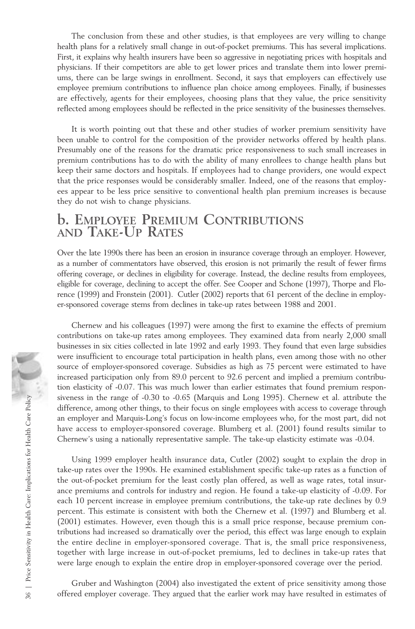The conclusion from these and other studies, is that employees are very willing to change health plans for a relatively small change in out-of-pocket premiums. This has several implications. First, it explains why health insurers have been so aggressive in negotiating prices with hospitals and physicians. If their competitors are able to get lower prices and translate them into lower premiums, there can be large swings in enrollment. Second, it says that employers can effectively use employee premium contributions to influence plan choice among employees. Finally, if businesses are effectively, agents for their employees, choosing plans that they value, the price sensitivity reflected among employees should be reflected in the price sensitivity of the businesses themselves.

It is worth pointing out that these and other studies of worker premium sensitivity have been unable to control for the composition of the provider networks offered by health plans. Presumably one of the reasons for the dramatic price responsiveness to such small increases in premium contributions has to do with the ability of many enrollees to change health plans but keep their same doctors and hospitals. If employees had to change providers, one would expect that the price responses would be considerably smaller. Indeed, one of the reasons that employees appear to be less price sensitive to conventional health plan premium increases is because they do not wish to change physicians.

### **b. EMPLOYEE PREMIUM CONTRIBUTIONS AND TAKE-UP RATES**

Over the late 1990s there has been an erosion in insurance coverage through an employer. However, as a number of commentators have observed, this erosion is not primarily the result of fewer firms offering coverage, or declines in eligibility for coverage. Instead, the decline results from employees, eligible for coverage, declining to accept the offer. See Cooper and Schone (1997), Thorpe and Florence (1999) and Fronstein (2001). Cutler (2002) reports that 61 percent of the decline in employer-sponsored coverage stems from declines in take-up rates between 1988 and 2001.

Chernew and his colleagues (1997) were among the first to examine the effects of premium contributions on take-up rates among employees. They examined data from nearly 2,000 small businesses in six cities collected in late 1992 and early 1993. They found that even large subsidies were insufficient to encourage total participation in health plans, even among those with no other source of employer-sponsored coverage. Subsidies as high as 75 percent were estimated to have increased participation only from 89.0 percent to 92.6 percent and implied a premium contribution elasticity of -0.07. This was much lower than earlier estimates that found premium responsiveness in the range of -0.30 to -0.65 (Marquis and Long 1995). Chernew et al. attribute the difference, among other things, to their focus on single employees with access to coverage through an employer and Marquis-Long's focus on low-income employees who, for the most part, did not have access to employer-sponsored coverage. Blumberg et al. (2001) found results similar to Chernew's using a nationally representative sample. The take-up elasticity estimate was -0.04.

Using 1999 employer health insurance data, Cutler (2002) sought to explain the drop in take-up rates over the 1990s. He examined establishment specific take-up rates as a function of the out-of-pocket premium for the least costly plan offered, as well as wage rates, total insurance premiums and controls for industry and region. He found a take-up elasticity of -0.09. For each 10 percent increase in employee premium contributions, the take-up rate declines by 0.9 percent. This estimate is consistent with both the Chernew et al. (1997) and Blumberg et al. (2001) estimates. However, even though this is a small price response, because premium contributions had increased so dramatically over the period, this effect was large enough to explain the entire decline in employer-sponsored coverage. That is, the small price responsiveness, together with large increase in out-of-pocket premiums, led to declines in take-up rates that were large enough to explain the entire drop in employer-sponsored coverage over the period. siveness in the range of -0.30 to -0.65 (Marquis and Long 1995). Chernwe et al. attribute the efference, among other higs, to their focus on single employees with access to coverage through an employer-sponsored coverage.

Gruber and Washington (2004) also investigated the extent of price sensitivity among those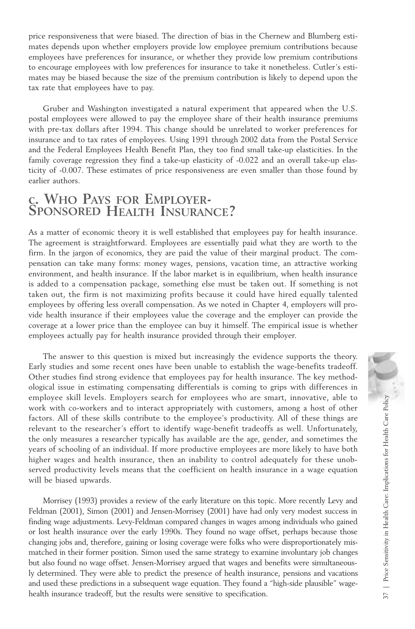price responsiveness that were biased. The direction of bias in the Chernew and Blumberg estimates depends upon whether employers provide low employee premium contributions because employees have preferences for insurance, or whether they provide low premium contributions to encourage employees with low preferences for insurance to take it nonetheless. Cutler's estimates may be biased because the size of the premium contribution is likely to depend upon the tax rate that employees have to pay.

Gruber and Washington investigated a natural experiment that appeared when the U.S. postal employees were allowed to pay the employee share of their health insurance premiums with pre-tax dollars after 1994. This change should be unrelated to worker preferences for insurance and to tax rates of employees. Using 1991 through 2002 data from the Postal Service and the Federal Employees Health Benefit Plan, they too find small take-up elasticities. In the family coverage regression they find a take-up elasticity of -0.022 and an overall take-up elasticity of -0.007. These estimates of price responsiveness are even smaller than those found by earlier authors.

# **c. WHO PAYS FOR EMPLOYER- SPONSORED HEALTH INSURANCE?**

As a matter of economic theory it is well established that employees pay for health insurance. The agreement is straightforward. Employees are essentially paid what they are worth to the firm. In the jargon of economics, they are paid the value of their marginal product. The compensation can take many forms: money wages, pensions, vacation time, an attractive working environment, and health insurance. If the labor market is in equilibrium, when health insurance is added to a compensation package, something else must be taken out. If something is not taken out, the firm is not maximizing profits because it could have hired equally talented employees by offering less overall compensation. As we noted in Chapter 4, employers will provide health insurance if their employees value the coverage and the employer can provide the coverage at a lower price than the employee can buy it himself. The empirical issue is whether employees actually pay for health insurance provided through their employer.

The answer to this question is mixed but increasingly the evidence supports the theory. Early studies and some recent ones have been unable to establish the wage-benefits tradeoff. Other studies find strong evidence that employees pay for health insurance. The key methodological issue in estimating compensating differentials is coming to grips with differences in employee skill levels. Employers search for employees who are smart, innovative, able to work with co-workers and to interact appropriately with customers, among a host of other factors. All of these skills contribute to the employee's productivity. All of these things are relevant to the researcher's effort to identify wage-benefit tradeoffs as well. Unfortunately, the only measures a researcher typically has available are the age, gender, and sometimes the years of schooling of an individual. If more productive employees are more likely to have both higher wages and health insurance, then an inability to control adequately for these unobserved productivity levels means that the coefficient on health insurance in a wage equation will be biased upwards.

Morrisey (1993) provides a review of the early literature on this topic. More recently Levy and Feldman (2001), Simon (2001) and Jensen-Morrisey (2001) have had only very modest success in finding wage adjustments. Levy-Feldman compared changes in wages among individuals who gained or lost health insurance over the early 1990s. They found no wage offset, perhaps because those changing jobs and, therefore, gaining or losing coverage were folks who were disproportionately mismatched in their former position. Simon used the same strategy to examine involuntary job changes but also found no wage offset. Jensen-Morrisey argued that wages and benefits were simultaneously determined. They were able to predict the presence of health insurance, pensions and vacations and used these predictions in a subsequent wage equation. They found a "high-side plausible" wageemployee skill levels. Employees who are smart, innovative, able to<br>work with co-workers and to interact appropriately with customers, among a host of other<br>factors. All of these skills contribute to the employee's product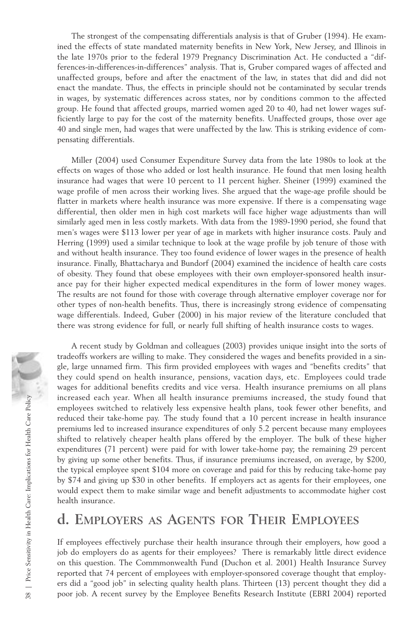The strongest of the compensating differentials analysis is that of Gruber (1994). He examined the effects of state mandated maternity benefits in New York, New Jersey, and Illinois in the late 1970s prior to the federal 1979 Pregnancy Discrimination Act. He conducted a "differences-in-differences-in-differences" analysis. That is, Gruber compared wages of affected and unaffected groups, before and after the enactment of the law, in states that did and did not enact the mandate. Thus, the effects in principle should not be contaminated by secular trends in wages, by systematic differences across states, nor by conditions common to the affected group. He found that affected groups, married women aged 20 to 40, had net lower wages sufficiently large to pay for the cost of the maternity benefits. Unaffected groups, those over age 40 and single men, had wages that were unaffected by the law. This is striking evidence of compensating differentials.

Miller (2004) used Consumer Expenditure Survey data from the late 1980s to look at the effects on wages of those who added or lost health insurance. He found that men losing health insurance had wages that were 10 percent to 11 percent higher. Sheiner (1999) examined the wage profile of men across their working lives. She argued that the wage-age profile should be flatter in markets where health insurance was more expensive. If there is a compensating wage differential, then older men in high cost markets will face higher wage adjustments than will similarly aged men in less costly markets. With data from the 1989-1990 period, she found that men's wages were \$113 lower per year of age in markets with higher insurance costs. Pauly and Herring (1999) used a similar technique to look at the wage profile by job tenure of those with and without health insurance. They too found evidence of lower wages in the presence of health insurance. Finally, Bhattacharya and Bundorf (2004) examined the incidence of health care costs of obesity. They found that obese employees with their own employer-sponsored health insurance pay for their higher expected medical expenditures in the form of lower money wages. The results are not found for those with coverage through alternative employer coverage nor for other types of non-health benefits. Thus, there is increasingly strong evidence of compensating wage differentials. Indeed, Guber (2000) in his major review of the literature concluded that there was strong evidence for full, or nearly full shifting of health insurance costs to wages.

A recent study by Goldman and colleagues (2003) provides unique insight into the sorts of tradeoffs workers are willing to make. They considered the wages and benefits provided in a single, large unnamed firm. This firm provided employees with wages and "benefits credits" that they could spend on health insurance, pensions, vacation days, etc. Employees could trade wages for additional benefits credits and vice versa. Health insurance premiums on all plans increased each year. When all health insurance premiums increased, the study found that employees switched to relatively less expensive health plans, took fewer other benefits, and reduced their take-home pay. The study found that a 10 percent increase in health insurance premiums led to increased insurance expenditures of only 5.2 percent because many employees shifted to relatively cheaper health plans offered by the employer. The bulk of these higher expenditures (71 percent) were paid for with lower take-home pay; the remaining 29 percent by giving up some other benefits. Thus, if insurance premiums increased, on average, by \$200, the typical employee spent \$104 more on coverage and paid for this by reducing take-home pay by \$74 and giving up \$30 in other benefits. If employers act as agents for their employees, one would expect them to make similar wage and benefit adjustments to accommodate higher cost health insurance. increased each year. When all health insurance permiums increased, the study tound that employees switched to relatively less expensive health plans, took fewer other benefits, and reduced their take-home pay. The study f

## **d. EMPLOYERS AS AGENTS FOR THEIR EMPLOYEES**

If employees effectively purchase their health insurance through their employers, how good a job do employers do as agents for their employees? There is remarkably little direct evidence on this question. The Commmonwealth Fund (Duchon et al. 2001) Health Insurance Survey reported that 74 percent of employees with employer-sponsored coverage thought that employers did a "good job" in selecting quality health plans. Thirteen (13) percent thought they did a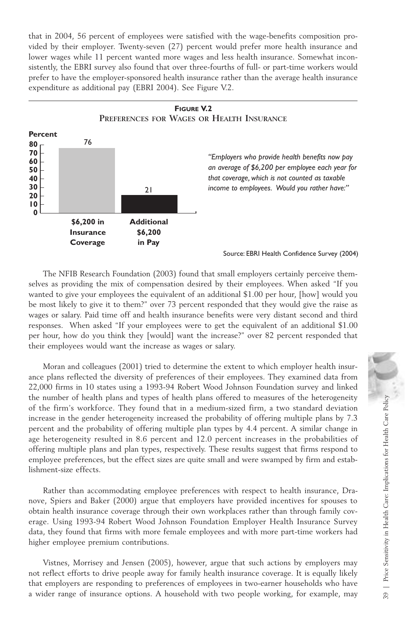that in 2004, 56 percent of employees were satisfied with the wage-benefits composition provided by their employer. Twenty-seven (27) percent would prefer more health insurance and lower wages while 11 percent wanted more wages and less health insurance. Somewhat inconsistently, the EBRI survey also found that over three-fourths of full- or part-time workers would prefer to have the employer-sponsored health insurance rather than the average health insurance expenditure as additional pay (EBRI 2004). See Figure V.2.



The NFIB Research Foundation (2003) found that small employers certainly perceive themselves as providing the mix of compensation desired by their employees. When asked "If you wanted to give your employees the equivalent of an additional \$1.00 per hour, [how] would you be most likely to give it to them?" over 73 percent responded that they would give the raise as wages or salary. Paid time off and health insurance benefits were very distant second and third responses. When asked "If your employees were to get the equivalent of an additional \$1.00 per hour, how do you think they [would] want the increase?" over 82 percent responded that their employees would want the increase as wages or salary.

Moran and colleagues (2001) tried to determine the extent to which employer health insurance plans reflected the diversity of preferences of their employees. They examined data from 22,000 firms in 10 states using a 1993-94 Robert Wood Johnson Foundation survey and linked the number of health plans and types of health plans offered to measures of the heterogeneity of the firm's workforce. They found that in a medium-sized firm, a two standard deviation increase in the gender heterogeneity increased the probability of offering multiple plans by 7.3 percent and the probability of offering multiple plan types by 4.4 percent. A similar change in age heterogeneity resulted in 8.6 percent and 12.0 percent increases in the probabilities of offering multiple plans and plan types, respectively. These results suggest that firms respond to employee preferences, but the effect sizes are quite small and were swamped by firm and establishment-size effects. the number of health plans and types of health plans offered to measures of the herrogeneity increase in the probability of offering multiple plans by 7.3 percent and the probability of offering multiple plan types by 4.4

Rather than accommodating employee preferences with respect to health insurance, Dranove, Spiers and Baker (2000) argue that employers have provided incentives for spouses to obtain health insurance coverage through their own workplaces rather than through family coverage. Using 1993-94 Robert Wood Johnson Foundation Employer Health Insurance Survey data, they found that firms with more female employees and with more part-time workers had higher employee premium contributions.

Vistnes, Morrisey and Jensen (2005), however, argue that such actions by employers may not reflect efforts to drive people away for family health insurance coverage. It is equally likely that employers are responding to preferences of employees in two-earner households who have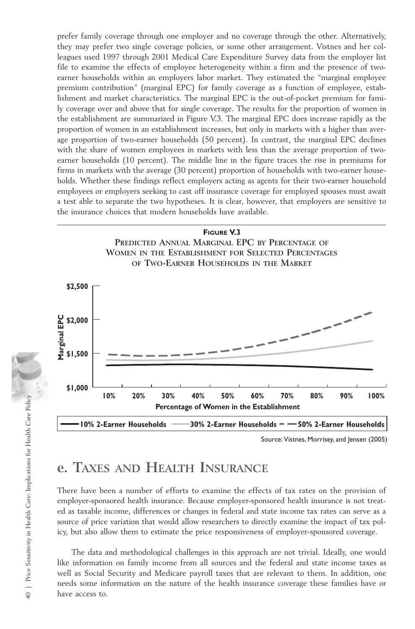prefer family coverage through one employer and no coverage through the other. Alternatively, they may prefer two single coverage policies, or some other arrangement. Vistnes and her colleagues used 1997 through 2001 Medical Care Expenditure Survey data from the employer list file to examine the effects of employee heterogeneity within a firm and the presence of twoearner households within an employers labor market. They estimated the "marginal employee premium contribution" (marginal EPC) for family coverage as a function of employee, establishment and market characteristics. The marginal EPC is the out-of-pocket premium for family coverage over and above that for single coverage. The results for the proportion of women in the establishment are summarized in Figure V.3. The marginal EPC does increase rapidly as the proportion of women in an establishment increases, but only in markets with a higher than average proportion of two-earner households (50 percent). In contrast, the marginal EPC declines with the share of women employees in markets with less than the average proportion of twoearner households (10 percent). The middle line in the figure traces the rise in premiums for firms in markets with the average (30 percent) proportion of households with two-earner households. Whether these findings reflect employers acting as agents for their two-earner household employees or employers seeking to cast off insurance coverage for employed spouses must await a test able to separate the two hypotheses. It is clear, however, that employers are sensitive to the insurance choices that modern households have available.





Source: Vistnes, Morrisey, and Jensen (2005)

## **e. TAXES AND HEALTH INSURANCE**

There have been a number of efforts to examine the effects of tax rates on the provision of employer-sponsored health insurance. Because employer-sponsored health insurance is not treated as taxable income, differences or changes in federal and state income tax rates can serve as a source of price variation that would allow researchers to directly examine the impact of tax policy, but also allow them to estimate the price responsiveness of employer-sponsored coverage.

The data and methodological challenges in this approach are not trivial. Ideally, one would like information on family income from all sources and the federal and state income taxes as well as Social Security and Medicare payroll taxes that are relevant to them. In addition, one needs some information on the nature of the health insurance coverage these families have or have access to.<br>
Have access to the control of the control of the control of the control of the control of the control of the care of price icy, but also all<br>
The data a like information well as Social needs some in have a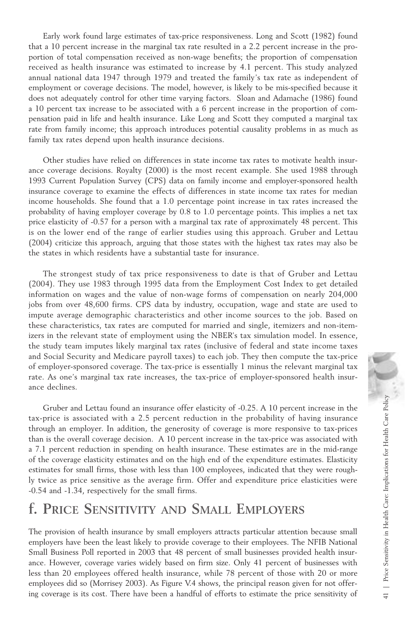Early work found large estimates of tax-price responsiveness. Long and Scott (1982) found that a 10 percent increase in the marginal tax rate resulted in a 2.2 percent increase in the proportion of total compensation received as non-wage benefits; the proportion of compensation received as health insurance was estimated to increase by 4.1 percent. This study analyzed annual national data 1947 through 1979 and treated the family's tax rate as independent of employment or coverage decisions. The model, however, is likely to be mis-specified because it does not adequately control for other time varying factors. Sloan and Adamache (1986) found a 10 percent tax increase to be associated with a 6 percent increase in the proportion of compensation paid in life and health insurance. Like Long and Scott they computed a marginal tax rate from family income; this approach introduces potential causality problems in as much as family tax rates depend upon health insurance decisions.

Other studies have relied on differences in state income tax rates to motivate health insurance coverage decisions. Royalty (2000) is the most recent example. She used 1988 through 1993 Current Population Survey (CPS) data on family income and employer-sponsored health insurance coverage to examine the effects of differences in state income tax rates for median income households. She found that a 1.0 percentage point increase in tax rates increased the probability of having employer coverage by 0.8 to 1.0 percentage points. This implies a net tax price elasticity of -0.57 for a person with a marginal tax rate of approximately 48 percent. This is on the lower end of the range of earlier studies using this approach. Gruber and Lettau (2004) criticize this approach, arguing that those states with the highest tax rates may also be the states in which residents have a substantial taste for insurance.

The strongest study of tax price responsiveness to date is that of Gruber and Lettau (2004). They use 1983 through 1995 data from the Employment Cost Index to get detailed information on wages and the value of non-wage forms of compensation on nearly 204,000 jobs from over 48,600 firms. CPS data by industry, occupation, wage and state are used to impute average demographic characteristics and other income sources to the job. Based on these characteristics, tax rates are computed for married and single, itemizers and non-itemizers in the relevant state of employment using the NBER's tax simulation model. In essence, the study team imputes likely marginal tax rates (inclusive of federal and state income taxes and Social Security and Medicare payroll taxes) to each job. They then compute the tax-price of employer-sponsored coverage. The tax-price is essentially 1 minus the relevant marginal tax rate. As one's marginal tax rate increases, the tax-price of employer-sponsored health insurance declines.

Gruber and Lettau found an insurance offer elasticity of -0.25. A 10 percent increase in the tax-price is associated with a 2.5 percent reduction in the probability of having insurance through an employer. In addition, the generosity of coverage is more responsive to tax-prices than is the overall coverage decision. A 10 percent increase in the tax-price was associated with a 7.1 percent reduction in spending on health insurance. These estimates are in the mid-range of the coverage elasticity estimates and on the high end of the expenditure estimates. Elasticity estimates for small firms, those with less than 100 employees, indicated that they were roughly twice as price sensitive as the average firm. Offer and expenditure price elasticities were -0.54 and -1.34, respectively for the small firms. Gruber and Lettau found an insurance offer elasticity of -0.25. A 10 percent increase in the having insurance through an employer. In addition, the generosity of coverage is more responsive to tax-prices than is the overa

## **f. PRICE SENSITIVITY AND SMALL EMPLOYERS**

The provision of health insurance by small employers attracts particular attention because small employers have been the least likely to provide coverage to their employees. The NFIB National Small Business Poll reported in 2003 that 48 percent of small businesses provided health insurance. However, coverage varies widely based on firm size. Only 41 percent of businesses with less than 20 employees offered health insurance, while 78 percent of those with 20 or more employees did so (Morrisey 2003). As Figure V.4 shows, the principal reason given for not offer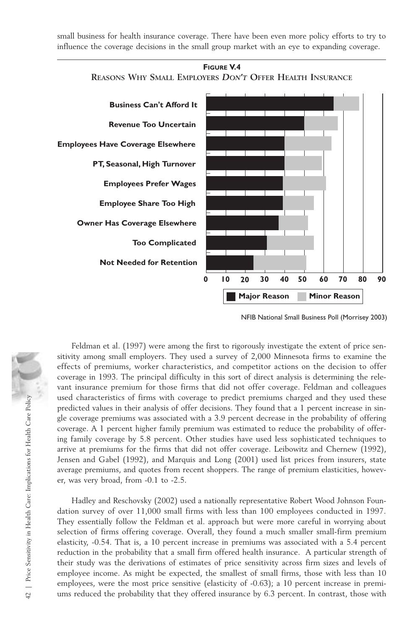small business for health insurance coverage. There have been even more policy efforts to try to influence the coverage decisions in the small group market with an eye to expanding coverage.



**FIGURE V.4**

NFIB National Small Business Poll (Morrisey 2003)

Feldman et al. (1997) were among the first to rigorously investigate the extent of price sensitivity among small employers. They used a survey of 2,000 Minnesota firms to examine the effects of premiums, worker characteristics, and competitor actions on the decision to offer coverage in 1993. The principal difficulty in this sort of direct analysis is determining the relevant insurance premium for those firms that did not offer coverage. Feldman and colleagues used characteristics of firms with coverage to predict premiums charged and they used these predicted values in their analysis of offer decisions. They found that a 1 percent increase in single coverage premiums was associated with a 3.9 percent decrease in the probability of offering coverage. A 1 percent higher family premium was estimated to reduce the probability of offering family coverage by 5.8 percent. Other studies have used less sophisticated techniques to arrive at premiums for the firms that did not offer coverage. Leibowitz and Chernew (1992), Jensen and Gabel (1992), and Marquis and Long (2001) used list prices from insurers, state average premiums, and quotes from recent shoppers. The range of premium elasticities, however, was very broad, from -0.1 to -2.5.

Hadley and Reschovsky (2002) used a nationally representative Robert Wood Johnson Foundation survey of over 11,000 small firms with less than 100 employees conducted in 1997. They essentially follow the Feldman et al. approach but were more careful in worrying about selection of firms offering coverage. Overall, they found a much smaller small-firm premium elasticity, -0.54. That is, a 10 percent increase in premiums was associated with a 5.4 percent reduction in the probability that a small firm offered health insurance. A particular strength of their study was the derivations of estimates of price sensitivity across firm sizes and levels of employee income. As might be expected, the smallest of small firms, those with less than 10 employees, were the most price sensitive (elasticity of -0.63); a 10 percent increase in premiused characteristics of tirms with coverage to predict premiums charged and they used the probability of offering<br>
gele coverage permiums vas associated with a 3.9 percent decrease in the probability of offering<br>
geoverag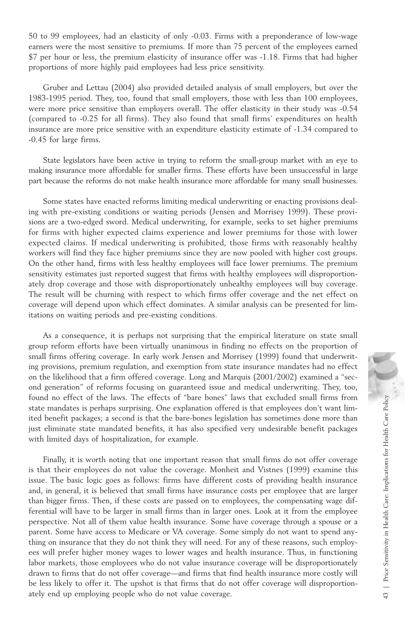50 to 99 employees, had an elasticity of only -0.03. Firms with a preponderance of low-wage earners were the most sensitive to premiums. If more than 75 percent of the employees earned \$7 per hour or less, the premium elasticity of insurance offer was -1.18. Firms that had higher proportions of more highly paid employees had less price sensitivity.

Gruber and Lettau (2004) also provided detailed analysis of small employers, but over the 1983-1995 period. They, too, found that small employers, those with less than 100 employees, were more price sensitive than employers overall. The offer elasticity in their study was -0.54 (compared to -0.25 for all firms). They also found that small firms' expenditures on health insurance are more price sensitive with an expenditure elasticity estimate of -1.34 compared to -0.45 for large firms.

State legislators have been active in trying to reform the small-group market with an eye to making insurance more affordable for smaller firms. These efforts have been unsuccessful in large part because the reforms do not make health insurance more affordable for many small businesses.

Some states have enacted reforms limiting medical underwriting or enacting provisions dealing with pre-existing conditions or waiting periods (Jensen and Morrisey 1999). These provisions are a two-edged sword. Medical underwriting, for example, seeks to set higher premiums for firms with higher expected claims experience and lower premiums for those with lower expected claims. If medical underwriting is prohibited, those firms with reasonably healthy workers will find they face higher premiums since they are now pooled with higher cost groups. On the other hand, firms with less healthy employees will face lower premiums. The premium sensitivity estimates just reported suggest that firms with healthy employees will disproportionately drop coverage and those with disproportionately unhealthy employees will buy coverage. The result will be churning with respect to which firms offer coverage and the net effect on coverage will depend upon which effect dominates. A similar analysis can be presented for limitations on waiting periods and pre-existing conditions.

As a consequence, it is perhaps not surprising that the empirical literature on state small group reform efforts have been virtually unanimous in finding no effects on the proportion of small firms offering coverage. In early work Jensen and Morrisey (1999) found that underwriting provisions, premium regulation, and exemption from state insurance mandates had no effect on the likelihood that a firm offered coverage. Long and Marquis (2001/2002) examined a "second generation" of reforms focusing on guaranteed issue and medical underwriting. They, too, found no effect of the laws. The effects of "bare bones" laws that excluded small firms from state mandates is perhaps surprising. One explanation offered is that employees don't want limited benefit packages; a second is that the bare-bones legislation has sometimes done more than just eliminate state mandated benefits, it has also specified very undesirable benefit packages with limited days of hospitalization, for example.

Finally, it is worth noting that one important reason that small firms do not offer coverage is that their employees do not value the coverage. Monheit and Vistnes (1999) examine this issue. The basic logic goes as follows: firms have different costs of providing health insurance and, in general, it is believed that small firms have insurance costs per employee that are larger than bigger firms. Then, if these costs are passed on to employees, the compensating wage differential will have to be larger in small firms than in larger ones. Look at it from the employee perspective. Not all of them value health insurance. Some have coverage through a spouse or a parent. Some have access to Medicare or VA coverage. Some simply do not want to spend anything on insurance that they do not think they will need. For any of these reasons, such employees will prefer higher money wages to lower wages and health insurance. Thus, in functioning labor markets, those employees who do not value insurance coverage will be disproportionately drawn to firms that do not offer coverage—and firms that find health insurance more costly will be less likely to offer it. The upshot is that firms that do not offer coverage will disproportionbound no effect of the laws. The effects of "bare bones" laws that excluded small firms from state mandates is perhaps surprising. One explanation offered is that employes don't want limited benefit packages, a second is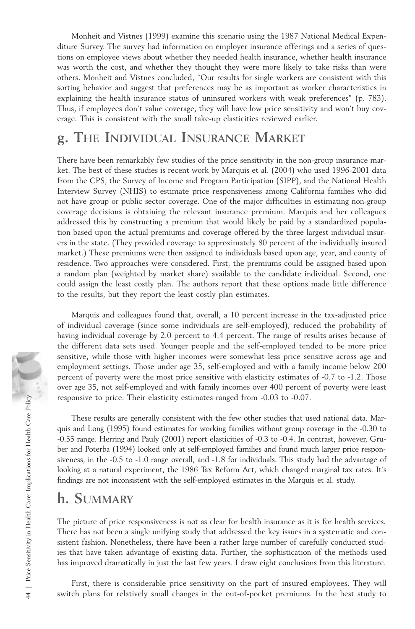Monheit and Vistnes (1999) examine this scenario using the 1987 National Medical Expenditure Survey. The survey had information on employer insurance offerings and a series of questions on employee views about whether they needed health insurance, whether health insurance was worth the cost, and whether they thought they were more likely to take risks than were others. Monheit and Vistnes concluded, "Our results for single workers are consistent with this sorting behavior and suggest that preferences may be as important as worker characteristics in explaining the health insurance status of uninsured workers with weak preferences" (p. 783). Thus, if employees don't value coverage, they will have low price sensitivity and won't buy coverage. This is consistent with the small take-up elasticities reviewed earlier.

## **g. THE INDIVIDUAL INSURANCE MARKET**

There have been remarkably few studies of the price sensitivity in the non-group insurance market. The best of these studies is recent work by Marquis et al. (2004) who used 1996-2001 data from the CPS, the Survey of Income and Program Participation (SIPP), and the National Health Interview Survey (NHIS) to estimate price responsiveness among California families who did not have group or public sector coverage. One of the major difficulties in estimating non-group coverage decisions is obtaining the relevant insurance premium. Marquis and her colleagues addressed this by constructing a premium that would likely be paid by a standardized population based upon the actual premiums and coverage offered by the three largest individual insurers in the state. (They provided coverage to approximately 80 percent of the individually insured market.) These premiums were then assigned to individuals based upon age, year, and county of residence. Two approaches were considered. First, the premiums could be assigned based upon a random plan (weighted by market share) available to the candidate individual. Second, one could assign the least costly plan. The authors report that these options made little difference to the results, but they report the least costly plan estimates.

Marquis and colleagues found that, overall, a 10 percent increase in the tax-adjusted price of individual coverage (since some individuals are self-employed), reduced the probability of having individual coverage by 2.0 percent to 4.4 percent. The range of results arises because of the different data sets used. Younger people and the self-employed tended to be more price sensitive, while those with higher incomes were somewhat less price sensitive across age and employment settings. Those under age 35, self-employed and with a family income below 200 percent of poverty were the most price sensitive with elasticity estimates of -0.7 to -1.2. Those over age 35, not self-employed and with family incomes over 400 percent of poverty were least responsive to price. Their elasticity estimates ranged from -0.03 to -0.07.

These results are generally consistent with the few other studies that used national data. Marquis and Long (1995) found estimates for working families without group coverage in the -0.30 to -0.55 range. Herring and Pauly (2001) report elasticities of -0.3 to -0.4. In contrast, however, Gruber and Poterba (1994) looked only at self-employed families and found much larger price responsiveness, in the -0.5 to -1.0 range overall, and -1.8 for individuals. This study had the advantage of looking at a natural experiment, the 1986 Tax Reform Act, which changed marginal tax rates. It's findings are not inconsistent with the self-employed estimates in the Marquis et al. study. responsive to price. Their elasticity estimates ranged from -0.03 to -0.07.<br>
These results are generally consistent with the few other studies that used national data. Marcus and Equall of the outlines in the outlines of

## **h. SUMMARY**

The picture of price responsiveness is not as clear for health insurance as it is for health services. There has not been a single unifying study that addressed the key issues in a systematic and consistent fashion. Nonetheless, there have been a rather large number of carefully conducted studies that have taken advantage of existing data. Further, the sophistication of the methods used has improved dramatically in just the last few years. I draw eight conclusions from this literature.

First, there is considerable price sensitivity on the part of insured employees. They will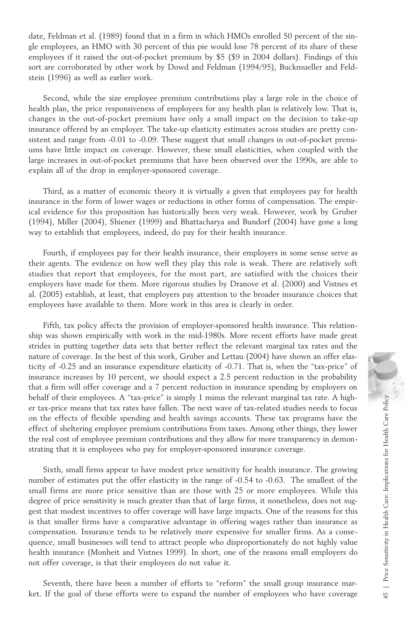date, Feldman et al. (1989) found that in a firm in which HMOs enrolled 50 percent of the single employees, an HMO with 30 percent of this pie would lose 78 percent of its share of these employees if it raised the out-of-pocket premium by \$5 (\$9 in 2004 dollars). Findings of this sort are corroborated by other work by Dowd and Feldman (1994/95), Buckmueller and Feldstein (1996) as well as earlier work.

Second, while the size employee premium contributions play a large role in the choice of health plan, the price responsiveness of employees for any health plan is relatively low. That is, changes in the out-of-pocket premium have only a small impact on the decision to take-up insurance offered by an employer. The take-up elasticity estimates across studies are pretty consistent and range from -0.01 to -0.09. These suggest that small changes in out-of-pocket premiums have little impact on coverage. However, these small elasticities, when coupled with the large increases in out-of-pocket premiums that have been observed over the 1990s, are able to explain all of the drop in employer-sponsored coverage.

Third, as a matter of economic theory it is virtually a given that employees pay for health insurance in the form of lower wages or reductions in other forms of compensation. The empirical evidence for this proposition has historically been very weak. However, work by Gruber (1994), Miller (2004), Shiener (1999) and Bhattacharya and Bundorf (2004) have gone a long way to establish that employees, indeed, do pay for their health insurance.

Fourth, if employees pay for their health insurance, their employers in some sense serve as their agents. The evidence on how well they play this role is weak. There are relatively soft studies that report that employees, for the most part, are satisfied with the choices their employers have made for them. More rigorous studies by Dranove et al. (2000) and Vistnes et al. (2005) establish, at least, that employers pay attention to the broader insurance choices that employees have available to them. More work in this area is clearly in order.

Fifth, tax policy affects the provision of employer-sponsored health insurance. This relationship was shown empirically with work in the mid-1980s. More recent efforts have made great strides in putting together data sets that better reflect the relevant marginal tax rates and the nature of coverage. In the best of this work, Gruber and Lettau (2004) have shown an offer elasticity of -0.25 and an insurance expenditure elasticity of -0.71. That is, when the "tax-price" of insurance increases by 10 percent, we should expect a 2.5 percent reduction in the probability that a firm will offer coverage and a 7 percent reduction in insurance spending by employers on behalf of their employees. A "tax-price" is simply 1 minus the relevant marginal tax rate. A higher tax-price means that tax rates have fallen. The next wave of tax-related studies needs to focus on the effects of flexible spending and health savings accounts. These tax programs have the effect of sheltering employee premium contributions from taxes. Among other things, they lower the real cost of employee premium contributions and they allow for more transparency in demonstrating that it is employees who pay for employer-sponsored insurance coverage.

Sixth, small firms appear to have modest price sensitivity for health insurance. The growing number of estimates put the offer elasticity in the range of -0.54 to -0.63. The smallest of the small firms are more price sensitive than are those with 25 or more employees. While this degree of price sensitivity is much greater than that of large firms, it nonetheless, does not suggest that modest incentives to offer coverage will have large impacts. One of the reasons for this is that smaller firms have a comparative advantage in offering wages rather than insurance as compensation. Insurance tends to be relatively more expensive for smaller firms. As a consequence, small businesses will tend to attract people who disproportionately do not highly value health insurance (Monheit and Vistnes 1999). In short, one of the reasons small employers do not offer coverage, is that their employees do not value it. behall of their employees. A "tax-price" is simply 1 minus the relevant marginal tax rate. A high-<br>or trax-price means that tax rates have fallen. The next wave of tax-related studes needs to focus<br>for the ffect of shelte

Seventh, there have been a number of efforts to "reform" the small group insurance mar-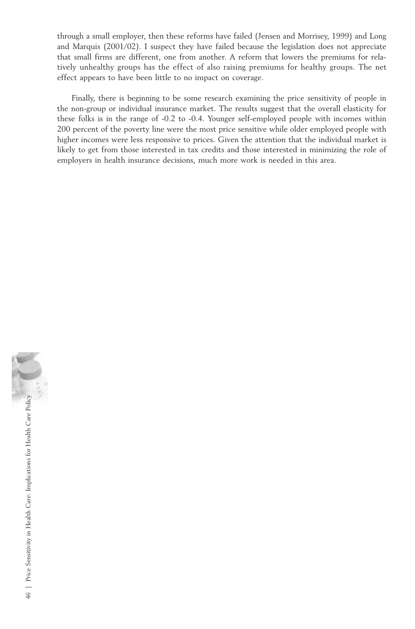through a small employer, then these reforms have failed (Jensen and Morrisey, 1999) and Long and Marquis (2001/02). I suspect they have failed because the legislation does not appreciate that small firms are different, one from another. A reform that lowers the premiums for relatively unhealthy groups has the effect of also raising premiums for healthy groups. The net effect appears to have been little to no impact on coverage.

Finally, there is beginning to be some research examining the price sensitivity of people in the non-group or individual insurance market. The results suggest that the overall elasticity for these folks is in the range of -0.2 to -0.4. Younger self-employed people with incomes within 200 percent of the poverty line were the most price sensitive while older employed people with higher incomes were less responsive to prices. Given the attention that the individual market is likely to get from those interested in tax credits and those interested in minimizing the role of employers in health insurance decisions, much more work is needed in this area.

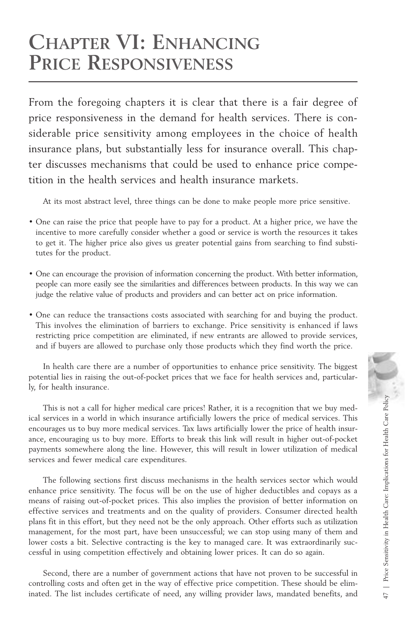## **CHAPTER VI: ENHANCING PRICE RESPONSIVENESS**

From the foregoing chapters it is clear that there is a fair degree of price responsiveness in the demand for health services. There is considerable price sensitivity among employees in the choice of health insurance plans, but substantially less for insurance overall. This chapter discusses mechanisms that could be used to enhance price competition in the health services and health insurance markets.

At its most abstract level, three things can be done to make people more price sensitive.

- One can raise the price that people have to pay for a product. At a higher price, we have the incentive to more carefully consider whether a good or service is worth the resources it takes to get it. The higher price also gives us greater potential gains from searching to find substitutes for the product.
- One can encourage the provision of information concerning the product. With better information, people can more easily see the similarities and differences between products. In this way we can judge the relative value of products and providers and can better act on price information.
- One can reduce the transactions costs associated with searching for and buying the product. This involves the elimination of barriers to exchange. Price sensitivity is enhanced if laws restricting price competition are eliminated, if new entrants are allowed to provide services, and if buyers are allowed to purchase only those products which they find worth the price.

In health care there are a number of opportunities to enhance price sensitivity. The biggest potential lies in raising the out-of-pocket prices that we face for health services and, particularly, for health insurance.

This is not a call for higher medical care prices! Rather, it is a recognition that we buy medical services in a world in which insurance artificially lowers the price of medical services. This encourages us to buy more medical services. Tax laws artificially lower the price of health insurance, encouraging us to buy more. Efforts to break this link will result in higher out-of-pocket payments somewhere along the line. However, this will result in lower utilization of medical services and fewer medical care expenditures.

The following sections first discuss mechanisms in the health services sector which would enhance price sensitivity. The focus will be on the use of higher deductibles and copays as a means of raising out-of-pocket prices. This also implies the provision of better information on effective services and treatments and on the quality of providers. Consumer directed health plans fit in this effort, but they need not be the only approach. Other efforts such as utilization management, for the most part, have been unsuccessful; we can stop using many of them and lower costs a bit. Selective contracting is the key to managed care. It was extraordinarily successful in using competition effectively and obtaining lower prices. It can do so again. This is not a call for higher medical care prices! Rather, it is a recognition that we buy medical services in a world in which insurance artificially lowers the price of medical services. This more emocarging us to buy m

Second, there are a number of government actions that have not proven to be successful in controlling costs and often get in the way of effective price competition. These should be elim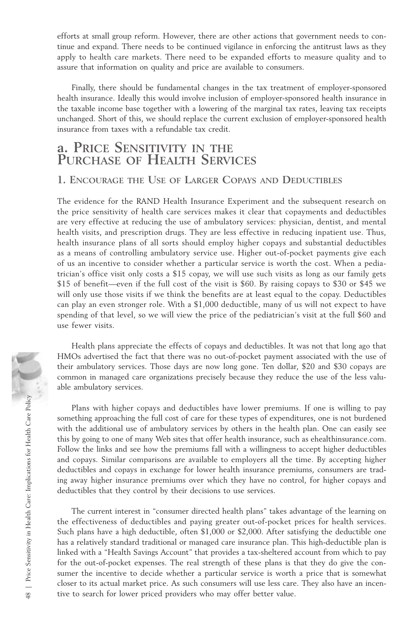efforts at small group reform. However, there are other actions that government needs to continue and expand. There needs to be continued vigilance in enforcing the antitrust laws as they apply to health care markets. There need to be expanded efforts to measure quality and to assure that information on quality and price are available to consumers.

Finally, there should be fundamental changes in the tax treatment of employer-sponsored health insurance. Ideally this would involve inclusion of employer-sponsored health insurance in the taxable income base together with a lowering of the marginal tax rates, leaving tax receipts unchanged. Short of this, we should replace the current exclusion of employer-sponsored health insurance from taxes with a refundable tax credit.

## **a. PRICE SENSITIVITY IN THE PURCHASE OF HEALTH SERVICES**

### **1. ENCOURAGE THE USE OF LARGER COPAYS AND DEDUCTIBLES**

The evidence for the RAND Health Insurance Experiment and the subsequent research on the price sensitivity of health care services makes it clear that copayments and deductibles are very effective at reducing the use of ambulatory services: physician, dentist, and mental health visits, and prescription drugs. They are less effective in reducing inpatient use. Thus, health insurance plans of all sorts should employ higher copays and substantial deductibles as a means of controlling ambulatory service use. Higher out-of-pocket payments give each of us an incentive to consider whether a particular service is worth the cost. When a pediatrician's office visit only costs a \$15 copay, we will use such visits as long as our family gets \$15 of benefit—even if the full cost of the visit is \$60. By raising copays to \$30 or \$45 we will only use those visits if we think the benefits are at least equal to the copay. Deductibles can play an even stronger role. With a \$1,000 deductible, many of us will not expect to have spending of that level, so we will view the price of the pediatrician's visit at the full \$60 and use fewer visits.

Health plans appreciate the effects of copays and deductibles. It was not that long ago that HMOs advertised the fact that there was no out-of-pocket payment associated with the use of their ambulatory services. Those days are now long gone. Ten dollar, \$20 and \$30 copays are common in managed care organizations precisely because they reduce the use of the less valuable ambulatory services.

Plans with higher copays and deductibles have lower premiums. If one is willing to pay something approaching the full cost of care for these types of expenditures, one is not burdened with the additional use of ambulatory services by others in the health plan. One can easily see this by going to one of many Web sites that offer health insurance, such as ehealthinsurance.com. Follow the links and see how the premiums fall with a willingness to accept higher deductibles and copays. Similar comparisons are available to employers all the time. By accepting higher deductibles and copays in exchange for lower health insurance premiums, consumers are trading away higher insurance premiums over which they have no control, for higher copays and deductibles that they control by their decisions to use services.

The current interest in "consumer directed health plans" takes advantage of the learning on the effectiveness of deductibles and paying greater out-of-pocket prices for health services. Such plans have a high deductible, often \$1,000 or \$2,000. After satisfying the deductible one has a relatively standard traditional or managed care insurance plan. This high-deductible plan is linked with a "Health Savings Account" that provides a tax-sheltered account from which to pay for the out-of-pocket expenses. The real strength of these plans is that they do give the consumer the incentive to decide whether a particular service is worth a price that is somewhat closer to its actual market price. As such consumers will use less care. They also have an incen-Plans with higher copays and deductibles have lower premiums<br>something approaching the full cost of care for these types of expendii<br>with the additional use of ambulatory services by others in the health<br>this by going to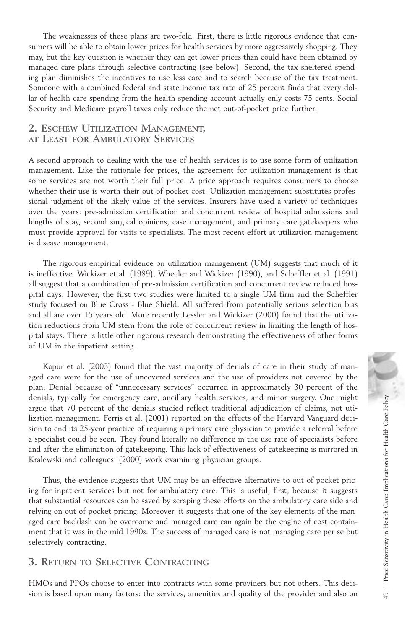The weaknesses of these plans are two-fold. First, there is little rigorous evidence that consumers will be able to obtain lower prices for health services by more aggressively shopping. They may, but the key question is whether they can get lower prices than could have been obtained by managed care plans through selective contracting (see below). Second, the tax sheltered spending plan diminishes the incentives to use less care and to search because of the tax treatment. Someone with a combined federal and state income tax rate of 25 percent finds that every dollar of health care spending from the health spending account actually only costs 75 cents. Social Security and Medicare payroll taxes only reduce the net out-of-pocket price further.

### **2. ESCHEW UTILIZATION MANAGEMENT, AT LEAST FOR AMBULATORY SERVICES**

A second approach to dealing with the use of health services is to use some form of utilization management. Like the rationale for prices, the agreement for utilization management is that some services are not worth their full price. A price approach requires consumers to choose whether their use is worth their out-of-pocket cost. Utilization management substitutes professional judgment of the likely value of the services. Insurers have used a variety of techniques over the years: pre-admission certification and concurrent review of hospital admissions and lengths of stay, second surgical opinions, case management, and primary care gatekeepers who must provide approval for visits to specialists. The most recent effort at utilization management is disease management.

The rigorous empirical evidence on utilization management (UM) suggests that much of it is ineffective. Wickizer et al. (1989), Wheeler and Wickizer (1990), and Scheffler et al. (1991) all suggest that a combination of pre-admission certification and concurrent review reduced hospital days. However, the first two studies were limited to a single UM firm and the Scheffler study focused on Blue Cross - Blue Shield. All suffered from potentially serious selection bias and all are over 15 years old. More recently Lessler and Wickizer (2000) found that the utilization reductions from UM stem from the role of concurrent review in limiting the length of hospital stays. There is little other rigorous research demonstrating the effectiveness of other forms of UM in the inpatient setting.

Kapur et al. (2003) found that the vast majority of denials of care in their study of managed care were for the use of uncovered services and the use of providers not covered by the plan. Denial because of "unnecessary services" occurred in approximately 30 percent of the denials, typically for emergency care, ancillary health services, and minor surgery. One might argue that 70 percent of the denials studied reflect traditional adjudication of claims, not utilization management. Ferris et al. (2001) reported on the effects of the Harvard Vanguard decision to end its 25-year practice of requiring a primary care physician to provide a referral before a specialist could be seen. They found literally no difference in the use rate of specialists before and after the elimination of gatekeeping. This lack of effectiveness of gatekeeping is mirrored in Kralewski and colleagues' (2000) work examining physician groups.

Thus, the evidence suggests that UM may be an effective alternative to out-of-pocket pricing for inpatient services but not for ambulatory care. This is useful, first, because it suggests that substantial resources can be saved by scraping these efforts on the ambulatory care side and relying on out-of-pocket pricing. Moreover, it suggests that one of the key elements of the managed care backlash can be overcome and managed care can again be the engine of cost containment that it was in the mid 1990s. The success of managed care is not managing care per se but selectively contracting. denials, typically for emergency care, ancillary health services, ame minor surgery. One might<br>lization management. Ferris et al. (2001) reported on the effects of the Harvard Vanguard decision to end its 25-year practice

### **3. RETURN TO SELECTIVE CONTRACTING**

HMOs and PPOs choose to enter into contracts with some providers but not others. This deci-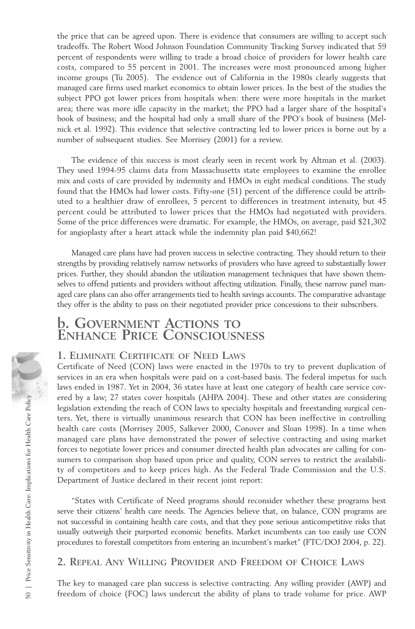the price that can be agreed upon. There is evidence that consumers are willing to accept such tradeoffs. The Robert Wood Johnson Foundation Community Tracking Survey indicated that 59 percent of respondents were willing to trade a broad choice of providers for lower health care costs, compared to 55 percent in 2001. The increases were most pronounced among higher income groups (Tu 2005). The evidence out of California in the 1980s clearly suggests that managed care firms used market economics to obtain lower prices. In the best of the studies the subject PPO got lower prices from hospitals when: there were more hospitals in the market area; there was more idle capacity in the market; the PPO had a larger share of the hospital's book of business; and the hospital had only a small share of the PPO's book of business (Melnick et al. 1992). This evidence that selective contracting led to lower prices is borne out by a number of subsequent studies. See Morrisey (2001) for a review.

The evidence of this success is most clearly seen in recent work by Altman et al. (2003). They used 1994-95 claims data from Massachusetts state employees to examine the enrollee mix and costs of care provided by indemnity and HMOs in eight medical conditions. The study found that the HMOs had lower costs. Fifty-one (51) percent of the difference could be attributed to a healthier draw of enrollees, 5 percent to differences in treatment intensity, but 45 percent could be attributed to lower prices that the HMOs had negotiated with providers. Some of the price differences were dramatic. For example, the HMOs, on average, paid \$21,302 for angioplasty after a heart attack while the indemnity plan paid \$40,662!

Managed care plans have had proven success in selective contracting. They should return to their strengths by providing relatively narrow networks of providers who have agreed to substantially lower prices. Further, they should abandon the utilization management techniques that have shown themselves to offend patients and providers without affecting utilization. Finally, these narrow panel managed care plans can also offer arrangements tied to health savings accounts. The comparative advantage they offer is the ability to pass on their negotiated provider price concessions to their subscribers.

### **b. GOVERNMENT ACTIONS TO ENHANCE PRICE CONSCIOUSNESS**

### **1. ELIMINATE CERTIFICATE OF NEED LAWS**

Certificate of Need (CON) laws were enacted in the 1970s to try to prevent duplication of services in an era when hospitals were paid on a cost-based basis. The federal impetus for such laws ended in 1987. Yet in 2004, 36 states have at least one category of health care service covered by a law; 27 states cover hospitals (AHPA 2004). These and other states are considering legislation extending the reach of CON laws to specialty hospitals and freestanding surgical centers. Yet, there is virtually unanimous research that CON has been ineffective in controlling health care costs (Morrisey 2005, Salkever 2000, Conover and Sloan 1998). In a time when managed care plans have demonstrated the power of selective contracting and using market forces to negotiate lower prices and consumer directed health plan advocates are calling for consumers to comparison shop based upon price and quality, CON serves to restrict the availability of competitors and to keep prices high. As the Federal Trade Commission and the U.S. Department of Justice declared in their recent joint report: Freedom of choice (FOC) laws undercut the ability of plans to trade of choice (FOC) laws undercuted the ability in the rest of trade volume for the choice (Hornical stees (Morrisey 2005, Salkever 2000, Conover and Sloan 1

"States with Certificate of Need programs should reconsider whether these programs best serve their citizens' health care needs. The Agencies believe that, on balance, CON programs are not successful in containing health care costs, and that they pose serious anticompetitive risks that usually outweigh their purported economic benefits. Market incumbents can too easily use CON procedures to forestall competitors from entering an incumbent's market" (FTC/DOJ 2004, p. 22).

**2. REPEAL ANY WILLING PROVIDER AND FREEDOM OF CHOICE LAWS**

The key to managed care plan success is selective contracting. Any willing provider (AWP) and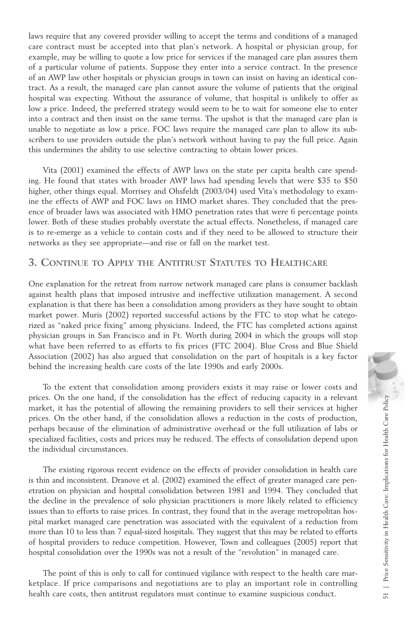laws require that any covered provider willing to accept the terms and conditions of a managed care contract must be accepted into that plan's network. A hospital or physician group, for example, may be willing to quote a low price for services if the managed care plan assures them of a particular volume of patients. Suppose they enter into a service contract. In the presence of an AWP law other hospitals or physician groups in town can insist on having an identical contract. As a result, the managed care plan cannot assure the volume of patients that the original hospital was expecting. Without the assurance of volume, that hospital is unlikely to offer as low a price. Indeed, the preferred strategy would seem to be to wait for someone else to enter into a contract and then insist on the same terms. The upshot is that the managed care plan is unable to negotiate as low a price. FOC laws require the managed care plan to allow its subscribers to use providers outside the plan's network without having to pay the full price. Again this undermines the ability to use selective contracting to obtain lower prices.

Vita (2001) examined the effects of AWP laws on the state per capita health care spending. He found that states with broader AWP laws had spending levels that were \$35 to \$50 higher, other things equal. Morrisey and Ohsfeldt (2003/04) used Vita's methodology to examine the effects of AWP and FOC laws on HMO market shares. They concluded that the presence of broader laws was associated with HMO penetration rates that were 6 percentage points lower. Both of these studies probably overstate the actual effects. Nonetheless, if managed care is to re-emerge as a vehicle to contain costs and if they need to be allowed to structure their networks as they see appropriate—and rise or fall on the market test.

### **3. CONTINUE TO APPLY THE ANTITRUST STATUTES TO HEALTHCARE**

One explanation for the retreat from narrow network managed care plans is consumer backlash against health plans that imposed intrusive and ineffective utilization management. A second explanation is that there has been a consolidation among providers as they have sought to obtain market power. Muris (2002) reported successful actions by the FTC to stop what he categorized as "naked price fixing" among physicians. Indeed, the FTC has completed actions against physician groups in San Francisco and in Ft. Worth during 2004 in which the groups will stop what have been referred to as efforts to fix prices (FTC 2004). Blue Cross and Blue Shield Association (2002) has also argued that consolidation on the part of hospitals is a key factor behind the increasing health care costs of the late 1990s and early 2000s.

To the extent that consolidation among providers exists it may raise or lower costs and prices. On the one hand, if the consolidation has the effect of reducing capacity in a relevant market, it has the potential of allowing the remaining providers to sell their services at higher prices. On the other hand, if the consolidation allows a reduction in the costs of production, perhaps because of the elimination of administrative overhead or the full utilization of labs or specialized facilities, costs and prices may be reduced. The effects of consolidation depend upon the individual circumstances.

The existing rigorous recent evidence on the effects of provider consolidation in health care is thin and inconsistent. Dranove et al. (2002) examined the effect of greater managed care penetration on physician and hospital consolidation between 1981 and 1994. They concluded that the decline in the prevalence of solo physician practitioners is more likely related to efficiency issues than to efforts to raise prices. In contrast, they found that in the average metropolitan hospital market managed care penetration was associated with the equivalent of a reduction from more than 10 to less than 7 equal-sized hospitals. They suggest that this may be related to efforts of hospital providers to reduce competition. However, Town and colleagues (2005) report that hospital consolidation over the 1990s was not a result of the "revolution" in managed care. prices. On the one hand, it the consolidation has the effect of reducing capacity in a relevant<br>market, it has the potential of allowing the remaining provides to sell their services at higher<br>prices. On the other hand, if

The point of this is only to call for continued vigilance with respect to the health care marketplace. If price comparisons and negotiations are to play an important role in controlling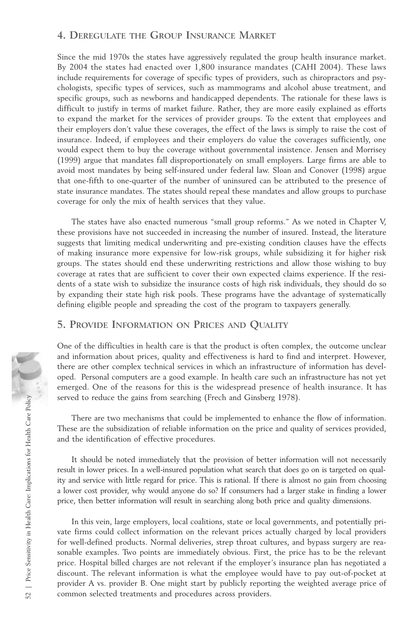### **4. DEREGULATE THE GROUP INSURANCE MARKET**

Since the mid 1970s the states have aggressively regulated the group health insurance market. By 2004 the states had enacted over 1,800 insurance mandates (CAHI 2004). These laws include requirements for coverage of specific types of providers, such as chiropractors and psychologists, specific types of services, such as mammograms and alcohol abuse treatment, and specific groups, such as newborns and handicapped dependents. The rationale for these laws is difficult to justify in terms of market failure. Rather, they are more easily explained as efforts to expand the market for the services of provider groups. To the extent that employees and their employers don't value these coverages, the effect of the laws is simply to raise the cost of insurance. Indeed, if employees and their employers do value the coverages sufficiently, one would expect them to buy the coverage without governmental insistence. Jensen and Morrisey (1999) argue that mandates fall disproportionately on small employers. Large firms are able to avoid most mandates by being self-insured under federal law. Sloan and Conover (1998) argue that one-fifth to one-quarter of the number of uninsured can be attributed to the presence of state insurance mandates. The states should repeal these mandates and allow groups to purchase coverage for only the mix of health services that they value.

The states have also enacted numerous "small group reforms." As we noted in Chapter V, these provisions have not succeeded in increasing the number of insured. Instead, the literature suggests that limiting medical underwriting and pre-existing condition clauses have the effects of making insurance more expensive for low-risk groups, while subsidizing it for higher risk groups. The states should end these underwriting restrictions and allow those wishing to buy coverage at rates that are sufficient to cover their own expected claims experience. If the residents of a state wish to subsidize the insurance costs of high risk individuals, they should do so by expanding their state high risk pools. These programs have the advantage of systematically defining eligible people and spreading the cost of the program to taxpayers generally.

### **5. PROVIDE INFORMATION ON PRICES AND QUALITY**

One of the difficulties in health care is that the product is often complex, the outcome unclear and information about prices, quality and effectiveness is hard to find and interpret. However, there are other complex technical services in which an infrastructure of information has developed. Personal computers are a good example. In health care such an infrastructure has not yet emerged. One of the reasons for this is the widespread presence of health insurance. It has served to reduce the gains from searching (Frech and Ginsberg 1978).

There are two mechanisms that could be implemented to enhance the flow of information. These are the subsidization of reliable information on the price and quality of services provided, and the identification of effective procedures.

It should be noted immediately that the provision of better information will not necessarily result in lower prices. In a well-insured population what search that does go on is targeted on quality and service with little regard for price. This is rational. If there is almost no gain from choosing a lower cost provider, why would anyone do so? If consumers had a larger stake in finding a lower price, then better information will result in searching along both price and quality dimensions.

In this vein, large employers, local coalitions, state or local governments, and potentially private firms could collect information on the relevant prices actually charged by local providers for well-defined products. Normal deliveries, strep throat cultures, and bypass surgery are reasonable examples. Two points are immediately obvious. First, the price has to be the relevant price. Hospital billed charges are not relevant if the employer's insurance plan has negotiated a discount. The relevant information is what the employee would have to pay out-of-pocket at provider A vs. provider B. One might start by publicly reporting the weighted average price of served to reduce the gains from searching (Frech and Ginsber<br>
There are two mechanisms that could be implemented to<br>
These are the subsidization of reliable information on the price<br>
and the identification of effective pro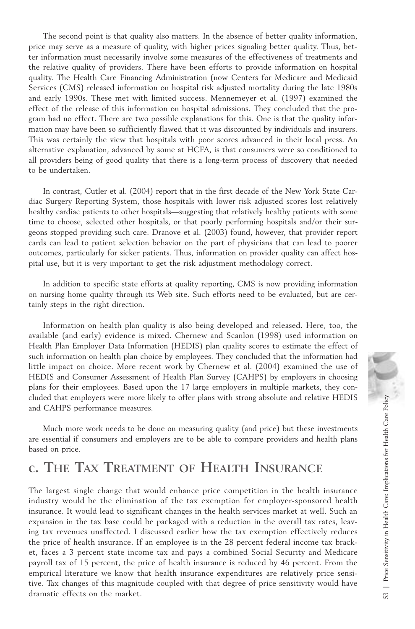The second point is that quality also matters. In the absence of better quality information, price may serve as a measure of quality, with higher prices signaling better quality. Thus, better information must necessarily involve some measures of the effectiveness of treatments and the relative quality of providers. There have been efforts to provide information on hospital quality. The Health Care Financing Administration (now Centers for Medicare and Medicaid Services (CMS) released information on hospital risk adjusted mortality during the late 1980s and early 1990s. These met with limited success. Mennemeyer et al. (1997) examined the effect of the release of this information on hospital admissions. They concluded that the program had no effect. There are two possible explanations for this. One is that the quality information may have been so sufficiently flawed that it was discounted by individuals and insurers. This was certainly the view that hospitals with poor scores advanced in their local press. An alternative explanation, advanced by some at HCFA, is that consumers were so conditioned to all providers being of good quality that there is a long-term process of discovery that needed to be undertaken.

In contrast, Cutler et al. (2004) report that in the first decade of the New York State Cardiac Surgery Reporting System, those hospitals with lower risk adjusted scores lost relatively healthy cardiac patients to other hospitals—suggesting that relatively healthy patients with some time to choose, selected other hospitals, or that poorly performing hospitals and/or their surgeons stopped providing such care. Dranove et al. (2003) found, however, that provider report cards can lead to patient selection behavior on the part of physicians that can lead to poorer outcomes, particularly for sicker patients. Thus, information on provider quality can affect hospital use, but it is very important to get the risk adjustment methodology correct.

In addition to specific state efforts at quality reporting, CMS is now providing information on nursing home quality through its Web site. Such efforts need to be evaluated, but are certainly steps in the right direction.

Information on health plan quality is also being developed and released. Here, too, the available (and early) evidence is mixed. Chernew and Scanlon (1998) used information on Health Plan Employer Data Information (HEDIS) plan quality scores to estimate the effect of such information on health plan choice by employees. They concluded that the information had little impact on choice. More recent work by Chernew et al. (2004) examined the use of HEDIS and Consumer Assessment of Health Plan Survey (CAHPS) by employers in choosing plans for their employees. Based upon the 17 large employers in multiple markets, they concluded that employers were more likely to offer plans with strong absolute and relative HEDIS and CAHPS performance measures.

Much more work needs to be done on measuring quality (and price) but these investments are essential if consumers and employers are to be able to compare providers and health plans based on price.

## **c. THE TAX TREATMENT OF HEALTH INSURANCE**

The largest single change that would enhance price competition in the health insurance industry would be the elimination of the tax exemption for employer-sponsored health insurance. It would lead to significant changes in the health services market at well. Such an expansion in the tax base could be packaged with a reduction in the overall tax rates, leaving tax revenues unaffected. I discussed earlier how the tax exemption effectively reduces the price of health insurance. If an employee is in the 28 percent federal income tax bracket, faces a 3 percent state income tax and pays a combined Social Security and Medicare payroll tax of 15 percent, the price of health insurance is reduced by 46 percent. From the empirical literature we know that health insurance expenditures are relatively price sensitive. Tax changes of this magnitude coupled with that degree of price sensitivity would have cluded that employers were more likely to offer plans with strong absolute and relative HEDIS<br>
and CAHPS performance measures.<br>
Wuch more work needs to be done on measuring quality (and price) but these investments<br>
are es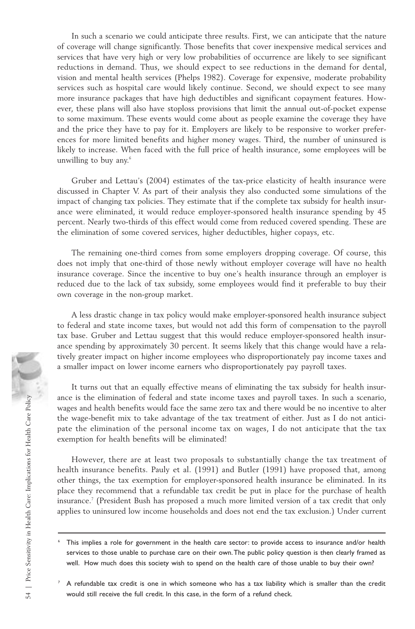In such a scenario we could anticipate three results. First, we can anticipate that the nature of coverage will change significantly. Those benefits that cover inexpensive medical services and services that have very high or very low probabilities of occurrence are likely to see significant reductions in demand. Thus, we should expect to see reductions in the demand for dental, vision and mental health services (Phelps 1982). Coverage for expensive, moderate probability services such as hospital care would likely continue. Second, we should expect to see many more insurance packages that have high deductibles and significant copayment features. However, these plans will also have stoploss provisions that limit the annual out-of-pocket expense to some maximum. These events would come about as people examine the coverage they have and the price they have to pay for it. Employers are likely to be responsive to worker preferences for more limited benefits and higher money wages. Third, the number of uninsured is likely to increase. When faced with the full price of health insurance, some employees will be unwilling to buy any.<sup>6</sup>

Gruber and Lettau's (2004) estimates of the tax-price elasticity of health insurance were discussed in Chapter V. As part of their analysis they also conducted some simulations of the impact of changing tax policies. They estimate that if the complete tax subsidy for health insurance were eliminated, it would reduce employer-sponsored health insurance spending by 45 percent. Nearly two-thirds of this effect would come from reduced covered spending. These are the elimination of some covered services, higher deductibles, higher copays, etc.

The remaining one-third comes from some employers dropping coverage. Of course, this does not imply that one-third of those newly without employer coverage will have no health insurance coverage. Since the incentive to buy one's health insurance through an employer is reduced due to the lack of tax subsidy, some employees would find it preferable to buy their own coverage in the non-group market.

A less drastic change in tax policy would make employer-sponsored health insurance subject to federal and state income taxes, but would not add this form of compensation to the payroll tax base. Gruber and Lettau suggest that this would reduce employer-sponsored health insurance spending by approximately 30 percent. It seems likely that this change would have a relatively greater impact on higher income employees who disproportionately pay income taxes and a smaller impact on lower income earners who disproportionately pay payroll taxes.

It turns out that an equally effective means of eliminating the tax subsidy for health insurance is the elimination of federal and state income taxes and payroll taxes. In such a scenario, wages and health benefits would face the same zero tax and there would be no incentive to alter the wage-benefit mix to take advantage of the tax treatment of either. Just as I do not anticipate the elimination of the personal income tax on wages, I do not anticipate that the tax exemption for health benefits will be eliminated!

However, there are at least two proposals to substantially change the tax treatment of health insurance benefits. Pauly et al. (1991) and Butler (1991) have proposed that, among other things, the tax exemption for employer-sponsored health insurance be eliminated. In its place they recommend that a refundable tax credit be put in place for the purchase of health insurance.<sup>7</sup> (President Bush has proposed a much more limited version of a tax credit that only applies to uninsured low income households and does not end the tax exclusion.) Under current

<sup>6</sup> This implies a role for government in the health care sector: to provide access to insurance and/or health services to those unable to purchase care on their own.The public policy question is then clearly framed as well. How much does this society wish to spend on the health care of those unable to buy their own?

 $7$  A refundable tax credit is one in which someone who has a tax liability which is smaller than the credit would still receive the full credit. In this case, in the form of a refund check.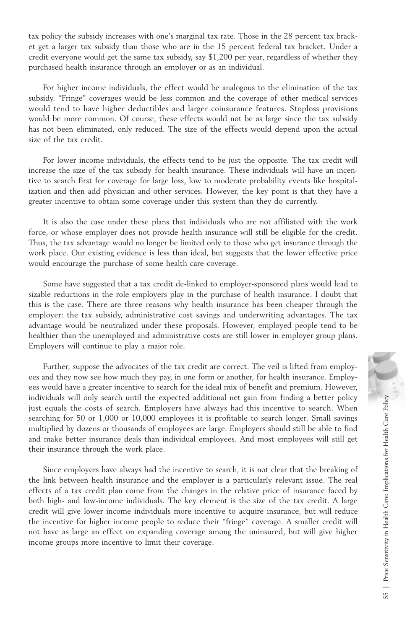tax policy the subsidy increases with one's marginal tax rate. Those in the 28 percent tax bracket get a larger tax subsidy than those who are in the 15 percent federal tax bracket. Under a credit everyone would get the same tax subsidy, say \$1,200 per year, regardless of whether they purchased health insurance through an employer or as an individual.

For higher income individuals, the effect would be analogous to the elimination of the tax subsidy. "Fringe" coverages would be less common and the coverage of other medical services would tend to have higher deductibles and larger coinsurance features. Stoploss provisions would be more common. Of course, these effects would not be as large since the tax subsidy has not been eliminated, only reduced. The size of the effects would depend upon the actual size of the tax credit.

For lower income individuals, the effects tend to be just the opposite. The tax credit will increase the size of the tax subsidy for health insurance. These individuals will have an incentive to search first for coverage for large loss, low to moderate probability events like hospitalization and then add physician and other services. However, the key point is that they have a greater incentive to obtain some coverage under this system than they do currently.

It is also the case under these plans that individuals who are not affiliated with the work force, or whose employer does not provide health insurance will still be eligible for the credit. Thus, the tax advantage would no longer be limited only to those who get insurance through the work place. Our existing evidence is less than ideal, but suggests that the lower effective price would encourage the purchase of some health care coverage.

Some have suggested that a tax credit de-linked to employer-sponsored plans would lead to sizable reductions in the role employers play in the purchase of health insurance. I doubt that this is the case. There are three reasons why health insurance has been cheaper through the employer: the tax subsidy, administrative cost savings and underwriting advantages. The tax advantage would be neutralized under these proposals. However, employed people tend to be healthier than the unemployed and administrative costs are still lower in employer group plans. Employers will continue to play a major role.

Further, suppose the advocates of the tax credit are correct. The veil is lifted from employees and they now see how much they pay, in one form or another, for health insurance. Employees would have a greater incentive to search for the ideal mix of benefit and premium. However, individuals will only search until the expected additional net gain from finding a better policy just equals the costs of search. Employers have always had this incentive to search. When searching for 50 or 1,000 or 10,000 employees it is profitable to search longer. Small savings multiplied by dozens or thousands of employees are large. Employers should still be able to find and make better insurance deals than individual employees. And most employees will still get their insurance through the work place.

Since employers have always had the incentive to search, it is not clear that the breaking of the link between health insurance and the employer is a particularly relevant issue. The real effects of a tax credit plan come from the changes in the relative price of insurance faced by both high- and low-income individuals. The key element is the size of the tax credit. A large credit will give lower income individuals more incentive to acquire insurance, but will reduce the incentive for higher income people to reduce their "fringe" coverage. A smaller credit will not have as large an effect on expanding coverage among the uninsured, but will give higher income groups more incentive to limit their coverage.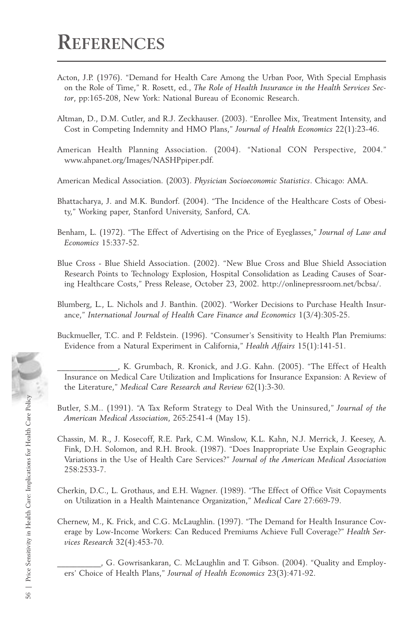- Acton, J.P. (1976). "Demand for Health Care Among the Urban Poor, With Special Emphasis on the Role of Time," R. Rosett, ed., *The Role of Health Insurance in the Health Services Sector*, pp:165-208, New York: National Bureau of Economic Research.
- Altman, D., D.M. Cutler, and R.J. Zeckhauser. (2003). "Enrollee Mix, Treatment Intensity, and Cost in Competing Indemnity and HMO Plans," *Journal of Health Economics* 22(1):23-46.
- American Health Planning Association. (2004). "National CON Perspective, 2004." www.ahpanet.org/Images/NASHPpiper.pdf.
- American Medical Association. (2003). *Physician Socioeconomic Statistics*. Chicago: AMA.
- Bhattacharya, J. and M.K. Bundorf. (2004). "The Incidence of the Healthcare Costs of Obesity," Working paper, Stanford University, Sanford, CA.
- Benham, L. (1972). "The Effect of Advertising on the Price of Eyeglasses," *Journal of Law and Economics* 15:337-52.
- Blue Cross Blue Shield Association. (2002). "New Blue Cross and Blue Shield Association Research Points to Technology Explosion, Hospital Consolidation as Leading Causes of Soaring Healthcare Costs," Press Release, October 23, 2002. http://onlinepressroom.net/bcbsa/.
- Blumberg, L., L. Nichols and J. Banthin. (2002). "Worker Decisions to Purchase Health Insurance," *International Journal of Health Care Finance and Economics* 1(3/4):305-25.
- Buckmueller, T.C. and P. Feldstein. (1996). "Consumer's Sensitivity to Health Plan Premiums: Evidence from a Natural Experiment in California," *Health Affairs* 15(1):141-51.
- \_\_\_\_\_\_\_\_\_\_\_\_\_\_\_, K. Grumbach, R. Kronick, and J.G. Kahn. (2005). "The Effect of Health Insurance on Medical Care Utilization and Implications for Insurance Expansion: A Review of the Literature," *Medical Care Research and Review* 62(1):3-30.
- Butler, S.M.. (1991). "A Tax Reform Strategy to Deal With the Uninsured," *Journal of the American Medical Association*, 265:2541-4 (May 15).
- Chassin, M. R., J. Kosecoff, R.E. Park, C.M. Winslow, K.L. Kahn, N.J. Merrick, J. Keesey, A. Fink, D.H. Solomon, and R.H. Brook. (1987). "Does Inappropriate Use Explain Geographic Variations in the Use of Health Care Services?" *Journal of the American Medical Association* 258:2533-7.
- Cherkin, D.C., L. Grothaus, and E.H. Wagner. (1989). "The Effect of Office Visit Copayments on Utilization in a Health Maintenance Organization," *Medical Care* 27:669-79.
- Chernew, M., K. Frick, and C.G. McLaughlin. (1997). "The Demand for Health Insurance Coverage by Low-Income Workers: Can Reduced Premiums Achieve Full Coverage?" *Health Services Research* 32(4):453-70.
	- \_\_\_\_\_\_\_\_\_\_\_, G. Gowrisankaran, C. McLaughlin and T. Gibson. (2004). "Quality and Employers' Choice of Health Plans," *Journal of Health Economics* 23(3):471-92.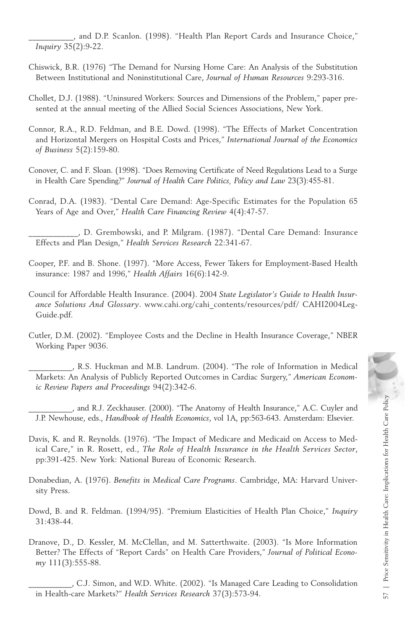\_\_\_\_\_\_\_\_\_\_\_, and D.P. Scanlon. (1998). "Health Plan Report Cards and Insurance Choice," *Inquiry* 35(2):9-22.

- Chiswick, B.R. (1976) "The Demand for Nursing Home Care: An Analysis of the Substitution Between Institutional and Noninstitutional Care, *Journal of Human Resources* 9:293-316.
- Chollet, D.J. (1988). "Uninsured Workers: Sources and Dimensions of the Problem," paper presented at the annual meeting of the Allied Social Sciences Associations, New York.
- Connor, R.A., R.D. Feldman, and B.E. Dowd. (1998). "The Effects of Market Concentration and Horizontal Mergers on Hospital Costs and Prices," *International Journal of the Economics of Business* 5(2):159-80.
- Conover, C. and F. Sloan. (1998). "Does Removing Certificate of Need Regulations Lead to a Surge in Health Care Spending?" *Journal of Health Care Politics, Policy and Law* 23(3):455-81.
- Conrad, D.A. (1983). "Dental Care Demand: Age-Specific Estimates for the Population 65 Years of Age and Over," *Health Care Financing Review* 4(4):47-57.
- \_\_\_\_\_\_\_\_\_\_\_\_, D. Grembowski, and P. Milgram. (1987). "Dental Care Demand: Insurance Effects and Plan Design," *Health Services Research* 22:341-67.
- Cooper, P.F. and B. Shone. (1997). "More Access, Fewer Takers for Employment-Based Health insurance: 1987 and 1996," *Health Affairs* 16(6):142-9.
- Council for Affordable Health Insurance. (2004). 2004 *State Legislator's Guide to Health Insurance Solutions And Glossary*. www.cahi.org/cahi\_contents/resources/pdf/ CAHI2004Leg-Guide.pdf.
- Cutler, D.M. (2002). "Employee Costs and the Decline in Health Insurance Coverage," NBER Working Paper 9036.
	- \_\_\_\_\_\_\_\_\_\_\_, R.S. Huckman and M.B. Landrum. (2004). "The role of Information in Medical Markets: An Analysis of Publicly Reported Outcomes in Cardiac Surgery," *American Economic Review Papers and Proceedings* 94(2):342-6.
	- \_\_\_\_\_\_\_\_\_\_\_, and R.J. Zeckhauser. (2000). "The Anatomy of Health Insurance," A.C. Cuyler and J.P. Newhouse, eds., *Handbook of Health Economics*, vol 1A, pp:563-643. Amsterdam: Elsevier.
- Davis, K. and R. Reynolds. (1976). "The Impact of Medicare and Medicaid on Access to Medical Care," in R. Rosett, ed., *The Role of Health Insurance in the Health Services Sector*, pp:391-425. New York: National Bureau of Economic Research.
- Donabedian, A. (1976). *Benefits in Medical Care Programs*. Cambridge, MA: Harvard University Press.
- Dowd, B. and R. Feldman. (1994/95). "Premium Elasticities of Health Plan Choice," *Inquiry* 31:438-44.
- Dranove, D., D. Kessler, M. McClellan, and M. Satterthwaite. (2003). "Is More Information Better? The Effects of "Report Cards" on Health Care Providers," *Journal of Political Economy* 111(3):555-88.

and R.J. Zeckhauser. (2000). "The Anatomy of Health Insurance," A.C. Cuyler and<br>
J.P. Newhouse, eds., *Handbook of Health Economics*, vol 1A, pp:563-643. Amsterdam: Elsevier.<br>
avis, K. and R. Reynolds. (1976). "The Impact

\_\_\_\_\_\_\_\_\_\_\_, C.J. Simon, and W.D. White. (2002). "Is Managed Care Leading to Consolidation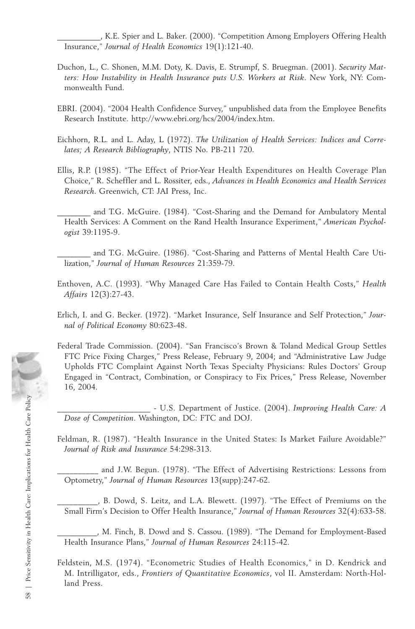\_\_\_\_\_\_\_\_\_\_\_, K.E. Spier and L. Baker. (2000). "Competition Among Employers Offering Health Insurance," *Journal of Health Economics* 19(1):121-40.

- Duchon, L., C. Shonen, M.M. Doty, K. Davis, E. Strumpf, S. Bruegman. (2001). *Security Matters: How Instability in Health Insurance puts U.S. Workers at Risk*. New York, NY: Commonwealth Fund.
- EBRI. (2004). "2004 Health Confidence Survey," unpublished data from the Employee Benefits Research Institute. http://www.ebri.org/hcs/2004/index.htm.
- Eichhorn, R.L. and L. Aday, L (1972). *The Utilization of Health Services: Indices and Correlates; A Research Bibliography*, NTIS No. PB-211 720.
- Ellis, R.P. (1985). "The Effect of Prior-Year Health Expenditures on Health Coverage Plan Choice," R. Scheffler and L. Rossiter, eds., *Advances in Health Economics and Health Services Research*. Greenwich, CT: JAI Press, Inc.
- and T.G. McGuire. (1984). "Cost-Sharing and the Demand for Ambulatory Mental Health Services: A Comment on the Rand Health Insurance Experiment," *American Psychologist* 39:1195-9.
- and T.G. McGuire. (1986). "Cost-Sharing and Patterns of Mental Health Care Utilization," *Journal of Human Resources* 21:359-79.
- Enthoven, A.C. (1993). "Why Managed Care Has Failed to Contain Health Costs," *Health Affairs* 12(3):27-43.
- Erlich, I. and G. Becker. (1972). "Market Insurance, Self Insurance and Self Protection," *Journal of Political Economy* 80:623-48.
- Federal Trade Commission. (2004). "San Francisco's Brown & Toland Medical Group Settles FTC Price Fixing Charges," Press Release, February 9, 2004; and "Administrative Law Judge Upholds FTC Complaint Against North Texas Specialty Physicians: Rules Doctors' Group Engaged in "Contract, Combination, or Conspiracy to Fix Prices," Press Release, November 16, 2004.

\_\_\_\_\_\_\_\_\_\_\_\_\_\_\_\_\_\_\_\_\_\_\_ - U.S. Department of Justice. (2004). *Improving Health Care: A Dose of Competition*. Washington, DC: FTC and DOJ.

Feldman, R. (1987). "Health Insurance in the United States: Is Market Failure Avoidable?" *Journal of Risk and Insurance* 54:298-313.

and J.W. Begun. (1978). "The Effect of Advertising Restrictions: Lessons from Optometry," *Journal of Human Resources* 13(supp):247-62.

\_\_\_\_\_\_\_\_\_\_, B. Dowd, S. Leitz, and L.A. Blewett. (1997). "The Effect of Premiums on the Small Firm's Decision to Offer Health Insurance," *Journal of Human Resources* 32(4):633-58.

\_\_\_\_\_\_\_\_\_\_, M. Finch, B. Dowd and S. Cassou. (1989). "The Demand for Employment-Based Health Insurance Plans," *Journal of Human Resources* 24:115-42.

Feldstein, M.S. (1974). "Econometric Studies of Health Economics," in D. Kendrick and M. Intrilligator, eds., *Frontiers of Quantitative Economics*, vol II. Amsterdam: North-Holland Press.

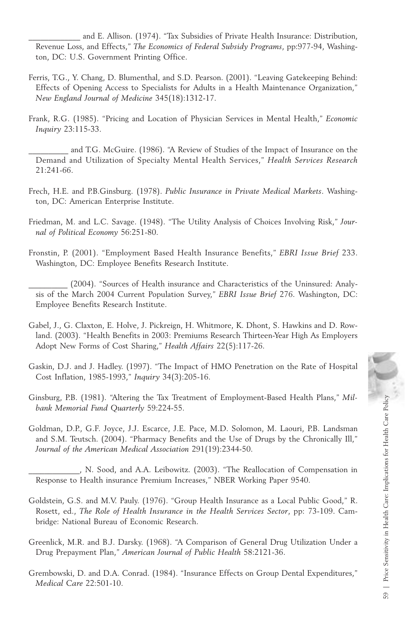and E. Allison. (1974). "Tax Subsidies of Private Health Insurance: Distribution, Revenue Loss, and Effects," *The Economics of Federal Subsidy Programs*, pp:977-94, Washington, DC: U.S. Government Printing Office.

- Ferris, T.G., Y. Chang, D. Blumenthal, and S.D. Pearson. (2001). "Leaving Gatekeeping Behind: Effects of Opening Access to Specialists for Adults in a Health Maintenance Organization," *New England Journal of Medicine* 345(18):1312-17.
- Frank, R.G. (1985). "Pricing and Location of Physician Services in Mental Health," *Economic Inquiry* 23:115-33.

and T.G. McGuire. (1986). "A Review of Studies of the Impact of Insurance on the Demand and Utilization of Specialty Mental Health Services," *Health Services Research* 21:241-66.

- Frech, H.E. and P.B.Ginsburg. (1978). *Public Insurance in Private Medical Markets*. Washington, DC: American Enterprise Institute.
- Friedman, M. and L.C. Savage. (1948). "The Utility Analysis of Choices Involving Risk," *Journal of Political Economy* 56:251-80.
- Fronstin, P. (2001). "Employment Based Health Insurance Benefits," *EBRI Issue Brief* 233. Washington, DC: Employee Benefits Research Institute.

(2004). "Sources of Health insurance and Characteristics of the Uninsured: Analysis of the March 2004 Current Population Survey," *EBRI Issue Brief* 276. Washington, DC: Employee Benefits Research Institute.

- Gabel, J., G. Claxton, E. Holve, J. Pickreign, H. Whitmore, K. Dhont, S. Hawkins and D. Rowland. (2003). "Health Benefits in 2003: Premiums Research Thirteen-Year High As Employers Adopt New Forms of Cost Sharing," *Health Affairs* 22(5):117-26.
- Gaskin, D.J. and J. Hadley. (1997). "The Impact of HMO Penetration on the Rate of Hospital Cost Inflation, 1985-1993," *Inquiry* 34(3):205-16.
- Ginsburg, P.B. (1981). "Altering the Tax Treatment of Employment-Based Health Plans," *Milbank Memorial Fund Quarterly* 59:224-55.
- Goldman, D.P., G.F. Joyce, J.J. Escarce, J.E. Pace, M.D. Solomon, M. Laouri, P.B. Landsman and S.M. Teutsch. (2004). "Pharmacy Benefits and the Use of Drugs by the Chronically Ill," *Journal of the American Medical Association* 291(19):2344-50.

\_\_\_\_\_\_\_\_\_\_\_\_\_, N. Sood, and A.A. Leibowitz. (2003). "The Reallocation of Compensation in Response to Health insurance Premium Increases," NBER Working Paper 9540.

- Goldstein, G.S. and M.V. Pauly. (1976). "Group Health Insurance as a Local Public Good," R. Rosett, ed., *The Role of Health Insurance in the Health Services Sector*, pp: 73-109. Cambridge: National Bureau of Economic Research.
- Greenlick, M.R. and B.J. Darsky. (1968). "A Comparison of General Drug Utilization Under a Drug Prepayment Plan," *American Journal of Public Health* 58:2121-36.
- Grembowski, D. and D.A. Conrad. (1984). "Insurance Effects on Group Dental Expenditures," *Medical Care* 22:501-10.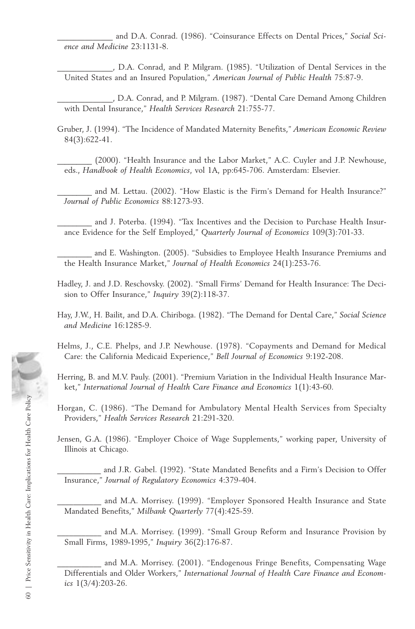and D.A. Conrad. (1986). "Coinsurance Effects on Dental Prices," Social Sci*ence and Medicine* 23:1131-8.

\_\_\_\_\_\_\_\_\_\_\_\_\_\_, D.A. Conrad, and P. Milgram. (1985). "Utilization of Dental Services in the United States and an Insured Population," *American Journal of Public Health* 75:87-9.

\_\_\_\_\_\_\_\_\_\_\_\_\_\_, D.A. Conrad, and P. Milgram. (1987). "Dental Care Demand Among Children with Dental Insurance," *Health Services Research* 21:755-77.

- Gruber, J. (1994). "The Incidence of Mandated Maternity Benefits," *American Economic Review* 84(3):622-41.
	- (2000). "Health Insurance and the Labor Market," A.C. Cuyler and J.P. Newhouse, eds., *Handbook of Health Economics*, vol 1A, pp:645-706. Amsterdam: Elsevier.
	- and M. Lettau. (2002). "How Elastic is the Firm's Demand for Health Insurance?" *Journal of Public Economics* 88:1273-93.

and J. Poterba. (1994). "Tax Incentives and the Decision to Purchase Health Insurance Evidence for the Self Employed," *Quarterly Journal of Economics* 109(3):701-33.

and E. Washington. (2005). "Subsidies to Employee Health Insurance Premiums and the Health Insurance Market," *Journal of Health Economics* 24(1):253-76.

- Hadley, J. and J.D. Reschovsky. (2002). "Small Firms' Demand for Health Insurance: The Decision to Offer Insurance," *Inquiry* 39(2):118-37.
- Hay, J.W., H. Bailit, and D.A. Chiriboga. (1982). "The Demand for Dental Care," *Social Science and Medicine* 16:1285-9.
- Helms, J., C.E. Phelps, and J.P. Newhouse. (1978). "Copayments and Demand for Medical Care: the California Medicaid Experience," *Bell Journal of Economics* 9:192-208.
- Herring, B. and M.V. Pauly. (2001). "Premium Variation in the Individual Health Insurance Market," *International Journal of Health Care Finance and Economics* 1(1):43-60.
- Horgan, C. (1986). "The Demand for Ambulatory Mental Health Services from Specialty Providers," *Health Services Research* 21:291-320.
- Jensen, G.A. (1986). "Employer Choice of Wage Supplements," working paper, University of Illinois at Chicago.

and J.R. Gabel. (1992). "State Mandated Benefits and a Firm's Decision to Offer Insurance," *Journal of Regulatory Economics* 4:379-404.

and M.A. Morrisey. (1999). "Employer Sponsored Health Insurance and State Mandated Benefits," *Milbank Quarterly* 77(4):425-59.

and M.A. Morrisey. (1999). "Small Group Reform and Insurance Provision by Small Firms, 1989-1995," *Inquiry* 36(2):176-87.

and M.A. Morrisey. (2001). "Endogenous Fringe Benefits, Compensating Wage Differentials and Older Workers," *International Journal of Health Care Finance and Economics* 1(3/4):203-26.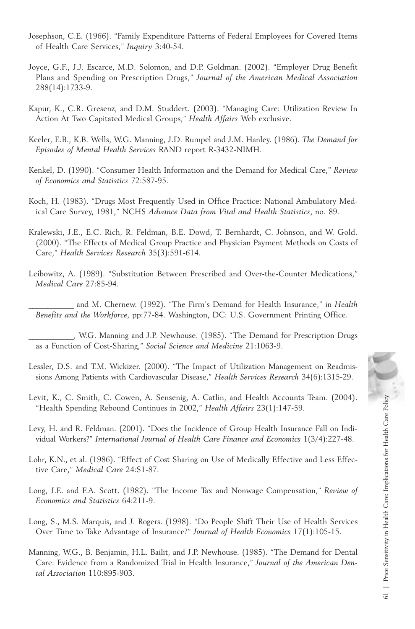- Josephson, C.E. (1966). "Family Expenditure Patterns of Federal Employees for Covered Items of Health Care Services," *Inquiry* 3:40-54.
- Joyce, G.F., J.J. Escarce, M.D. Solomon, and D.P. Goldman. (2002). "Employer Drug Benefit Plans and Spending on Prescription Drugs," *Journal of the American Medical Association* 288(14):1733-9.
- Kapur, K., C.R. Gresenz, and D.M. Studdert. (2003). "Managing Care: Utilization Review In Action At Two Capitated Medical Groups," *Health Affairs* Web exclusive.
- Keeler, E.B., K.B. Wells, W.G. Manning, J.D. Rumpel and J.M. Hanley. (1986). *The Demand for Episodes of Mental Health Services* RAND report R-3432-NIMH.
- Kenkel, D. (1990). "Consumer Health Information and the Demand for Medical Care," *Review of Economics and Statistics* 72:587-95.
- Koch, H. (1983). "Drugs Most Frequently Used in Office Practice: National Ambulatory Medical Care Survey, 1981," NCHS *Advance Data from Vital and Health Statistics*, no. 89.
- Kralewski, J.E., E.C. Rich, R. Feldman, B.E. Dowd, T. Bernhardt, C. Johnson, and W. Gold. (2000). "The Effects of Medical Group Practice and Physician Payment Methods on Costs of Care," *Health Services Research* 35(3):591-614.
- Leibowitz, A. (1989). "Substitution Between Prescribed and Over-the-Counter Medications," *Medical Care* 27:85-94.
- \_\_\_\_\_\_\_\_\_\_\_\_ and M. Chernew. (1992). "The Firm's Demand for Health Insurance," in *Health Benefits and the Workforce*, pp:77-84. Washington, DC: U.S. Government Printing Office.
- \_\_\_\_\_\_\_\_\_\_\_\_, W.G. Manning and J.P. Newhouse. (1985). "The Demand for Prescription Drugs as a Function of Cost-Sharing," *Social Science and Medicine* 21:1063-9.
- Lessler, D.S. and T.M. Wickizer. (2000). "The Impact of Utilization Management on Readmissions Among Patients with Cardiovascular Disease," *Health Services Research* 34(6):1315-29.
- Levit, K., C. Smith, C. Cowen, A. Sensenig, A. Catlin, and Health Accounts Team. (2004). "Health Spending Rebound Continues in 2002," *Health Affairs* 23(1):147-59.
- Levy, H. and R. Feldman. (2001). "Does the Incidence of Group Health Insurance Fall on Individual Workers?" *International Journal of Health Care Finance and Economics* 1(3/4):227-48.
- Lohr, K.N., et al. (1986). "Effect of Cost Sharing on Use of Medically Effective and Less Effective Care," *Medical Care* 24:S1-87.
- Long, J.E. and F.A. Scott. (1982). "The Income Tax and Nonwage Compensation," *Review of Economics and Statistics* 64:211-9.
- Long, S., M.S. Marquis, and J. Rogers. (1998). "Do People Shift Their Use of Health Services Over Time to Take Advantage of Insurance?" *Journal of Health Economics* 17(1):105-15.
- Manning, W.G., B. Benjamin, H.L. Bailit, and J.P. Newhouse. (1985). "The Demand for Dental Care: Evidence from a Randomized Trial in Health Insurance," *Journal of the American Dental Association* 110:895-903.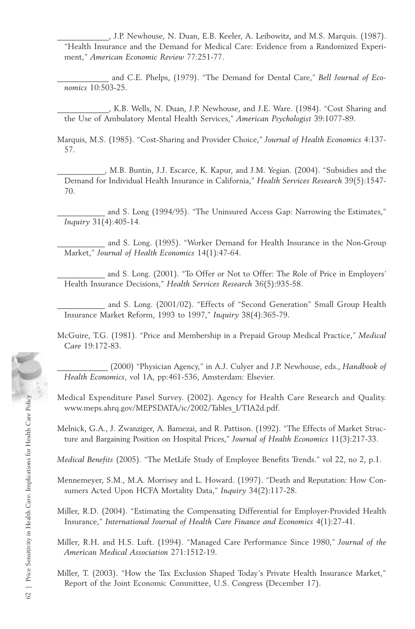\_\_\_\_\_\_\_\_\_\_\_\_\_, J.P. Newhouse, N. Duan, E.B. Keeler, A. Leibowitz, and M.S. Marquis. (1987). "Health Insurance and the Demand for Medical Care: Evidence from a Randomized Experiment," *American Economic Review* 77:251-77.

\_\_\_\_\_\_\_\_\_\_\_\_\_ and C.E. Phelps, (1979). "The Demand for Dental Care," *Bell Journal of Economics* 10:503-25.

\_\_\_\_\_\_\_\_\_\_\_\_\_, K.B. Wells, N. Duan, J.P. Newhouse, and J.E. Ware. (1984). "Cost Sharing and the Use of Ambulatory Mental Health Services," *American Psychologist* 39:1077-89.

Marquis, M.S. (1985). "Cost-Sharing and Provider Choice," *Journal of Health Economics* 4:137- 57.

\_\_\_\_\_\_\_\_\_\_\_\_, M.B. Buntin, J.J. Escarce, K. Kapur, and J.M. Yegian. (2004). "Subsidies and the Demand for Individual Health Insurance in California," *Health Services Research* 39(5):1547- 70.

and S. Long (1994/95). "The Uninsured Access Gap: Narrowing the Estimates," *Inquiry* 31(4):405-14.

and S. Long. (1995). "Worker Demand for Health Insurance in the Non-Group Market," *Journal of Health Economics* 14(1):47-64.

and S. Long. (2001). "To Offer or Not to Offer: The Role of Price in Employers' Health Insurance Decisions," *Health Services Research* 36(5):935-58.

and S. Long. (2001/02). "Effects of "Second Generation" Small Group Health Insurance Market Reform, 1993 to 1997," *Inquiry* 38(4):365-79.

McGuire, T.G. (1981). "Price and Membership in a Prepaid Group Medical Practice," *Medical Care* 19:172-83.

\_\_\_\_\_\_\_\_\_\_\_\_\_ (2000) "Physician Agency," in A.J. Culyer and J.P. Newhouse, eds., *Handbook of Health Economics*, vol 1A, pp:461-536, Amsterdam: Elsevier.

Medical Expenditure Panel Survey. (2002). Agency for Health Care Research and Quality. www.meps.ahrq.gov/MEPSDATA/ic/2002/Tables\_I/TIA2d.pdf.

Melnick, G.A., J. Zwanziger, A. Bamezai, and R. Pattison. (1992). "The Effects of Market Structure and Bargaining Position on Hospital Prices," *Journal of Health Economics* 11(3):217-33.

*Medical Benefits* (2005). "The MetLife Study of Employee Benefits Trends." vol 22, no 2, p.1.

Mennemeyer, S.M., M.A. Morrisey and L. Howard. (1997). "Death and Reputation: How Consumers Acted Upon HCFA Mortality Data," *Inquiry* 34(2):117-28.

Miller, R.D. (2004). "Estimating the Compensating Differential for Employer-Provided Health Insurance," *International Journal of Health Care Finance and Economics* 4(1):27-41.

Miller, R.H. and H.S. Luft. (1994). "Managed Care Performance Since 1980," *Journal of the American Medical Association* 271:1512-19.

Miller, T. (2003). "How the Tax Exclusion Shaped Today's Private Health Insurance Market," Report of the Joint Economic Committee, U.S. Congress (December 17).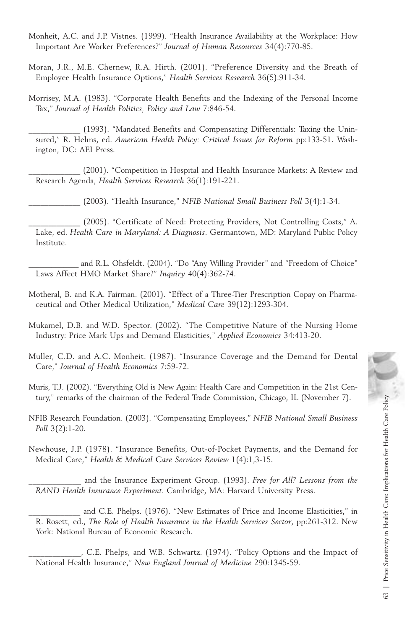- Monheit, A.C. and J.P. Vistnes. (1999). "Health Insurance Availability at the Workplace: How Important Are Worker Preferences?" *Journal of Human Resources* 34(4):770-85.
- Moran, J.R., M.E. Chernew, R.A. Hirth. (2001). "Preference Diversity and the Breath of Employee Health Insurance Options," *Health Services Research* 36(5):911-34.
- Morrisey, M.A. (1983). "Corporate Health Benefits and the Indexing of the Personal Income Tax," *Journal of Health Politics, Policy and Law* 7:846-54.

(1993). "Mandated Benefits and Compensating Differentials: Taxing the Uninsured," R. Helms, ed. *American Health Policy: Critical Issues for Reform* pp:133-51. Washington, DC: AEI Press.

\_\_\_\_\_\_\_\_\_\_\_\_\_ (2001). "Competition in Hospital and Health Insurance Markets: A Review and Research Agenda, *Health Services Research* 36(1):191-221.

\_\_\_\_\_\_\_\_\_\_\_\_\_ (2003). "Health Insurance," *NFIB National Small Business Poll* 3(4):1-34.

(2005). "Certificate of Need: Protecting Providers, Not Controlling Costs," A. Lake, ed. *Health Care in Maryland: A Diagnosis*. Germantown, MD: Maryland Public Policy Institute.

and R.L. Ohsfeldt. (2004). "Do "Any Willing Provider" and "Freedom of Choice" Laws Affect HMO Market Share?" *Inquiry* 40(4):362-74.

Motheral, B. and K.A. Fairman. (2001). "Effect of a Three-Tier Prescription Copay on Pharmaceutical and Other Medical Utilization," *Medical Care* 39(12):1293-304.

Mukamel, D.B. and W.D. Spector. (2002). "The Competitive Nature of the Nursing Home Industry: Price Mark Ups and Demand Elasticities," *Applied Economics* 34:413-20.

Muller, C.D. and A.C. Monheit. (1987). "Insurance Coverage and the Demand for Dental Care," *Journal of Health Economics* 7:59-72.

Muris, T.J. (2002). "Everything Old is New Again: Health Care and Competition in the 21st Century," remarks of the chairman of the Federal Trade Commission, Chicago, IL (November 7).

NFIB Research Foundation. (2003). "Compensating Employees," *NFIB National Small Business Poll* 3(2):1-20.

Newhouse, J.P. (1978). "Insurance Benefits, Out-of-Pocket Payments, and the Demand for Medical Care," *Health & Medical Care Services Review* 1(4):1,3-15.

\_\_\_\_\_\_\_\_\_\_\_\_\_ and the Insurance Experiment Group. (1993). *Free for All? Lessons from the RAND Health Insurance Experiment*. Cambridge, MA: Harvard University Press.

and C.E. Phelps. (1976). "New Estimates of Price and Income Elasticities," in R. Rosett, ed., *The Role of Health Insurance in the Health Services Sector*, pp:261-312. New York: National Bureau of Economic Research.

\_\_\_\_\_\_\_\_\_\_\_\_\_, C.E. Phelps, and W.B. Schwartz. (1974). "Policy Options and the Impact of National Health Insurance," *New England Journal of Medicine* 290:1345-59.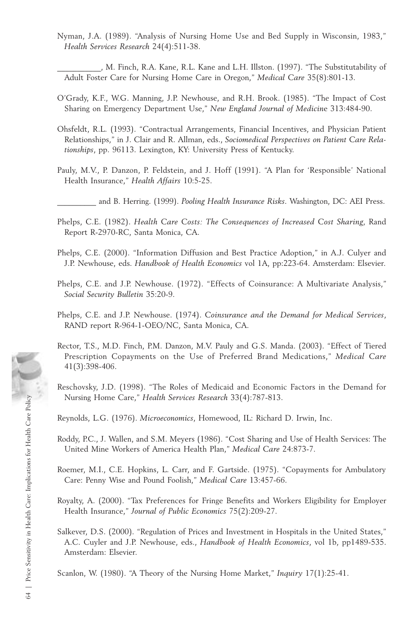Nyman, J.A. (1989). "Analysis of Nursing Home Use and Bed Supply in Wisconsin, 1983," *Health Services Research* 24(4):511-38.

\_\_\_\_\_\_\_\_\_\_\_, M. Finch, R.A. Kane, R.L. Kane and L.H. Illston. (1997). "The Substitutability of Adult Foster Care for Nursing Home Care in Oregon," *Medical Care* 35(8):801-13.

- O'Grady, K.F., W.G. Manning, J.P. Newhouse, and R.H. Brook. (1985). "The Impact of Cost Sharing on Emergency Department Use," *New England Journal of Medicin*e 313:484-90.
- Ohsfeldt, R.L. (1993). "Contractual Arrangements, Financial Incentives, and Physician Patient Relationships," in J. Clair and R. Allman, eds., *Sociomedical Perspectives on Patient Care Relationships*, pp. 96113. Lexington, KY: University Press of Kentucky.
- Pauly, M.V., P. Danzon, P. Feldstein, and J. Hoff (1991). "A Plan for 'Responsible' National Health Insurance," *Health Affairs* 10:5-25.
	- \_\_\_\_\_\_\_\_\_\_ and B. Herring. (1999). *Pooling Health Insurance Risks*. Washington, DC: AEI Press.
- Phelps, C.E. (1982). *Health Care Costs: The Consequences of Increased Cost Sharing*, Rand Report R-2970-RC, Santa Monica, CA.
- Phelps, C.E. (2000). "Information Diffusion and Best Practice Adoption," in A.J. Culyer and J.P. Newhouse, eds. *Handbook of Health Economics* vol 1A, pp:223-64. Amsterdam: Elsevier.
- Phelps, C.E. and J.P. Newhouse. (1972). "Effects of Coinsurance: A Multivariate Analysis," *Social Security Bulletin* 35:20-9.
- Phelps, C.E. and J.P. Newhouse. (1974). *Coinsurance and the Demand for Medical Services*, RAND report R-964-1-OEO/NC, Santa Monica, CA.
- Rector, T.S., M.D. Finch, P.M. Danzon, M.V. Pauly and G.S. Manda. (2003). "Effect of Tiered Prescription Copayments on the Use of Preferred Brand Medications," *Medical Care* 41(3):398-406.
- Reschovsky, J.D. (1998). "The Roles of Medicaid and Economic Factors in the Demand for Nursing Home Care," *Health Services Research* 33(4):787-813.

Reynolds, L.G. (1976). *Microeconomics*, Homewood, IL: Richard D. Irwin, Inc.

- Roddy, P.C., J. Wallen, and S.M. Meyers (1986). "Cost Sharing and Use of Health Services: The United Mine Workers of America Health Plan," *Medical Care* 24:873-7.
- Roemer, M.I., C.E. Hopkins, L. Carr, and F. Gartside. (1975). "Copayments for Ambulatory Care: Penny Wise and Pound Foolish," *Medical Care* 13:457-66.
- Royalty, A. (2000). "Tax Preferences for Fringe Benefits and Workers Eligibility for Employer Health Insurance," *Journal of Public Economics* 75(2):209-27.
- Salkever, D.S. (2000). "Regulation of Prices and Investment in Hospitals in the United States," A.C. Cuyler and J.P. Newhouse, eds., *Handbook of Health Economics*, vol 1b, pp1489-535. Amsterdam: Elsevier.

Scanlon, W. (1980). "A Theory of the Nursing Home Market," *Inquiry* 17(1):25-41.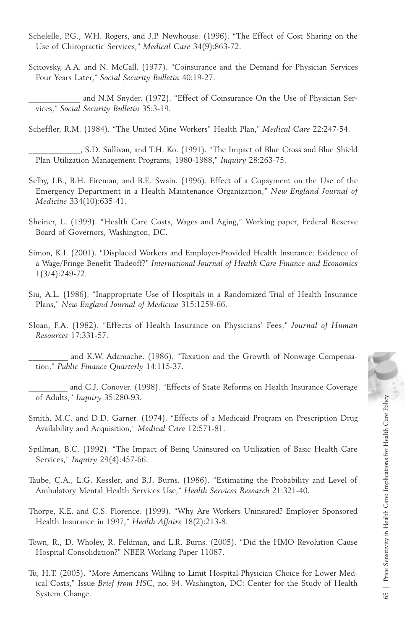- Schelelle, P.G., W.H. Rogers, and J.P. Newhouse. (1996). "The Effect of Cost Sharing on the Use of Chiropractic Services," *Medical Care* 34(9):863-72.
- Scitovsky, A.A. and N. McCall. (1977). "Coinsurance and the Demand for Physician Services Four Years Later," *Social Security Bulletin* 40:19-27.

and N.M Snyder. (1972). "Effect of Coinsurance On the Use of Physician Services," *Social Security Bulletin* 35:3-19.

Scheffler, R.M. (1984). "The United Mine Workers" Health Plan," *Medical Care* 22:247-54.

\_\_\_\_\_\_\_\_\_\_\_\_\_, S.D. Sullivan, and T.H. Ko. (1991). "The Impact of Blue Cross and Blue Shield Plan Utilization Management Programs, 1980-1988," *Inquiry* 28:263-75.

- Selby, J.B., B.H. Fireman, and B.E. Swain. (1996). Effect of a Copayment on the Use of the Emergency Department in a Health Maintenance Organization," *New England Journal of Medicine* 334(10):635-41.
- Sheiner, L. (1999). "Health Care Costs, Wages and Aging," Working paper, Federal Reserve Board of Governors, Washington, DC.
- Simon, K.I. (2001). "Displaced Workers and Employer-Provided Health Insurance: Evidence of a Wage/Fringe Benefit Tradeoff?" *International Journal of Health Care Finance and Economics* 1(3/4):249-72.
- Siu, A.L. (1986). "Inappropriate Use of Hospitals in a Randomized Trial of Health Insurance Plans," *New England Journal of Medicine* 315:1259-66.
- Sloan, F.A. (1982). "Effects of Health Insurance on Physicians' Fees," *Journal of Human Resources* 17:331-57.
- and K.W. Adamache. (1986). "Taxation and the Growth of Nonwage Compensation," *Public Finance Quarterly* 14:115-37.
- and C.J. Conover. (1998). "Effects of State Reforms on Health Insurance Coverage of Adults," *Inquiry* 35:280-93.
- Smith, M.C. and D.D. Garner. (1974). "Effects of a Medicaid Program on Prescription Drug Availability and Acquisition," *Medical Care* 12:571-81.
- Spillman, B.C. (1992). "The Impact of Being Uninsured on Utilization of Basic Health Care Services," *Inquiry* 29(4):457-66.
- Taube, C.A., L.G. Kessler, and B.J. Burns. (1986). "Estimating the Probability and Level of Ambulatory Mental Health Services Use," *Health Services Research* 21:321-40.
- Thorpe, K.E. and C.S. Florence. (1999). "Why Are Workers Uninsured? Employer Sponsored Health Insurance in 1997," *Health Affairs* 18(2):213-8.
- Town, R., D. Wholey, R. Feldman, and L.R. Burns. (2005). "Did the HMO Revolution Cause Hospital Consolidation?" NBER Working Paper 11087.
- Tu, H.T. (2005). "More Americans Willing to Limit Hospital-Physician Choice for Lower Medical Costs," Issue *Brief from HSC*, no. 94. Washington, DC: Center for the Study of Health of Adults," *Inquiry* 35:280-93.<br>
mith, M.C. and D.D. Garner. (1974). "Effects of a Medicaid Program on Prescription Drug<br>
Availability and Acquisition," *Medical Care* 12:571-81.<br>
sillman, B.C. (1992). "The Impact of Bein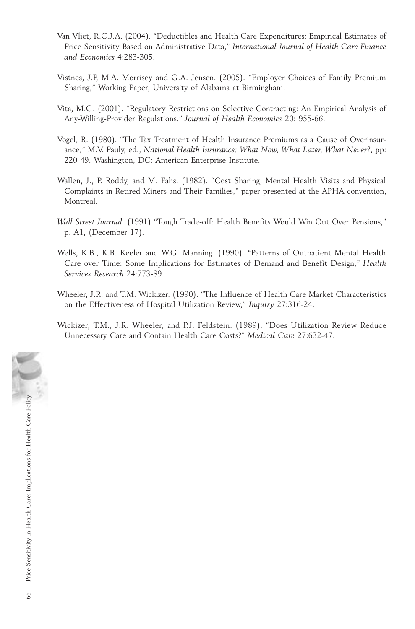- Van Vliet, R.C.J.A. (2004). "Deductibles and Health Care Expenditures: Empirical Estimates of Price Sensitivity Based on Administrative Data," *International Journal of Health Care Finance and Economics* 4:283-305.
- Vistnes, J.P, M.A. Morrisey and G.A. Jensen. (2005). "Employer Choices of Family Premium Sharing," Working Paper, University of Alabama at Birmingham.
- Vita, M.G. (2001). "Regulatory Restrictions on Selective Contracting: An Empirical Analysis of Any-Willing-Provider Regulations." *Journal of Health Economics* 20: 955-66.
- Vogel, R. (1980). "The Tax Treatment of Health Insurance Premiums as a Cause of Overinsurance," M.V. Pauly, ed., *National Health Insurance: What Now, What Later, What Never?*, pp: 220-49. Washington, DC: American Enterprise Institute.
- Wallen, J., P. Roddy, and M. Fahs. (1982). "Cost Sharing, Mental Health Visits and Physical Complaints in Retired Miners and Their Families," paper presented at the APHA convention, Montreal.
- *Wall Street Journal*. (1991) "Tough Trade-off: Health Benefits Would Win Out Over Pensions," p. A1, (December 17).
- Wells, K.B., K.B. Keeler and W.G. Manning. (1990). "Patterns of Outpatient Mental Health Care over Time: Some Implications for Estimates of Demand and Benefit Design," *Health Services Research* 24:773-89.
- Wheeler, J.R. and T.M. Wickizer. (1990). "The Influence of Health Care Market Characteristics on the Effectiveness of Hospital Utilization Review," *Inquiry* 27:316-24.
- Wickizer, T.M., J.R. Wheeler, and P.J. Feldstein. (1989). "Does Utilization Review Reduce Unnecessary Care and Contain Health Care Costs?" *Medical Care* 27:632-47.

 $66$   $\,$  |  $\,$  Price Sensitivity in Health Care: Implications for Health Care Policy  $\,$ 66 | Price Sensitivity in Health Care: Implications for Health Care Policy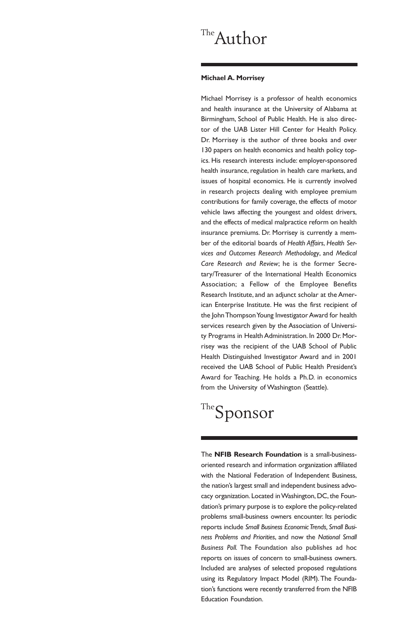## The Author

## **Michael A. Morrisey**

Michael Morrisey is a professor of health economics and health insurance at the University of Alabama at Birmingham, School of Public Health. He is also director of the UAB Lister Hill Center for Health Policy. Dr. Morrisey is the author of three books and over 130 papers on health economics and health policy topics. His research interests include: employer-sponsored health insurance, regulation in health care markets, and issues of hospital economics. He is currently involved in research projects dealing with employee premium contributions for family coverage, the effects of motor vehicle laws affecting the youngest and oldest drivers, and the effects of medical malpractice reform on health insurance premiums. Dr. Morrisey is currently a member of the editorial boards of *Health Affairs*, *Health Services and Outcomes Research Methodology*, and *Medical Care Research and Review*; he is the former Secretary/Treasurer of the International Health Economics Association; a Fellow of the Employee Benefits Research Institute, and an adjunct scholar at the American Enterprise Institute. He was the first recipient of the John Thompson Young Investigator Award for health services research given by the Association of University Programs in Health Administration. In 2000 Dr. Morrisey was the recipient of the UAB School of Public Health Distinguished Investigator Award and in 2001 received the UAB School of Public Health President's Award for Teaching. He holds a Ph.D. in economics from the University of Washington (Seattle).

## The Sponsor

The **NFIB Research Foundation** is a small-businessoriented research and information organization affiliated with the National Federation of Independent Business, the nation's largest small and independent business advocacy organization. Located in Washington, DC, the Foundation's primary purpose is to explore the policy-related problems small-business owners encounter. Its periodic reports include *Small Business Economic Trends, Small Business Problems and Priorities*, and now the *National Small Business Poll.* The Foundation also publishes ad hoc reports on issues of concern to small-business owners. Included are analyses of selected proposed regulations using its Regulatory Impact Model (RIM). The Foundation's functions were recently transferred from the NFIB Education Foundation.